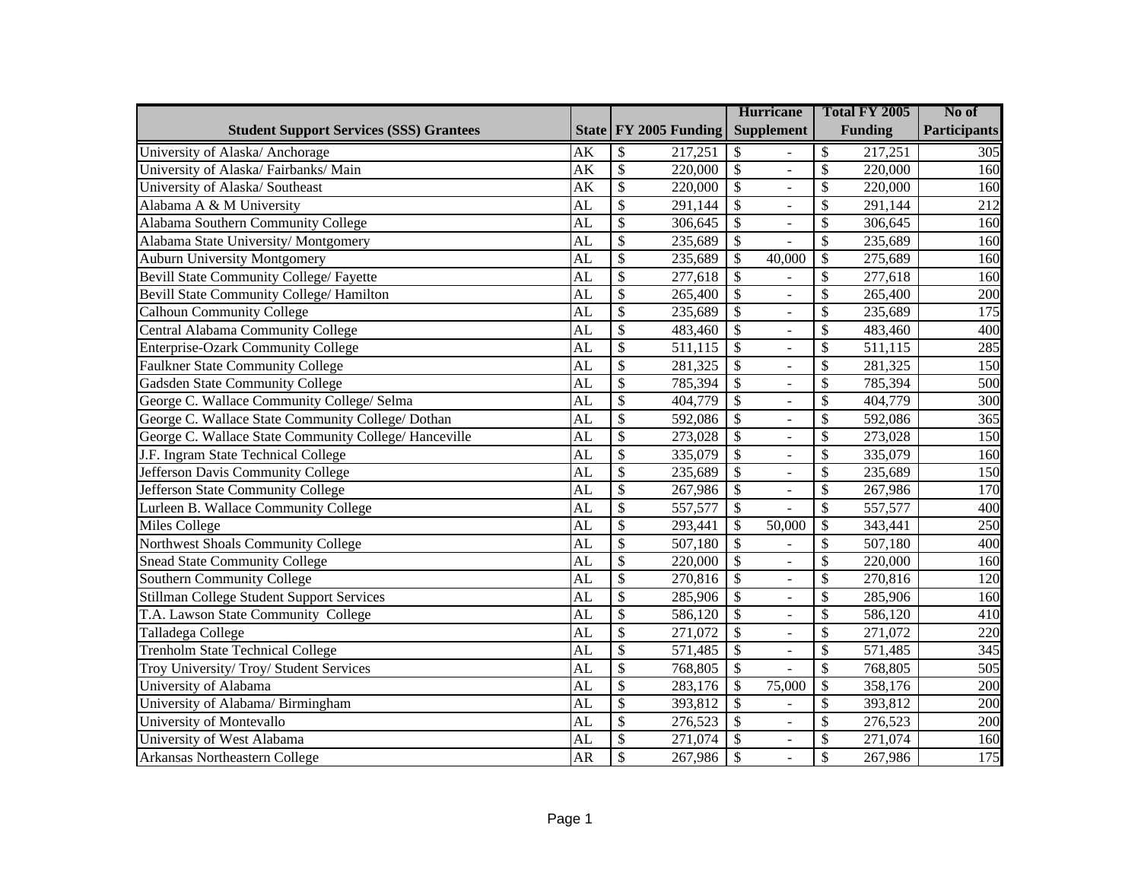|                                                       |                                     |                                     | <b>Hurricane</b>                            | Total FY 2005                       | No of               |
|-------------------------------------------------------|-------------------------------------|-------------------------------------|---------------------------------------------|-------------------------------------|---------------------|
| <b>Student Support Services (SSS) Grantees</b>        |                                     | State FY 2005 Funding               | <b>Supplement</b>                           | <b>Funding</b>                      | <b>Participants</b> |
| University of Alaska/ Anchorage                       | AK                                  | 217,251<br>\$                       | \$                                          | $\mathcal{S}$<br>217,251            | $\overline{305}$    |
| University of Alaska/Fairbanks/Main                   | $\overline{\overline{\mathbf{AK}}}$ | $\overline{\$}$<br>220,000          | $\overline{\$}$<br>$\overline{a}$           | $\overline{\mathcal{S}}$<br>220,000 | 160                 |
| University of Alaska/ Southeast                       | AK                                  | $\overline{\mathcal{S}}$<br>220,000 | $\overline{\$}$<br>$\blacksquare$           | \$<br>220,000                       | 160                 |
| Alabama A & M University                              | $\overline{\text{AL}}$              | $\overline{\$}$<br>291,144          | $\overline{\$}$<br>$\overline{a}$           | \$<br>291,144                       | 212                 |
| Alabama Southern Community College                    | AL                                  | $\overline{\$}$<br>306,645          | $\overline{\$}$<br>÷.                       | \$<br>306,645                       | 160                 |
| Alabama State University/Montgomery                   | $\overline{\text{AL}}$              | $\overline{\$}$<br>235,689          | $\overline{\$}$                             | \$<br>235,689                       | 160                 |
| <b>Auburn University Montgomery</b>                   | $\overline{AL}$                     | $\overline{\$}$<br>235,689          | $\overline{\mathcal{S}}$<br>40,000          | $\mathcal{S}$<br>275,689            | 160                 |
| <b>Bevill State Community College/ Fayette</b>        | AL                                  | $\overline{\$}$<br>277,618          | $\overline{\$}$                             | \$<br>277,618                       | 160                 |
| Bevill State Community College/ Hamilton              | $\overline{AL}$                     | $\overline{\$}$<br>265,400          | $\overline{\$}$<br>$\bar{\phantom{a}}$      | $\overline{\mathcal{S}}$<br>265,400 | $\overline{200}$    |
| <b>Calhoun Community College</b>                      | $\overline{AL}$                     | $\overline{\$}$<br>235,689          | $\overline{\$}$<br>$\frac{1}{2}$            | $\overline{\mathcal{S}}$<br>235,689 | $\overline{175}$    |
| Central Alabama Community College                     | $\overline{AL}$                     | $\overline{\$}$<br>483,460          | $\overline{\$}$<br>$\Box$                   | \$<br>483,460                       | 400                 |
| Enterprise-Ozark Community College                    | AL                                  | $\overline{\$}$<br>511,115          | $\overline{\$}$<br>$\overline{\phantom{a}}$ | \$<br>511,115                       | 285                 |
| Faulkner State Community College                      | AL                                  | $\overline{\$}$<br>281,325          | $\overline{\$}$<br>$\overline{a}$           | \$<br>281,325                       | 150                 |
| Gadsden State Community College                       | AL                                  | $\overline{\mathcal{S}}$<br>785,394 | $\overline{\$}$<br>$\blacksquare$           | \$<br>785,394                       | $\overline{500}$    |
| George C. Wallace Community College/ Selma            | AL                                  | $\overline{\mathcal{S}}$<br>404,779 | $\overline{\$}$<br>$\overline{a}$           | \$<br>404,779                       | 300                 |
| George C. Wallace State Community College/ Dothan     | $\overline{\text{AL}}$              | $\overline{\$}$<br>592,086          | $\overline{\$}$<br>$\blacksquare$           | $\overline{\mathcal{S}}$<br>592,086 | $\overline{365}$    |
| George C. Wallace State Community College/ Hanceville | $\overline{\text{AL}}$              | $\overline{\$}$<br>273,028          | $\overline{\$}$<br>$\overline{\phantom{a}}$ | $\overline{\mathcal{S}}$<br>273,028 | 150                 |
| J.F. Ingram State Technical College                   | AL                                  | $\overline{\$}$<br>335,079          | $\overline{\$}$<br>$\equiv$                 | \$<br>335,079                       | 160                 |
| Jefferson Davis Community College                     | $\overline{\text{AL}}$              | $\overline{\$}$<br>235,689          | $\overline{\$}$<br>$\overline{\phantom{a}}$ | \$<br>235,689                       | 150                 |
| Jefferson State Community College                     | $\overline{\text{AL}}$              | $\overline{\$}$<br>267,986          | $\overline{\$}$<br>$\equiv$                 | $\overline{\mathcal{S}}$<br>267,986 | 170                 |
| Lurleen B. Wallace Community College                  | AL                                  | $\overline{\$}$<br>557,577          | $\overline{\$}$                             | $\overline{\mathcal{S}}$<br>557,577 | 400                 |
| Miles College                                         | $\overline{\text{AL}}$              | $\overline{\$}$<br>293,441          | $\overline{\mathcal{S}}$<br>50,000          | $\overline{\mathcal{S}}$<br>343,441 | 250                 |
| Northwest Shoals Community College                    | $\overline{\text{AL}}$              | $\overline{\$}$<br>507,180          | $\overline{\$}$                             | $\overline{\$}$<br>507,180          | 400                 |
| Snead State Community College                         | $\overline{\text{AL}}$              | $\overline{\$}$<br>220,000          | $\overline{\$}$<br>$\overline{a}$           | $\overline{\$}$<br>220,000          | 160                 |
| Southern Community College                            | AL                                  | $\overline{\$}$<br>270,816          | $\overline{\$}$<br>$\equiv$                 | \$<br>270,816                       | 120                 |
| Stillman College Student Support Services             | $\overline{\text{AL}}$              | $\overline{\$}$<br>285,906          | $\overline{\$}$<br>$\overline{\phantom{a}}$ | \$<br>285,906                       | 160                 |
| T.A. Lawson State Community College                   | AL                                  | $\overline{\$}$<br>586,120          | $\overline{\$}$<br>$\blacksquare$           | \$<br>586,120                       | 410                 |
| Talladega College                                     | AL                                  | $\overline{\$}$<br>271,072          | $\overline{\$}$<br>$\overline{\phantom{a}}$ | \$<br>271,072                       | $\overline{220}$    |
| Trenholm State Technical College                      | AL                                  | $\overline{\$}$<br>571,485          | $\overline{\$}$<br>$\equiv$                 | \$<br>571,485                       | $\overline{345}$    |
| Troy University/ Troy/ Student Services               | AL                                  | $\overline{\$}$<br>768,805          | $\overline{\$}$                             | $\overline{\$}$<br>768,805          | 505                 |
| University of Alabama                                 | AL                                  | $\overline{\mathcal{S}}$<br>283,176 | $\overline{\$}$<br>75,000                   | $\overline{\mathcal{S}}$<br>358,176 | $\overline{200}$    |
| University of Alabama/ Birmingham                     | AL                                  | $\overline{\$}$<br>393,812          | $\overline{\$}$<br>$\overline{a}$           | $\overline{\$}$<br>393,812          | $\overline{200}$    |
| University of Montevallo                              | AL                                  | $\overline{\$}$<br>276,523          | $\overline{\mathcal{S}}$<br>$\equiv$        | $\overline{\mathcal{S}}$<br>276,523 | $\overline{200}$    |
| University of West Alabama                            | AL                                  | \$<br>271,074                       | $\overline{\$}$<br>$\blacksquare$           | \$<br>271,074                       | 160                 |
| Arkansas Northeastern College                         | <b>AR</b>                           | $\overline{\mathcal{S}}$<br>267,986 | $\overline{\$}$<br>$\overline{\phantom{a}}$ | \$<br>267,986                       | 175                 |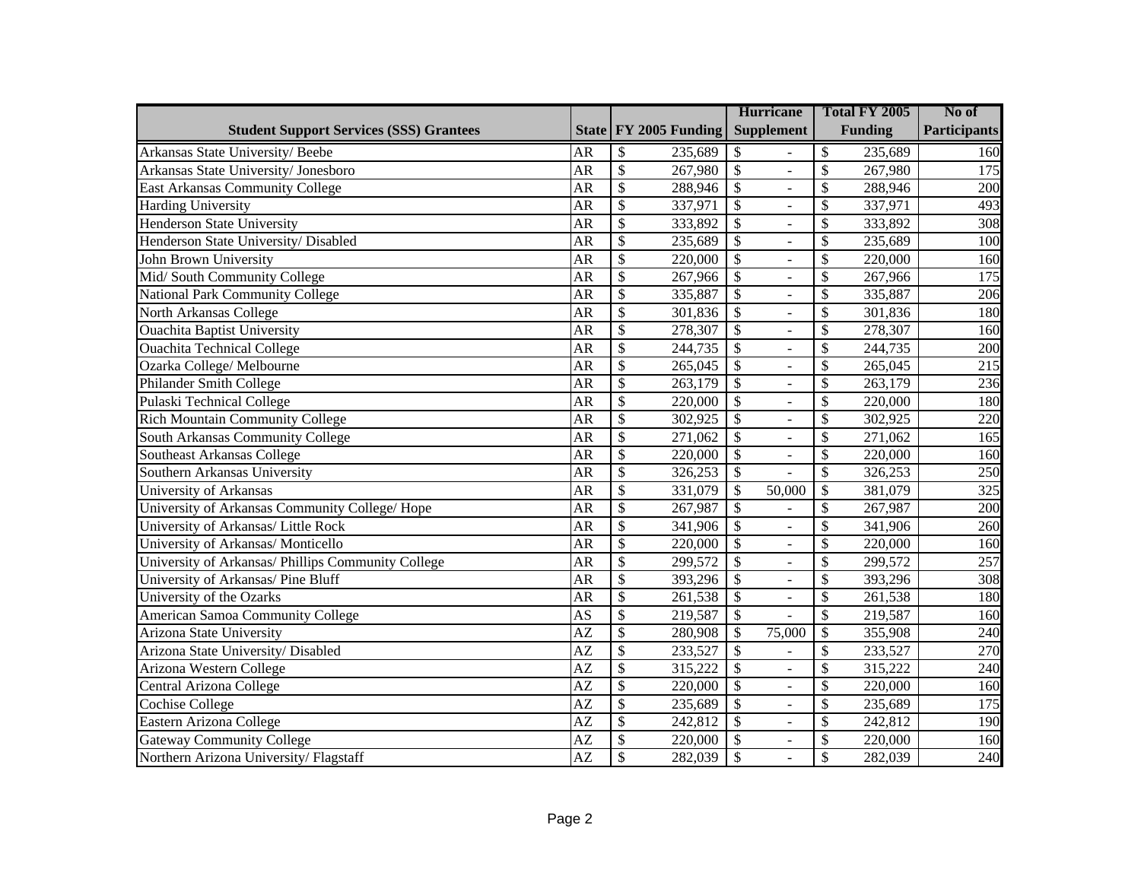|                                                    |                        |                          |                         | <b>Hurricane</b>                            |                          | Total FY 2005  | No of               |
|----------------------------------------------------|------------------------|--------------------------|-------------------------|---------------------------------------------|--------------------------|----------------|---------------------|
| <b>Student Support Services (SSS) Grantees</b>     |                        |                          | State   FY 2005 Funding | <b>Supplement</b>                           |                          | <b>Funding</b> | <b>Participants</b> |
| Arkansas State University/Beebe                    | <b>AR</b>              | \$                       | 235,689                 | \$                                          | \$                       | 235,689        | 160                 |
| Arkansas State University/ Jonesboro               | <b>AR</b>              | $\mathcal{S}$            | 267,980                 | $\overline{\mathcal{S}}$<br>$\overline{a}$  | \$                       | 267,980        | 175                 |
| <b>East Arkansas Community College</b>             | <b>AR</b>              | $\overline{\mathcal{S}}$ | 288,946                 | $\overline{\$}$<br>÷,                       | \$                       | 288,946        | 200                 |
| <b>Harding University</b>                          | <b>AR</b>              | $\overline{\$}$          | 337,971                 | $\overline{\mathcal{S}}$<br>$\blacksquare$  | \$                       | 337,971        | 493                 |
| <b>Henderson State University</b>                  | <b>AR</b>              | $\overline{\$}$          | 333,892                 | $\overline{\$}$<br>$\overline{\phantom{0}}$ | \$                       | 333,892        | 308                 |
| Henderson State University/ Disabled               | <b>AR</b>              | $\overline{\$}$          | 235,689                 | $\overline{\$}$<br>$\overline{a}$           | \$                       | 235,689        | 100                 |
| John Brown University                              | <b>AR</b>              | $\overline{\mathcal{S}}$ | 220,000                 | $\overline{\$}$<br>$\overline{a}$           | \$                       | 220,000        | 160                 |
| Mid/South Community College                        | <b>AR</b>              | $\overline{\$}$          | 267,966                 | $\overline{\$}$<br>$\overline{a}$           | \$                       | 267,966        | 175                 |
| National Park Community College                    | <b>AR</b>              | $\overline{\$}$          | 335,887                 | $\overline{\$}$<br>$\overline{a}$           | \$                       | 335,887        | 206                 |
| North Arkansas College                             | <b>AR</b>              | $\overline{\$}$          | 301,836                 | $\overline{\$}$<br>$\overline{a}$           | \$                       | 301,836        | 180                 |
| <b>Ouachita Baptist University</b>                 | <b>AR</b>              | $\overline{\$}$          | 278,307                 | $\overline{\mathcal{S}}$<br>$\overline{a}$  | \$                       | 278,307        | 160                 |
| <b>Ouachita Technical College</b>                  | $\overline{AR}$        | $\overline{\$}$          | 244,735                 | $\overline{\$}$<br>$\overline{a}$           | $\overline{\mathcal{S}}$ | 244,735        | 200                 |
| Ozarka College/ Melbourne                          | $\overline{\text{AR}}$ | $\overline{\$}$          | 265,045                 | $\overline{\$}$<br>$\overline{a}$           | $\overline{\mathcal{S}}$ | 265,045        | 215                 |
| Philander Smith College                            | $\overline{\text{AR}}$ | $\overline{\$}$          | 263,179                 | $\overline{\$}$<br>$\overline{a}$           | $\overline{\mathcal{S}}$ | 263,179        | 236                 |
| <b>Pulaski Technical College</b>                   | AR                     | $\overline{\$}$          | 220,000                 | $\overline{\mathcal{S}}$<br>$\overline{a}$  | \$                       | 220,000        | 180                 |
| <b>Rich Mountain Community College</b>             | <b>AR</b>              | $\overline{\$}$          | 302,925                 | $\overline{\$}$<br>$\overline{a}$           | \$                       | 302,925        | 220                 |
| South Arkansas Community College                   | <b>AR</b>              | $\overline{\mathcal{S}}$ | 271,062                 | $\overline{\mathcal{S}}$<br>$\overline{a}$  | \$                       | 271,062        | 165                 |
| Southeast Arkansas College                         | <b>AR</b>              | $\overline{\$}$          | 220,000                 | $\overline{\mathcal{S}}$<br>$\overline{a}$  | \$                       | 220,000        | 160                 |
| Southern Arkansas University                       | <b>AR</b>              | $\overline{\$}$          | 326,253                 | $\overline{\mathcal{S}}$                    | \$                       | 326,253        | 250                 |
| University of Arkansas                             | <b>AR</b>              | $\overline{\$}$          | 331,079                 | $\overline{\mathcal{S}}$<br>50,000          | \$                       | 381,079        | 325                 |
| University of Arkansas Community College/ Hope     | <b>AR</b>              | $\overline{\$}$          | 267,987                 | $\overline{\$}$                             | \$                       | 267,987        | 200                 |
| University of Arkansas/ Little Rock                | <b>AR</b>              | $\overline{\$}$          | 341,906                 | \$<br>$\overline{a}$                        | \$                       | 341,906        | 260                 |
| University of Arkansas/ Monticello                 | <b>AR</b>              | $\overline{\$}$          | 220,000                 | $\overline{\$}$<br>$\overline{a}$           | \$                       | 220,000        | 160                 |
| University of Arkansas/ Phillips Community College | <b>AR</b>              | $\overline{\$}$          | 299,572                 | $\overline{\$}$<br>$\overline{\phantom{a}}$ | \$                       | 299,572        | 257                 |
| University of Arkansas/ Pine Bluff                 | <b>AR</b>              | $\overline{\$}$          | 393,296                 | \$<br>$\overline{a}$                        | \$                       | 393,296        | $\overline{308}$    |
| University of the Ozarks                           | <b>AR</b>              | $\overline{\$}$          | 261,538                 | \$<br>$\overline{\phantom{a}}$              | \$                       | 261,538        | 180                 |
| American Samoa Community College                   | $\overline{AS}$        | $\overline{\$}$          | 219,587                 | \$                                          | \$                       | 219,587        | 160                 |
| Arizona State University                           | AZ                     | $\overline{\$}$          | 280,908                 | \$<br>75,000                                | \$                       | 355,908        | 240                 |
| Arizona State University/ Disabled                 | $\overline{AZ}$        | $\overline{\$}$          | 233,527                 | $\overline{\$}$<br>÷,                       | $\overline{\mathcal{S}}$ | 233,527        | 270                 |
| Arizona Western College                            | $\overline{AZ}$        | $\overline{\$}$          | 315,222                 | $\overline{\$}$<br>$\overline{\phantom{a}}$ | \$                       | 315,222        | 240                 |
| Central Arizona College                            | $\overline{AZ}$        | $\overline{\mathcal{S}}$ | 220,000                 | $\overline{\$}$<br>$\blacksquare$           | \$                       | 220,000        | 160                 |
| <b>Cochise College</b>                             | $\overline{AZ}$        | $\overline{\$}$          | 235,689                 | $\overline{\mathcal{S}}$<br>$\blacksquare$  | \$                       | 235,689        | 175                 |
| Eastern Arizona College                            | $\overline{AZ}$        | $\overline{\mathcal{S}}$ | 242,812                 | $\overline{\mathcal{S}}$<br>$\blacksquare$  | \$                       | 242,812        | 190                 |
| <b>Gateway Community College</b>                   | $A\overline{Z}$        | $\overline{\mathcal{S}}$ | 220,000                 | $\overline{\mathcal{S}}$<br>$\blacksquare$  | \$                       | 220,000        | 160                 |
| Northern Arizona University/Flagstaff              | $\overline{AZ}$        | $\overline{\mathcal{S}}$ | 282,039                 | $\overline{\mathcal{S}}$<br>$\blacksquare$  | \$                       | 282,039        | 240                 |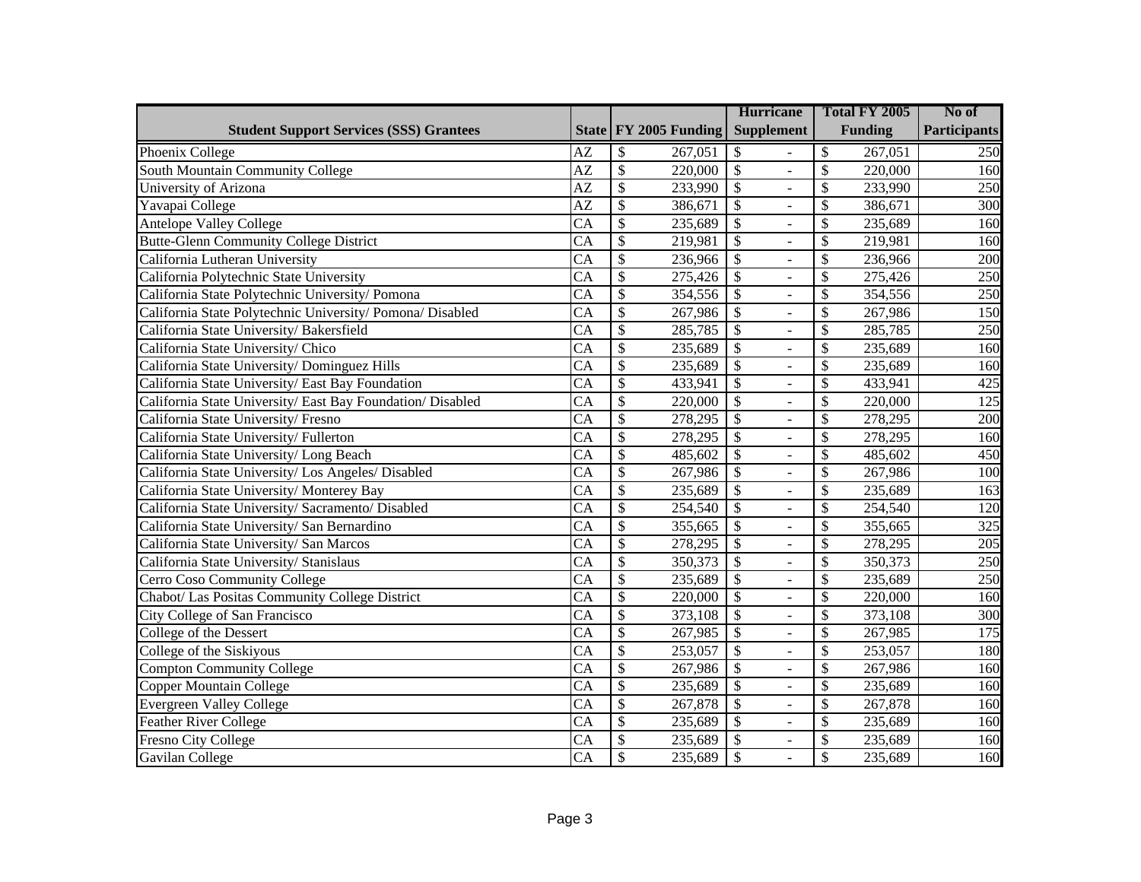|                                                           |                 |                          |                         | <b>Hurricane</b>                                     |                          | Total FY 2005  | No of               |
|-----------------------------------------------------------|-----------------|--------------------------|-------------------------|------------------------------------------------------|--------------------------|----------------|---------------------|
| <b>Student Support Services (SSS) Grantees</b>            |                 |                          | State   FY 2005 Funding | <b>Supplement</b>                                    |                          | <b>Funding</b> | <b>Participants</b> |
| Phoenix College                                           | AZ              | \$                       | 267,051                 | \$                                                   | \$                       | 267,051        | 250                 |
| South Mountain Community College                          | $\overline{AZ}$ | $\overline{\mathcal{S}}$ | 220,000                 | $\overline{\mathcal{S}}$<br>$\overline{a}$           | $\mathcal{S}$            | 220,000        | 160                 |
| University of Arizona                                     | $\overline{AZ}$ | $\overline{\$}$          | 233,990                 | $\overline{\$}$<br>ä,                                | \$                       | 233,990        | 250                 |
| Yavapai College                                           | $\overline{AZ}$ | $\overline{\$}$          | 386,671                 | $\overline{\$}$<br>$\overline{a}$                    | $\overline{\mathcal{S}}$ | 386,671        | 300                 |
| <b>Antelope Valley College</b>                            | $\overline{CA}$ | $\overline{\$}$          | 235,689                 | $\overline{\$}$<br>$\overline{a}$                    | \$                       | 235,689        | 160                 |
| <b>Butte-Glenn Community College District</b>             | $\overline{CA}$ | $\overline{\$}$          | 219,981                 | $\overline{\$}$<br>$\overline{a}$                    | $\overline{\mathcal{S}}$ | 219,981        | 160                 |
| California Lutheran University                            | $\overline{CA}$ | $\overline{\$}$          | 236,966                 | $\overline{\$}$<br>$\frac{1}{2}$                     | \$                       | 236,966        | 200                 |
| California Polytechnic State University                   | $\overline{CA}$ | $\overline{\$}$          | 275,426                 | $\overline{\$}$<br>$\Box$                            | \$                       | 275,426        | 250                 |
| California State Polytechnic University/ Pomona           | CA              | $\overline{\$}$          | 354,556                 | $\overline{\$}$<br>$\frac{1}{2}$                     | \$                       | 354,556        | 250                 |
| California State Polytechnic University/ Pomona/ Disabled | $\overline{CA}$ | $\overline{\$}$          | 267,986                 | $\overline{\$}$<br>$\Box$                            | \$                       | 267,986        | 150                 |
| California State University/Bakersfield                   | $\overline{CA}$ | $\overline{\mathcal{S}}$ | 285,785                 | $\overline{\$}$<br>$\overline{a}$                    | $\overline{\mathcal{S}}$ | 285,785        | 250                 |
| California State University/Chico                         | $\overline{CA}$ | $\overline{\$}$          | 235,689                 | $\overline{\$}$<br>$\bar{\phantom{a}}$               | $\overline{\mathcal{S}}$ | 235,689        | 160                 |
| California State University/Dominguez Hills               | $\overline{CA}$ | $\overline{\$}$          | 235,689                 | $\overline{\$}$<br>$\frac{1}{2}$                     | $\overline{\mathcal{S}}$ | 235,689        | 160                 |
| California State University/East Bay Foundation           | $\overline{CA}$ | $\overline{\$}$          | 433,941                 | $\overline{\$}$<br>$\overline{\phantom{a}}$          | $\overline{\mathcal{S}}$ | 433,941        | 425                 |
| California State University/East Bay Foundation/Disabled  | $\overline{CA}$ | $\overline{\$}$          | 220,000                 | $\overline{\$}$<br>$\overline{a}$                    | $\overline{\mathcal{S}}$ | 220,000        | 125                 |
| California State University/Fresno                        | $\overline{CA}$ | $\overline{\$}$          | 278,295                 | $\overline{\$}$<br>$\frac{1}{2}$                     | \$                       | 278,295        | 200                 |
| California State University/Fullerton                     | CA              | $\overline{\$}$          | 278,295                 | $\overline{\$}$<br>$\Box$                            | \$                       | 278,295        | 160                 |
| California State University/Long Beach                    | CA              | $\overline{\$}$          | 485,602                 | $\overline{\$}$<br>$\overline{a}$                    | \$                       | 485,602        | 450                 |
| California State University/ Los Angeles/ Disabled        | CA              | $\overline{\$}$          | 267,986                 | $\overline{\$}$<br>$\overline{\phantom{a}}$          | \$                       | 267,986        | 100                 |
| California State University/ Monterey Bay                 | $\overline{CA}$ | $\overline{\$}$          | 235,689                 | $\overline{\$}$<br>$\overline{a}$                    | $\overline{\mathcal{S}}$ | 235,689        | 163                 |
| California State University/Sacramento/Disabled           | $\overline{CA}$ | $\overline{\$}$          | 254,540                 | $\overline{\$}$<br>$\overline{\phantom{a}}$          | \$                       | 254,540        | 120                 |
| California State University/San Bernardino                | $\overline{CA}$ | $\overline{\$}$          | 355,665                 | $\overline{\$}$<br>$\overline{a}$                    | \$                       | 355,665        | 325                 |
| California State University/ San Marcos                   | $\overline{CA}$ | $\overline{\$}$          | 278,295                 | $\overline{\$}$<br>$\overline{\phantom{a}}$          | \$                       | 278,295        | $\overline{205}$    |
| California State University/ Stanislaus                   | $\overline{CA}$ | $\overline{\$}$          | 350,373                 | $\overline{\$}$<br>$\Box$                            | \$                       | 350,373        | 250                 |
| Cerro Coso Community College                              | CA              | $\overline{\$}$          | 235,689                 | $\overline{\$}$<br>$\overline{a}$                    | \$                       | 235,689        | 250                 |
| Chabot/ Las Positas Community College District            | CA              | \$                       | 220,000                 | $\overline{\mathcal{S}}$<br>$\overline{\phantom{a}}$ | $\mathcal{S}$            | 220,000        | 160                 |
| City College of San Francisco                             | $\overline{CA}$ | $\overline{\$}$          | 373,108                 | $\overline{\mathcal{S}}$<br>$\Box$                   | \$                       | 373,108        | 300                 |
| College of the Dessert                                    | CA              | \$                       | 267,985                 | $\overline{\$}$<br>$\overline{\phantom{a}}$          | \$                       | 267,985        | 175                 |
| College of the Siskiyous                                  | $\overline{CA}$ | $\overline{\$}$          | 253,057                 | $\overline{\$}$<br>÷,                                | \$                       | 253,057        | 180                 |
| Compton Community College                                 | $\overline{CA}$ | $\overline{\$}$          | 267,986                 | $\overline{\$}$<br>$\overline{\phantom{a}}$          | \$                       | 267,986        | 160                 |
| Copper Mountain College                                   | $\overline{CA}$ | $\overline{\$}$          | 235,689                 | $\overline{\$}$<br>$\Box$                            | \$                       | 235,689        | 160                 |
| Evergreen Valley College                                  | $\overline{CA}$ | $\overline{\$}$          | 267,878                 | $\overline{\$}$<br>$\blacksquare$                    | \$                       | 267,878        | 160                 |
| Feather River College                                     | $\overline{CA}$ | $\overline{\$}$          | 235,689                 | $\overline{\$}$<br>$\blacksquare$                    | \$                       | 235,689        | 160                 |
| Fresno City College                                       | CA              | $\overline{\$}$          | 235,689                 | $\overline{\mathcal{S}}$<br>$\blacksquare$           | \$                       | 235,689        | $\overline{1}60$    |
| Gavilan College                                           | $\overline{CA}$ | \$                       | 235,689                 | $\overline{\mathcal{S}}$<br>$\blacksquare$           | \$                       | 235,689        | 160                 |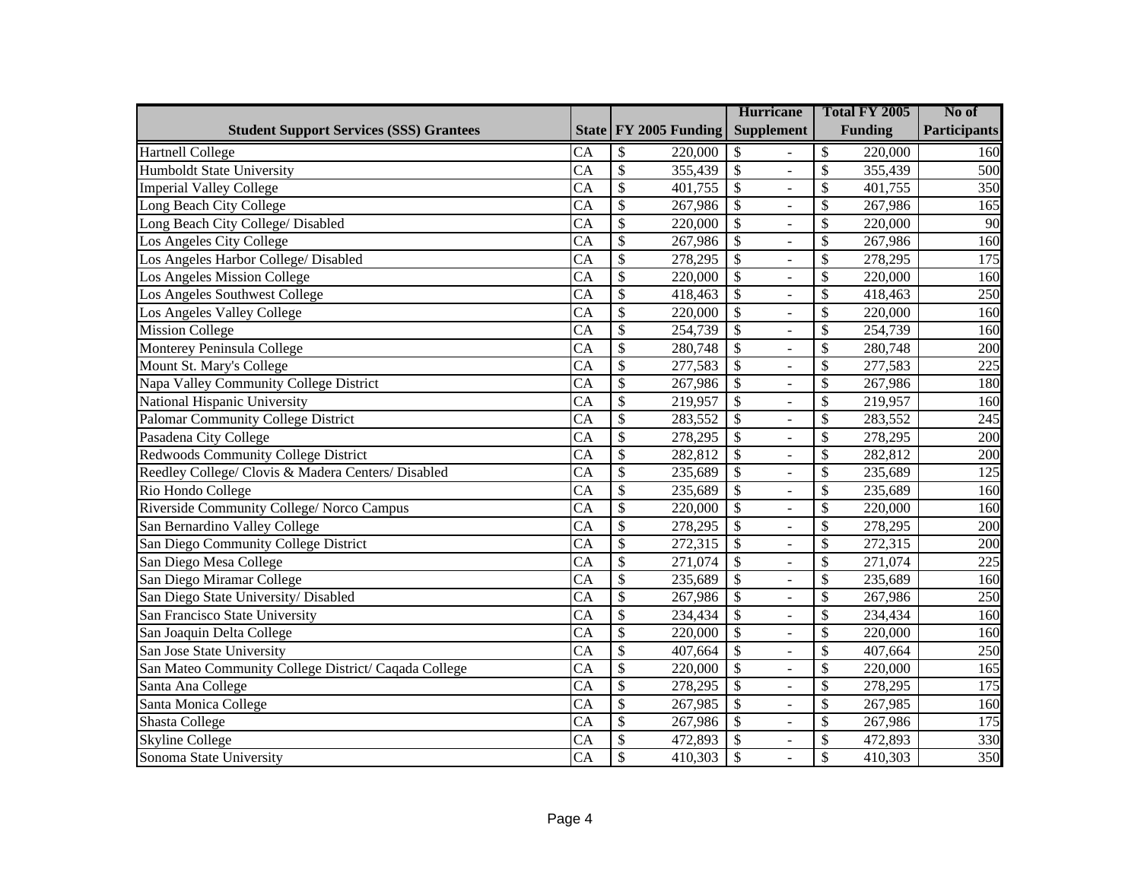|                                                      |                        |                                     | <b>Hurricane</b>                                | Total FY 2005            | No of               |
|------------------------------------------------------|------------------------|-------------------------------------|-------------------------------------------------|--------------------------|---------------------|
| <b>Student Support Services (SSS) Grantees</b>       |                        | State   FY 2005 Funding             | <b>Supplement</b>                               | <b>Funding</b>           | <b>Participants</b> |
| <b>Hartnell College</b>                              | CA                     | \$<br>220,000                       | \$                                              | \$<br>220,000            | 160                 |
| Humboldt State University                            | $\overline{CA}$        | $\overline{\mathcal{S}}$<br>355,439 | $\overline{\$}$<br>$\bar{\phantom{a}}$          | $\mathcal{S}$<br>355,439 | 500                 |
| <b>Imperial Valley College</b>                       | CA                     | $\overline{\$}$<br>401,755          | $\overline{\$}$<br>$\overline{a}$               | \$<br>401,755            | 350                 |
| Long Beach City College                              | CA                     | $\overline{\$}$<br>267,986          | $\overline{\$}$<br>$\equiv$                     | \$<br>267,986            | 165                 |
| Long Beach City College/ Disabled                    | $\overline{CA}$        | $\overline{\$}$<br>220,000          | $\overline{\$}$<br>$\Box$                       | \$<br>220,000            | 90                  |
| Los Angeles City College                             | $\overline{CA}$        | $\overline{\$}$<br>267,986          | $\overline{\mathcal{S}}$<br>$\bar{\phantom{a}}$ | \$<br>267,986            | 160                 |
| Los Angeles Harbor College/ Disabled                 | CA                     | $\overline{\$}$<br>278,295          | $\overline{\$}$<br>$\Box$                       | \$<br>278,295            | 175                 |
| Los Angeles Mission College                          | $\overline{CA}$        | $\overline{\$}$<br>220,000          | $\overline{\$}$<br>$\bar{\phantom{a}}$          | \$<br>220,000            | 160                 |
| Los Angeles Southwest College                        | CA                     | $\overline{\$}$<br>418,463          | $\overline{\$}$<br>$\overline{\phantom{a}}$     | \$<br>418,463            | 250                 |
| Los Angeles Valley College                           | CA                     | $\overline{\$}$<br>220,000          | $\overline{\$}$<br>$\Box$                       | \$<br>220,000            | 160                 |
| <b>Mission College</b>                               | $\overline{CA}$        | $\overline{\mathcal{S}}$<br>254,739 | $\overline{\$}$<br>$\blacksquare$               | $\mathcal{S}$<br>254,739 | 160                 |
| Monterey Peninsula College                           | $\overline{CA}$        | $\overline{\mathcal{S}}$<br>280,748 | $\overline{\mathcal{S}}$<br>$\overline{a}$      | \$<br>280,748            | $\overline{200}$    |
| Mount St. Mary's College                             | CA                     | $\overline{\mathcal{S}}$<br>277,583 | $\overline{\mathcal{S}}$<br>$\blacksquare$      | 277,583<br>\$            | $\overline{225}$    |
| Napa Valley Community College District               | $\overline{CA}$        | $\overline{\$}$<br>267,986          | $\overline{\mathcal{S}}$<br>$\overline{a}$      | \$<br>267,986            | 180                 |
| National Hispanic University                         | $\overline{CA}$        | \$<br>219,957                       | $\overline{\$}$<br>$\overline{\phantom{a}}$     | \$<br>219,957            | 160                 |
| <b>Palomar Community College District</b>            | $\overline{CA}$        | $\overline{\$}$<br>283,552          | $\overline{\$}$<br>$\Box$                       | \$<br>283,552            | 245                 |
| Pasadena City College                                | $\overline{CA}$        | $\overline{\$}$<br>278,295          | $\overline{\$}$<br>$\bar{\phantom{a}}$          | \$<br>278,295            | $\overline{200}$    |
| <b>Redwoods Community College District</b>           | CA                     | $\overline{\$}$<br>282,812          | $\overline{\$}$<br>$\Box$                       | \$<br>282,812            | $\overline{200}$    |
| Reedley College/ Clovis & Madera Centers/ Disabled   | $\overline{CA}$        | $\overline{\$}$<br>235,689          | $\overline{\$}$<br>$\bar{\phantom{a}}$          | \$<br>235,689            | 125                 |
| Rio Hondo College                                    | CA                     | $\overline{\$}$<br>235,689          | $\overline{\$}$<br>$\overline{\phantom{a}}$     | \$<br>235,689            | 160                 |
| Riverside Community College/ Norco Campus            | $\overline{CA}$        | $\overline{\$}$<br>220,000          | $\overline{\$}$<br>$\overline{\phantom{a}}$     | \$<br>220,000            | 160                 |
| San Bernardino Valley College                        | CA                     | \$<br>278,295                       | $\overline{\$}$<br>$\overline{\phantom{a}}$     | \$<br>278,295            | 200                 |
| San Diego Community College District                 | $\overline{CA}$        | $\overline{\mathcal{S}}$<br>272,315 | $\overline{\$}$<br>$\overline{a}$               | \$<br>272,315            | 200                 |
| San Diego Mesa College                               | CA                     | \$<br>$\overline{271,074}$          | $\overline{\$}$<br>$\overline{\phantom{a}}$     | \$<br>271,074            | 225                 |
| San Diego Miramar College                            | <b>CA</b>              | $\overline{\mathcal{S}}$<br>235,689 | $\overline{\$}$<br>$\overline{\phantom{a}}$     | \$<br>235,689            | 160                 |
| San Diego State University/ Disabled                 | $\overline{\text{CA}}$ | $\overline{\$}$<br>267,986          | $\overline{\$}$<br>$\overline{\phantom{a}}$     | \$<br>267,986            | 250                 |
| San Francisco State University                       | $\overline{CA}$        | $\overline{\$}$<br>234,434          | $\overline{\$}$<br>$\overline{\phantom{a}}$     | \$<br>234,434            | 160                 |
| San Joaquin Delta College                            | $\overline{\text{CA}}$ | $\overline{\$}$<br>220,000          | $\overline{\$}$<br>$\blacksquare$               | \$<br>220,000            | 160                 |
| San Jose State University                            | $\overline{\text{CA}}$ | $\overline{\$}$<br>407,664          | $\overline{\$}$<br>$\overline{\phantom{a}}$     | \$<br>407,664            | $\overline{250}$    |
| San Mateo Community College District/ Caqada College | $\overline{\text{CA}}$ | $\overline{\$}$<br>220,000          | $\overline{\$}$<br>$\blacksquare$               | \$<br>220,000            | 165                 |
| Santa Ana College                                    | $\overline{\text{CA}}$ | $\overline{\$}$<br>278,295          | $\overline{\$}$<br>$\overline{\phantom{a}}$     | \$<br>278,295            | 175                 |
| Santa Monica College                                 | $\overline{\text{CA}}$ | $\overline{\$}$<br>267,985          | $\overline{\$}$<br>$\mathbf{r}$                 | \$<br>267,985            | 160                 |
| Shasta College                                       | $\overline{CA}$        | $\overline{\$}$<br>267,986          | $\overline{\$}$<br>$\blacksquare$               | $\mathcal{S}$<br>267,986 | 175                 |
| <b>Skyline College</b>                               | <b>CA</b>              | $\overline{\mathcal{S}}$<br>472,893 | $\overline{\$}$<br>$\blacksquare$               | \$<br>472,893            | 330                 |
| Sonoma State University                              | $\overline{CA}$        | $\mathcal{S}$<br>410,303            | $\overline{\$}$<br>$\blacksquare$               | \$<br>410,303            | 350                 |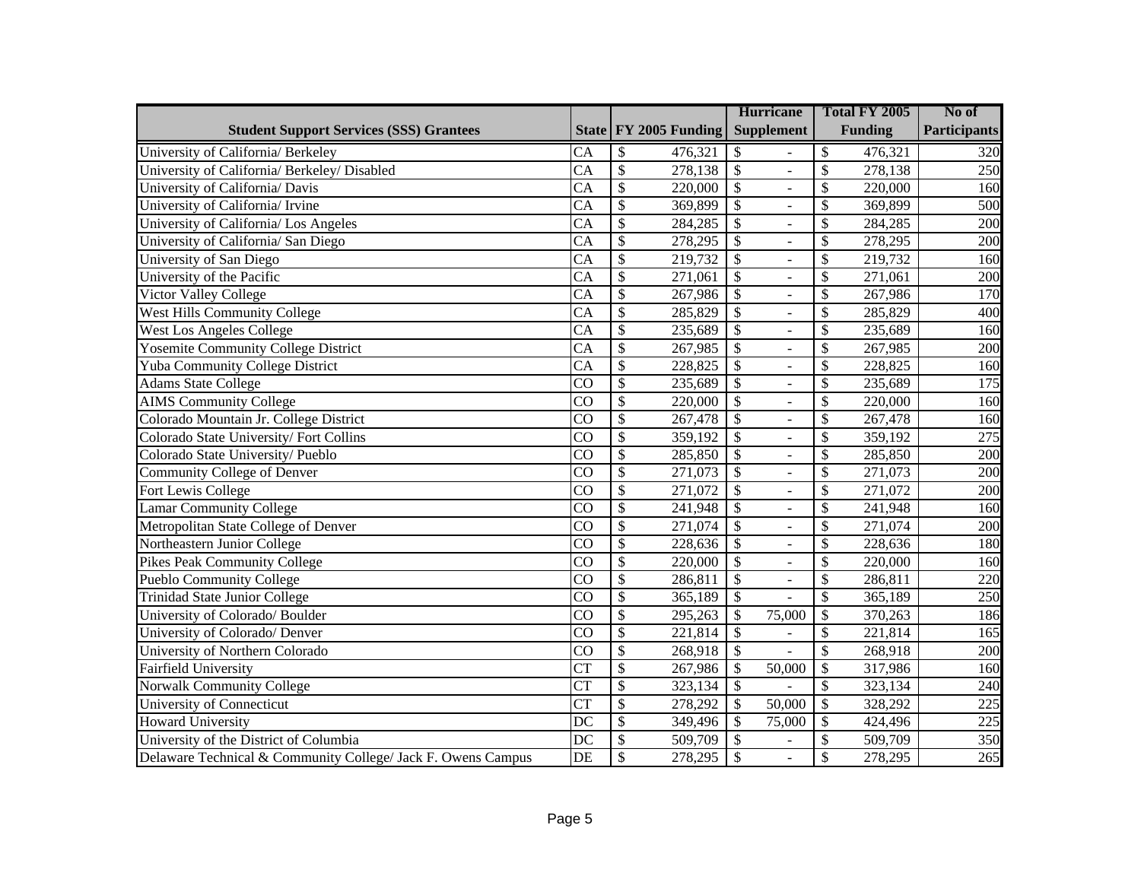|                                                              |                        |                                     | <b>Hurricane</b>                            | Total FY 2005                       | No of               |
|--------------------------------------------------------------|------------------------|-------------------------------------|---------------------------------------------|-------------------------------------|---------------------|
| <b>Student Support Services (SSS) Grantees</b>               |                        | State FY 2005 Funding               | <b>Supplement</b>                           | <b>Funding</b>                      | <b>Participants</b> |
| University of California/ Berkeley                           | CA                     | \$<br>476,321                       | \$                                          | \$<br>476,321                       | 320                 |
| University of California/ Berkeley/ Disabled                 | CA                     | $\overline{\$}$<br>278,138          | $\mathcal{S}$<br>$\overline{a}$             | \$<br>278,138                       | 250                 |
| University of California/ Davis                              | CA                     | $\overline{\$}$<br>220,000          | $\overline{\$}$                             | \$<br>220,000                       | 160                 |
| University of California/ Irvine                             | $\overline{CA}$        | $\overline{\$}$<br>369,899          | $\overline{\$}$<br>$\overline{a}$           | \$<br>369,899                       | 500                 |
| University of California/ Los Angeles                        | CA                     | $\overline{\$}$<br>284,285          | $\overline{\$}$<br>$\overline{a}$           | \$<br>284,285                       | 200                 |
| University of California/ San Diego                          | $\overline{CA}$        | $\overline{\$}$<br>278,295          | $\overline{\$}$<br>$\overline{a}$           | \$<br>278,295                       | 200                 |
| University of San Diego                                      | CA                     | $\overline{\$}$<br>219,732          | $\overline{\$}$<br>$\overline{a}$           | \$<br>219,732                       | 160                 |
| University of the Pacific                                    | CA                     | $\overline{\$}$<br>271,061          | $\overline{\$}$<br>$\overline{a}$           | \$<br>271,061                       | 200                 |
| Victor Valley College                                        | CA                     | $\overline{\$}$<br>267,986          | $\overline{\$}$<br>$\overline{a}$           | \$<br>267,986                       | 170                 |
| <b>West Hills Community College</b>                          | CA                     | $\overline{\$}$<br>285,829          | $\overline{\$}$<br>$\overline{a}$           | \$<br>285,829                       | 400                 |
| <b>West Los Angeles College</b>                              | CA                     | $\overline{\mathcal{S}}$<br>235,689 | $\overline{\$}$<br>$\omega$                 | \$<br>235,689                       | 160                 |
| <b>Yosemite Community College District</b>                   | $\overline{CA}$        | $\overline{\mathcal{S}}$<br>267,985 | $\sqrt{3}$<br>$\overline{a}$                | $\overline{\mathcal{S}}$<br>267,985 | $\overline{200}$    |
| <b>Yuba Community College District</b>                       | $\overline{CA}$        | $\overline{\$}$<br>228,825          | $\overline{\$}$<br>$\omega$                 | $\overline{\mathcal{S}}$<br>228,825 | 160                 |
| Adams State College                                          | $\overline{CO}$        | $\overline{\$}$<br>235,689          | $\overline{\mathcal{S}}$<br>$\overline{a}$  | $\overline{\mathcal{S}}$<br>235,689 | 175                 |
| <b>AIMS Community College</b>                                | $\overline{CO}$        | $\overline{\$}$<br>220,000          | $\overline{\$}$<br>$\overline{a}$           | \$<br>220,000                       | 160                 |
| Colorado Mountain Jr. College District                       | CO                     | $\overline{\$}$<br>267,478          | $\overline{\$}$<br>$\equiv$                 | \$<br>267,478                       | 160                 |
| Colorado State University/Fort Collins                       | CO                     | $\overline{\$}$<br>359,192          | $\overline{\$}$<br>$\overline{a}$           | \$<br>359,192                       | 275                 |
| Colorado State University/ Pueblo                            | CO                     | $\overline{\$}$<br>285,850          | $\overline{\$}$<br>$\omega$                 | \$<br>285,850                       | 200                 |
| Community College of Denver                                  | CO                     | $\overline{\$}$<br>271,073          | $\overline{\$}$<br>$\bar{\phantom{a}}$      | \$<br>271,073                       | 200                 |
| Fort Lewis College                                           | CO                     | $\overline{\$}$<br>271,072          | $\overline{\$}$<br>$\overline{\phantom{a}}$ | \$<br>271,072                       | 200                 |
| Lamar Community College                                      | $\overline{CO}$        | $\overline{\$}$<br>241,948          | $\overline{\$}$<br>$\bar{\phantom{a}}$      | \$<br>241,948                       | 160                 |
| Metropolitan State College of Denver                         | CO                     | $\overline{\$}$<br>271,074          | $\overline{\$}$<br>$\overline{a}$           | \$<br>271,074                       | 200                 |
| Northeastern Junior College                                  | CO                     | $\overline{\$}$<br>228,636          | $\overline{\$}$<br>$\omega$                 | \$<br>228,636                       | 180                 |
| <b>Pikes Peak Community College</b>                          | CO                     | $\overline{\$}$<br>220,000          | $\overline{\$}$<br>$\overline{\phantom{0}}$ | \$<br>220,000                       | 160                 |
| <b>Pueblo Community College</b>                              | CO                     | $\overline{\$}$<br>286,811          | $\overline{\$}$<br>$\overline{a}$           | \$<br>286,811                       | 220                 |
| <b>Trinidad State Junior College</b>                         | CO                     | \$<br>365,189                       | $\overline{\mathcal{S}}$                    | \$<br>365,189                       | $\overline{250}$    |
| University of Colorado/ Boulder                              | CO                     | $\overline{\$}$<br>295,263          | \$<br>75,000                                | \$<br>370,263                       | 186                 |
| University of Colorado/ Denver                               | CO                     | \$<br>221,814                       | $\mathcal{S}$                               | \$<br>221,814                       | 165                 |
| University of Northern Colorado                              | $\overline{CO}$        | $\overline{\$}$<br>268,918          | $\overline{\mathcal{S}}$                    | $\overline{\mathcal{S}}$<br>268,918 | 200                 |
| <b>Fairfield University</b>                                  | $\overline{\text{CT}}$ | $\overline{\$}$<br>267,986          | $\overline{\$}$<br>50,000                   | \$<br>317,986                       | 160                 |
| <b>Norwalk Community College</b>                             | $\overline{\text{CT}}$ | $\overline{\$}$<br>323,134          | $\overline{\mathcal{S}}$                    | \$<br>323,134                       | 240                 |
| <b>University of Connecticut</b>                             | $\overline{\text{CT}}$ | $\overline{\$}$<br>278,292          | $\boldsymbol{\mathsf{S}}$<br>50,000         | \$<br>328,292                       | 225                 |
| <b>Howard University</b>                                     | DC                     | $\overline{\$}$<br>349,496          | $\overline{\$}$<br>75,000                   | \$<br>424,496                       | 225                 |
| University of the District of Columbia                       | DC                     | \$<br>509,709                       | \$<br>$\overline{a}$                        | \$<br>509,709                       | 350                 |
| Delaware Technical & Community College/ Jack F. Owens Campus | DE                     | \$<br>278,295                       | $\overline{\mathcal{S}}$<br>$\blacksquare$  | \$<br>278,295                       | 265                 |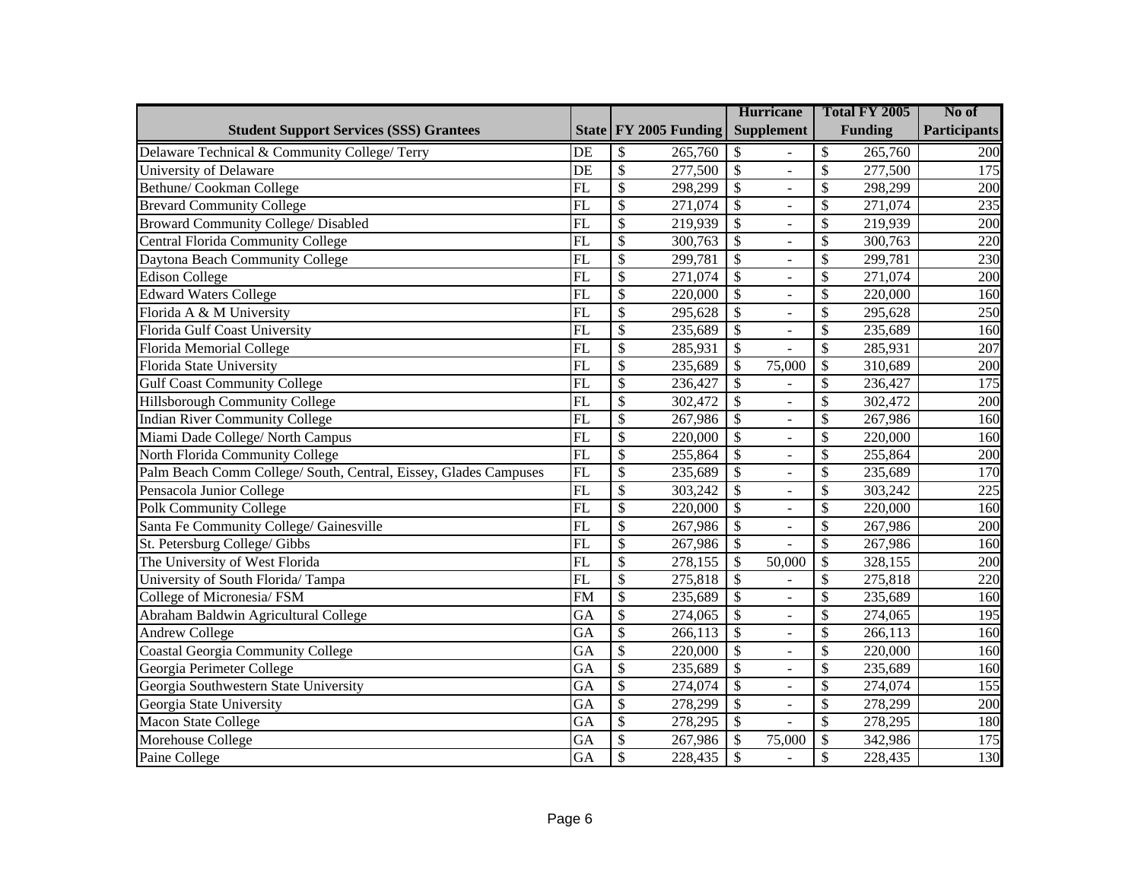|                                                                  |                 |                                      | <b>Hurricane</b>                            | Total FY 2005                       | No of               |
|------------------------------------------------------------------|-----------------|--------------------------------------|---------------------------------------------|-------------------------------------|---------------------|
| <b>Student Support Services (SSS) Grantees</b>                   |                 | State   FY 2005 Funding              | <b>Supplement</b>                           | <b>Funding</b>                      | <b>Participants</b> |
| Delaware Technical & Community College/ Terry                    | DE              | \$<br>265,760                        | \$                                          | \$<br>265,760                       | 200                 |
| University of Delaware                                           | DE              | $\boldsymbol{\mathsf{S}}$<br>277,500 | $\overline{\mathcal{S}}$<br>$\overline{a}$  | \$<br>277,500                       | 175                 |
| Bethune/ Cookman College                                         | FL              | $\boldsymbol{\mathsf{S}}$<br>298,299 | $\mathcal{S}$<br>÷,                         | \$<br>298,299                       | 200                 |
| <b>Brevard Community College</b>                                 | FL              | $\boldsymbol{\mathsf{S}}$<br>271,074 | $\mathcal{S}$<br>$\equiv$                   | \$<br>271,074                       | 235                 |
| <b>Broward Community College/ Disabled</b>                       | FL              | $\boldsymbol{\mathsf{S}}$<br>219,939 | \$<br>$\overline{\phantom{a}}$              | \$<br>219,939                       | 200                 |
| <b>Central Florida Community College</b>                         | $\overline{FL}$ | $\overline{\$}$<br>300,763           | $\overline{\$}$<br>$\equiv$                 | \$<br>300,763                       | 220                 |
| Daytona Beach Community College                                  | FL              | $\overline{\mathcal{S}}$<br>299,781  | $\overline{\$}$<br>$\equiv$                 | \$<br>299,781                       | 230                 |
| Edison College                                                   | FL              | $\overline{\$}$<br>271,074           | $\overline{\$}$<br>$\equiv$                 | $\overline{\mathcal{S}}$<br>271,074 | $\overline{200}$    |
| <b>Edward Waters College</b>                                     | FL              | $\overline{\mathcal{S}}$<br>220,000  | $\overline{\$}$<br>$\overline{a}$           | \$<br>220,000                       | 160                 |
| Florida A & M University                                         | FL              | $\overline{\$}$<br>295,628           | $\overline{\$}$<br>$\overline{a}$           | \$<br>295,628                       | 250                 |
| Florida Gulf Coast University                                    | $\overline{FL}$ | $\overline{\$}$<br>235,689           | $\overline{\$}$<br>$\overline{a}$           | $\overline{\mathcal{S}}$<br>235,689 | 160                 |
| <b>Florida Memorial College</b>                                  | $\overline{FL}$ | $\overline{\$}$<br>285,931           | $\overline{\$}$<br>$\overline{a}$           | $\overline{\mathcal{S}}$<br>285,931 | 207                 |
| <b>Florida State University</b>                                  | $\overline{FL}$ | $\overline{\$}$<br>235,689           | $\overline{\mathcal{S}}$<br>75,000          | $\overline{\mathcal{S}}$<br>310,689 | 200                 |
| <b>Gulf Coast Community College</b>                              | $\overline{FL}$ | $\overline{\$}$<br>236,427           | $\overline{\mathcal{S}}$                    | $\overline{\mathcal{S}}$<br>236,427 | 175                 |
| Hillsborough Community College                                   | $\overline{FL}$ | $\overline{\$}$<br>302,472           | $\overline{\mathcal{S}}$<br>$\overline{a}$  | $\overline{\mathcal{S}}$<br>302,472 | 200                 |
| <b>Indian River Community College</b>                            | FL              | $\mathcal{S}$<br>267,986             | $\mathcal{S}$<br>$\overline{\phantom{a}}$   | \$<br>267,986                       | 160                 |
| Miami Dade College/ North Campus                                 | FL              | $\boldsymbol{\mathsf{S}}$<br>220,000 | $\mathcal{S}$<br>$\overline{\phantom{a}}$   | \$<br>220,000                       | 160                 |
| North Florida Community College                                  | FL              | $\mathcal{S}$<br>255,864             | $\mathcal{S}$<br>$\overline{\phantom{a}}$   | \$<br>255,864                       | 200                 |
| Palm Beach Comm College/ South, Central, Eissey, Glades Campuses | FL              | $\boldsymbol{\mathsf{S}}$<br>235,689 | \$<br>$\overline{\phantom{a}}$              | \$<br>235,689                       | 170                 |
| Pensacola Junior College                                         | FL              | $\mathcal{S}$<br>303,242             | $\mathcal{S}$<br>$\blacksquare$             | \$<br>303,242                       | 225                 |
| <b>Polk Community College</b>                                    | FL              | $\overline{\mathcal{S}}$<br>220,000  | $\overline{\$}$<br>$\overline{\phantom{a}}$ | \$<br>220,000                       | 160                 |
| Santa Fe Community College/ Gainesville                          | FL              | $\overline{\mathcal{S}}$<br>267,986  | $\overline{\mathcal{S}}$<br>$\blacksquare$  | \$<br>267,986                       | $\overline{200}$    |
| St. Petersburg College/ Gibbs                                    | FL              | $\overline{\mathcal{S}}$<br>267,986  | $\overline{\$}$                             | \$<br>267,986                       | 160                 |
| The University of West Florida                                   | FL              | $\overline{\mathcal{S}}$<br>278,155  | $\overline{\mathcal{S}}$<br>50,000          | $\overline{\mathcal{S}}$<br>328,155 | $\overline{200}$    |
| University of South Florida/Tampa                                | FL              | $\overline{\mathcal{S}}$<br>275,818  | $\overline{\$}$                             | \$<br>275,818                       | 220                 |
| College of Micronesia/ FSM                                       | <b>FM</b>       | $\overline{\mathcal{S}}$<br>235,689  | $\overline{\$}$<br>$\overline{a}$           | $\overline{\mathcal{S}}$<br>235,689 | 160                 |
| Abraham Baldwin Agricultural College                             | GA              | $\overline{\mathcal{S}}$<br>274,065  | $\overline{\$}$<br>$\overline{\phantom{0}}$ | \$<br>274,065                       | 195                 |
| <b>Andrew College</b>                                            | $\overline{GA}$ | $\overline{\mathcal{S}}$<br>266,113  | $\overline{\$}$<br>$\overline{a}$           | \$<br>266,113                       | 160                 |
| <b>Coastal Georgia Community College</b>                         | GA              | $\overline{\mathcal{S}}$<br>220,000  | $\overline{\$}$<br>$\overline{a}$           | \$<br>220,000                       | 160                 |
| Georgia Perimeter College                                        | GA              | $\overline{\$}$<br>235,689           | $\overline{\$}$<br>$\overline{a}$           | \$<br>235,689                       | 160                 |
| Georgia Southwestern State University                            | GA              | $\overline{\$}$<br>274,074           | $\overline{\$}$<br>$\overline{a}$           | \$<br>274,074                       | 155                 |
| Georgia State University                                         | <b>GA</b>       | $\overline{\$}$<br>278,299           | $\overline{\$}$<br>$\overline{a}$           | \$<br>278,299                       | 200                 |
| <b>Macon State College</b>                                       | <b>GA</b>       | $\overline{\mathcal{S}}$<br>278,295  | $\overline{\$}$<br>$\overline{a}$           | \$<br>278,295                       | 180                 |
| Morehouse College                                                | GA              | $\overline{\$}$<br>267,986           | \$<br>75,000                                | \$<br>342,986                       | 175                 |
| Paine College                                                    | $\overline{GA}$ | $\overline{\mathcal{S}}$<br>228,435  | $\boldsymbol{\mathsf{S}}$<br>÷,             | \$<br>228,435                       | 130                 |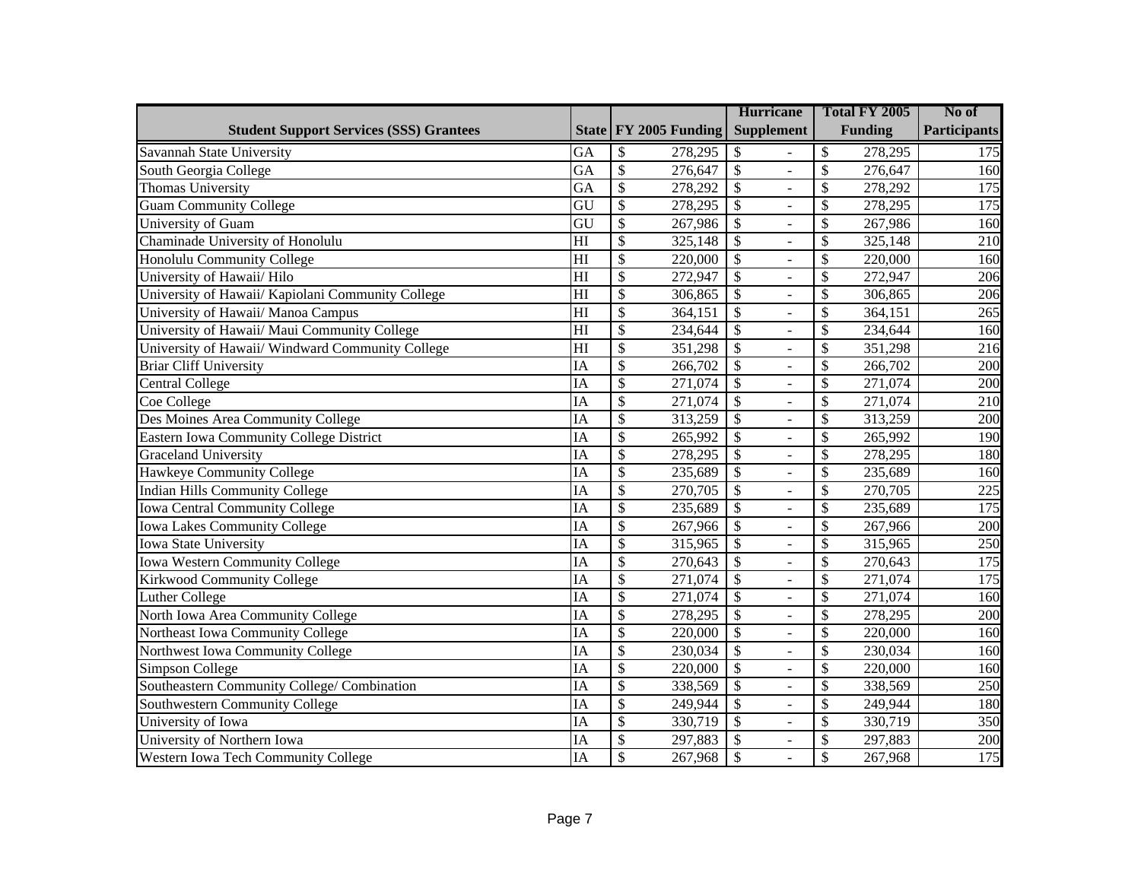|                                                   |                 |                                     | <b>Hurricane</b>                                     | Total FY 2005                       | No of               |
|---------------------------------------------------|-----------------|-------------------------------------|------------------------------------------------------|-------------------------------------|---------------------|
| <b>Student Support Services (SSS) Grantees</b>    |                 | State FY 2005 Funding               | <b>Supplement</b>                                    | <b>Funding</b>                      | <b>Participants</b> |
| Savannah State University                         | GA              | \$<br>278,295                       | \$                                                   | \$<br>278,295                       | 175                 |
| South Georgia College                             | $\overline{GA}$ | $\overline{\$}$<br>276,647          | $\overline{\$}$<br>$\overline{a}$                    | $\overline{\mathcal{S}}$<br>276,647 | 160                 |
| Thomas University                                 | $\overline{GA}$ | $\overline{\$}$<br>278,292          | $\overline{\$}$<br>$\overline{a}$                    | \$<br>278,292                       | 175                 |
| <b>Guam Community College</b>                     | $\overline{GU}$ | $\overline{\$}$<br>278, 295         | $\overline{\$}$<br>$\Box$                            | \$<br>278,295                       | 175                 |
| University of Guam                                | GU              | $\overline{\$}$<br>267,986          | $\overline{\$}$<br>$\frac{1}{2}$                     | \$<br>267,986                       | $\overline{160}$    |
| Chaminade University of Honolulu                  | H1              | $\overline{\$}$<br>325,148          | $\overline{\$}$<br>$\Box$                            | \$<br>325,148                       | $\overline{210}$    |
| Honolulu Community College                        | $\overline{H}$  | $\overline{\$}$<br>220,000          | $\overline{\$}$<br>$\frac{1}{2}$                     | $\mathcal{S}$<br>220,000            | 160                 |
| University of Hawaii/ Hilo                        | $\overline{H}$  | $\overline{\$}$<br>272,947          | $\overline{\$}$<br>$\overline{\phantom{a}}$          | \$<br>272,947                       | 206                 |
| University of Hawaii/ Kapiolani Community College | $\overline{H}$  | $\overline{\$}$<br>306,865          | $\overline{\$}$<br>$\frac{1}{2}$                     | \$<br>306,865                       | 206                 |
| University of Hawaii/ Manoa Campus                | $\overline{H}$  | $\overline{\$}$<br>364,151          | $\overline{\$}$<br>$\Box$                            | \$<br>364,151                       | 265                 |
| University of Hawaii/ Maui Community College      | $\overline{H}$  | $\overline{\$}$<br>234,644          | $\overline{\mathcal{S}}$<br>$\overline{a}$           | \$<br>234,644                       | 160                 |
| University of Hawaii/ Windward Community College  | $\overline{H}$  | $\overline{\$}$<br>351,298          | $\overline{\mathcal{S}}$<br>$\overline{a}$           | \$<br>351,298                       | 216                 |
| <b>Briar Cliff University</b>                     | $\overline{IA}$ | $\overline{\$}$<br>266,702          | $\overline{\$}$<br>$\Box$                            | \$<br>266,702                       | $\overline{200}$    |
| Central College                                   | IA              | $\overline{\mathcal{S}}$<br>271,074 | $\overline{\$}$<br>$\overline{a}$                    | $\overline{\mathcal{S}}$<br>271,074 | 200                 |
| Coe College                                       | $\overline{IA}$ | $\overline{\mathcal{S}}$<br>271,074 | $\overline{\$}$<br>$\Box$                            | $\overline{\mathcal{S}}$<br>271,074 | 210                 |
| Des Moines Area Community College                 | IA              | $\overline{\$}$<br>313,259          | $\overline{\$}$<br>$\Box$                            | \$<br>313,259                       | $\overline{200}$    |
| Eastern Iowa Community College District           | IA              | $\overline{\$}$<br>265,992          | $\overline{\mathcal{S}}$<br>$\Box$                   | $\mathcal{S}$<br>265,992            | 190                 |
| Graceland University                              | IA              | \$<br>278,295                       | $\overline{\mathcal{S}}$<br>$\overline{\phantom{a}}$ | \$<br>278,295                       | 180                 |
| Hawkeye Community College                         | IA              | $\overline{\$}$<br>235,689          | $\overline{\$}$<br>$\overline{\phantom{a}}$          | \$<br>235,689                       | 160                 |
| Indian Hills Community College                    | IA              | $\overline{\$}$<br>270,705          | $\overline{\$}$<br>$\overline{\phantom{a}}$          | \$<br>270,705                       | 225                 |
| <b>Iowa Central Community College</b>             | IA              | $\overline{\$}$<br>235,689          | $\overline{\$}$<br>$\Box$                            | \$<br>235,689                       | 175                 |
| <b>Iowa Lakes Community College</b>               | IA              | $\overline{\$}$<br>267,966          | $\overline{\$}$<br>$\blacksquare$                    | \$<br>267,966                       | 200                 |
| <b>Iowa State University</b>                      | IA              | $\overline{\mathcal{S}}$<br>315,965 | $\overline{\mathcal{S}}$<br>$\omega$                 | $\mathcal{S}$<br>315,965            | $\overline{250}$    |
| <b>Iowa Western Community College</b>             | IA              | $\overline{\$}$<br>270,643          | $\overline{\$}$<br>$\blacksquare$                    | \$<br>270,643                       | 175                 |
| Kirkwood Community College                        | IA              | $\overline{\$}$<br>271,074          | $\overline{\$}$<br>$\blacksquare$                    | $\overline{\mathcal{S}}$<br>271,074 | 175                 |
| Luther College                                    | IA              | $\overline{\$}$<br>271,074          | $\overline{\$}$<br>$\blacksquare$                    | $\overline{\mathcal{S}}$<br>271,074 | 160                 |
| North Iowa Area Community College                 | IA              | $\overline{\$}$<br>278,295          | $\overline{\$}$<br>$\overline{\phantom{a}}$          | $\overline{\mathcal{S}}$<br>278,295 | 200                 |
| Northeast Iowa Community College                  | <b>IA</b>       | $\overline{\$}$<br>220,000          | $\overline{\$}$<br>$\blacksquare$                    | \$<br>220,000                       | 160                 |
| Northwest Iowa Community College                  | IA              | \$<br>230,034                       | $\overline{\$}$<br>$\blacksquare$                    | \$<br>230,034                       | 160                 |
| Simpson College                                   | IA              | $\overline{\$}$<br>220,000          | $\overline{\mathcal{S}}$<br>$\blacksquare$           | \$<br>220,000                       | 160                 |
| Southeastern Community College/ Combination       | IA              | $\overline{\$}$<br>338,569          | $\overline{\$}$<br>$\overline{\phantom{a}}$          | \$<br>338,569                       | 250                 |
| Southwestern Community College                    | IA              | $\overline{\$}$<br>249,944          | $\overline{\$}$<br>$\overline{\phantom{a}}$          | $\overline{\mathcal{S}}$<br>249,944 | 180                 |
| University of Iowa                                | IA              | $\overline{\$}$<br>330,719          | $\overline{\$}$<br>$\Box$                            | \$<br>330,719                       | 350                 |
| University of Northern Iowa                       | <b>IA</b>       | $\overline{\$}$<br>297,883          | $\overline{\$}$<br>$\Box$                            | $\overline{\$}$<br>297,883          | 200                 |
| Western Iowa Tech Community College               | <b>IA</b>       | $\overline{\$}$<br>267,968          | $\mathcal{S}$<br>$\overline{a}$                      | $\overline{\$}$<br>267,968          | 175                 |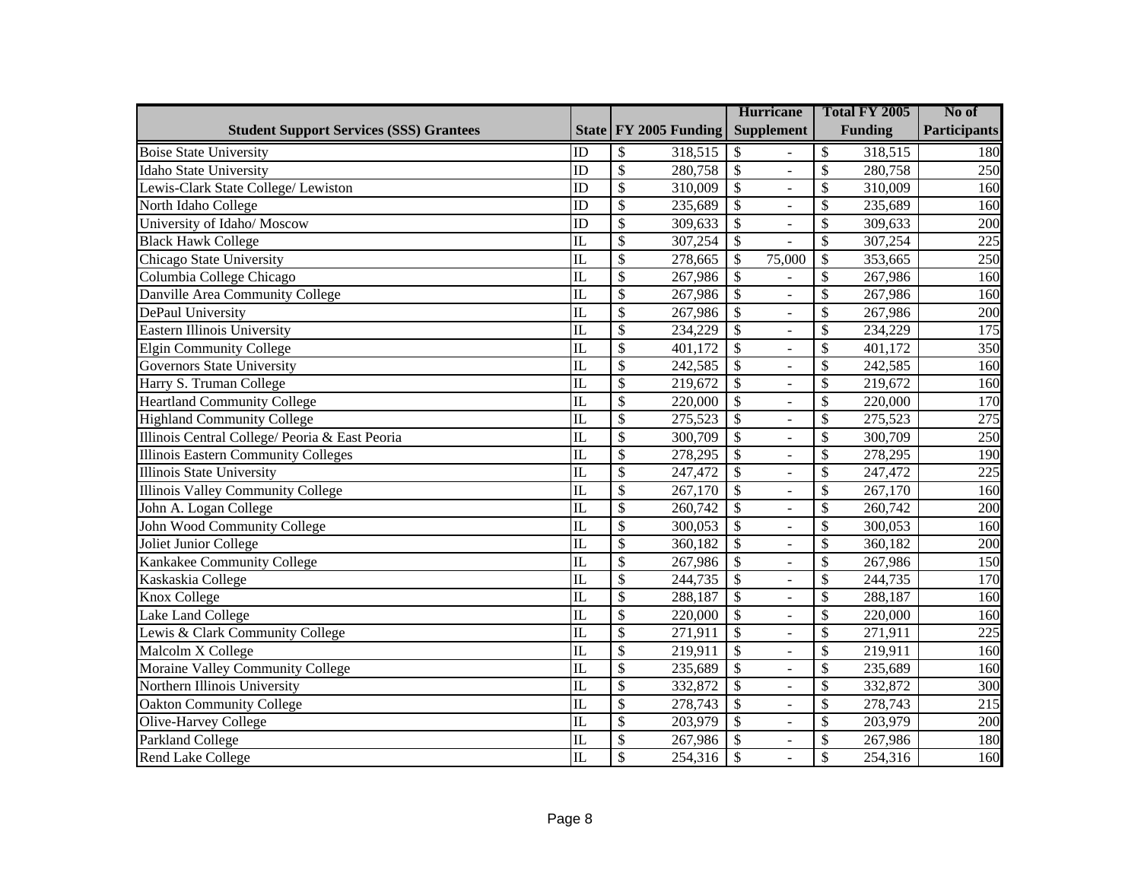|                                                |                         |                                      | <b>Hurricane</b>                                     | Total FY 2005                       | No of               |
|------------------------------------------------|-------------------------|--------------------------------------|------------------------------------------------------|-------------------------------------|---------------------|
| <b>Student Support Services (SSS) Grantees</b> |                         | State   FY 2005 Funding              | <b>Supplement</b>                                    | <b>Funding</b>                      | <b>Participants</b> |
| <b>Boise State University</b>                  | ID                      | \$<br>318,515                        | \$                                                   | \$<br>318,515                       | 180                 |
| <b>Idaho State University</b>                  | ID                      | $\mathcal{S}$<br>280,758             | $\overline{\mathcal{S}}$<br>$\overline{\phantom{a}}$ | \$<br>280,758                       | 250                 |
| Lewis-Clark State College/ Lewiston            | ID                      | $\overline{\mathcal{S}}$<br>310,009  | $\overline{\mathcal{S}}$<br>÷,                       | \$<br>310,009                       | 160                 |
| North Idaho College                            | $\overline{ID}$         | $\overline{\$}$<br>235,689           | $\overline{\mathcal{S}}$<br>$\equiv$                 | \$<br>235,689                       | 160                 |
| University of Idaho/ Moscow                    | ID                      | $\overline{\mathcal{S}}$<br>309,633  | $\overline{\$}$<br>$\overline{\phantom{0}}$          | \$<br>309,633                       | $\overline{200}$    |
| <b>Black Hawk College</b>                      | $\overline{\text{IL}}$  | $\overline{\mathcal{S}}$<br>307,254  | $\overline{\$}$                                      | \$<br>307,254                       | 225                 |
| Chicago State University                       | $\mathbf{L}$            | $\overline{\$}$<br>278,665           | \$<br>75,000                                         | \$<br>353,665                       | 250                 |
| Columbia College Chicago                       | IL                      | $\overline{\$}$<br>267,986           | $\overline{\$}$                                      | \$<br>267,986                       | $\overline{160}$    |
| Danville Area Community College                | $\mathbf{I}$            | $\overline{\$}$<br>267,986           | $\overline{\$}$<br>$\equiv$                          | \$<br>267,986                       | 160                 |
| DePaul University                              | $\mathbf{L}$            | $\overline{\$}$<br>267,986           | $\overline{\$}$<br>$\overline{a}$                    | \$<br>267,986                       | 200                 |
| Eastern Illinois University                    | $\overline{\mathbb{L}}$ | $\overline{\mathcal{S}}$<br>234,229  | $\overline{\mathcal{S}}$<br>$\equiv$                 | \$<br>234,229                       | 175                 |
| <b>Elgin Community College</b>                 | $\overline{\mathbb{L}}$ | $\overline{\$}$<br>401,172           | $\overline{\$}$<br>$\overline{a}$                    | $\overline{\mathcal{S}}$<br>401,172 | 350                 |
| <b>Governors State University</b>              | $\overline{\mathbb{L}}$ | $\overline{\$}$<br>242,585           | $\overline{\$}$<br>$\bar{\phantom{a}}$               | $\overline{\mathcal{S}}$<br>242,585 | 160                 |
| Harry S. Truman College                        | $\overline{\text{IL}}$  | $\overline{\$}$<br>219,672           | $\overline{\$}$<br>$\overline{a}$                    | $\overline{\mathcal{S}}$<br>219,672 | 160                 |
| <b>Heartland Community College</b>             | $\overline{\text{IL}}$  | $\overline{\mathcal{S}}$<br>220,000  | $\overline{\mathcal{S}}$<br>$\overline{a}$           | \$<br>220,000                       | 170                 |
| <b>Highland Community College</b>              | IL                      | $\overline{\$}$<br>275,523           | $\overline{\$}$<br>$\overline{a}$                    | \$<br>275,523                       | 275                 |
| Illinois Central College/ Peoria & East Peoria | $\mathbf{I}$            | $\overline{\mathcal{S}}$<br>300,709  | $\overline{\$}$<br>$\overline{a}$                    | \$<br>300,709                       | 250                 |
| <b>Illinois Eastern Community Colleges</b>     | IL                      | $\overline{\$}$<br>278,295           | $\overline{\$}$<br>$\equiv$                          | \$<br>278,295                       | 190                 |
| <b>Illinois State University</b>               | $\mathbf{L}$            | $\overline{\$}$<br>247,472           | $\overline{\$}$<br>$\bar{\phantom{a}}$               | \$<br>247,472                       | $\overline{225}$    |
| <b>Illinois Valley Community College</b>       | $\overline{\text{IL}}$  | $\overline{\$}$<br>267,170           | $\overline{\$}$<br>$\blacksquare$                    | \$<br>$\overline{267}, 170$         | 160                 |
| John A. Logan College                          | $\overline{\mathbb{L}}$ | $\overline{\$}$<br>260,742           | $\overline{\$}$<br>$\frac{1}{2}$                     | \$<br>260,742                       | $\overline{200}$    |
| John Wood Community College                    | $\mathbf{L}$            | $\overline{\$}$<br>300,053           | $\overline{\$}$<br>$\Box$                            | \$<br>300,053                       | 160                 |
| Joliet Junior College                          | $\overline{\mathbb{L}}$ | $\overline{\$}$<br>360,182           | $\overline{\$}$<br>$\overline{\phantom{a}}$          | \$<br>360,182                       | $\overline{200}$    |
| Kankakee Community College                     | $\mathbf{L}$            | $\overline{\$}$<br>267,986           | $\overline{\$}$<br>$\overline{\phantom{a}}$          | \$<br>267,986                       | 150                 |
| Kaskaskia College                              | $\mathbf{L}$            | \$<br>244,735                        | \$<br>$\Box$                                         | \$<br>244,735                       | 170                 |
| Knox College                                   | $\mathbf{L}$            | \$<br>288,187                        | $\overline{\mathcal{S}}$<br>$\overline{\phantom{a}}$ | \$<br>288,187                       | 160                 |
| Lake Land College                              | $\mathbf{L}$            | $\overline{\$}$<br>220,000           | \$<br>$\overline{\phantom{a}}$                       | \$<br>220,000                       | 160                 |
| Lewis & Clark Community College                | IL                      | \$<br>271,911                        | $\overline{\$}$<br>$\blacksquare$                    | \$<br>271,911                       | 225                 |
| Malcolm X College                              | $\overline{\mathbb{L}}$ | $\overline{\$}$<br>219,911           | $\overline{\$}$<br>$\overline{a}$                    | $\overline{\mathcal{S}}$<br>219,911 | $\overline{160}$    |
| Moraine Valley Community College               | $\overline{\text{IL}}$  | $\overline{\mathbb{S}}$<br>235,689   | $\overline{\$}$<br>$\blacksquare$                    | \$<br>235,689                       | 160                 |
| Northern Illinois University                   | $\overline{\mathbb{L}}$ | $\overline{\mathcal{S}}$<br>332,872  | $\overline{\$}$<br>$\blacksquare$                    | \$<br>332,872                       | $\overline{300}$    |
| <b>Oakton Community College</b>                | IL                      | $\overline{\$}$<br>278,743           | $\overline{\$}$<br>$\blacksquare$                    | \$<br>278,743                       | 215                 |
| Olive-Harvey College                           | $\mathbf{I}$            | $\overline{\$}$<br>203,979           | $\overline{\$}$<br>$\blacksquare$                    | \$<br>203,979                       | $\overline{200}$    |
| Parkland College                               | $\mathbf{L}$            | $\boldsymbol{\mathsf{S}}$<br>267,986 | $\overline{\mathcal{S}}$<br>$\blacksquare$           | \$<br>267,986                       | <b>180</b>          |
| <b>Rend Lake College</b>                       | $\overline{\mathbb{L}}$ | $\mathcal{S}$<br>254,316             | $\overline{\mathcal{S}}$<br>$\blacksquare$           | \$<br>254,316                       | 160                 |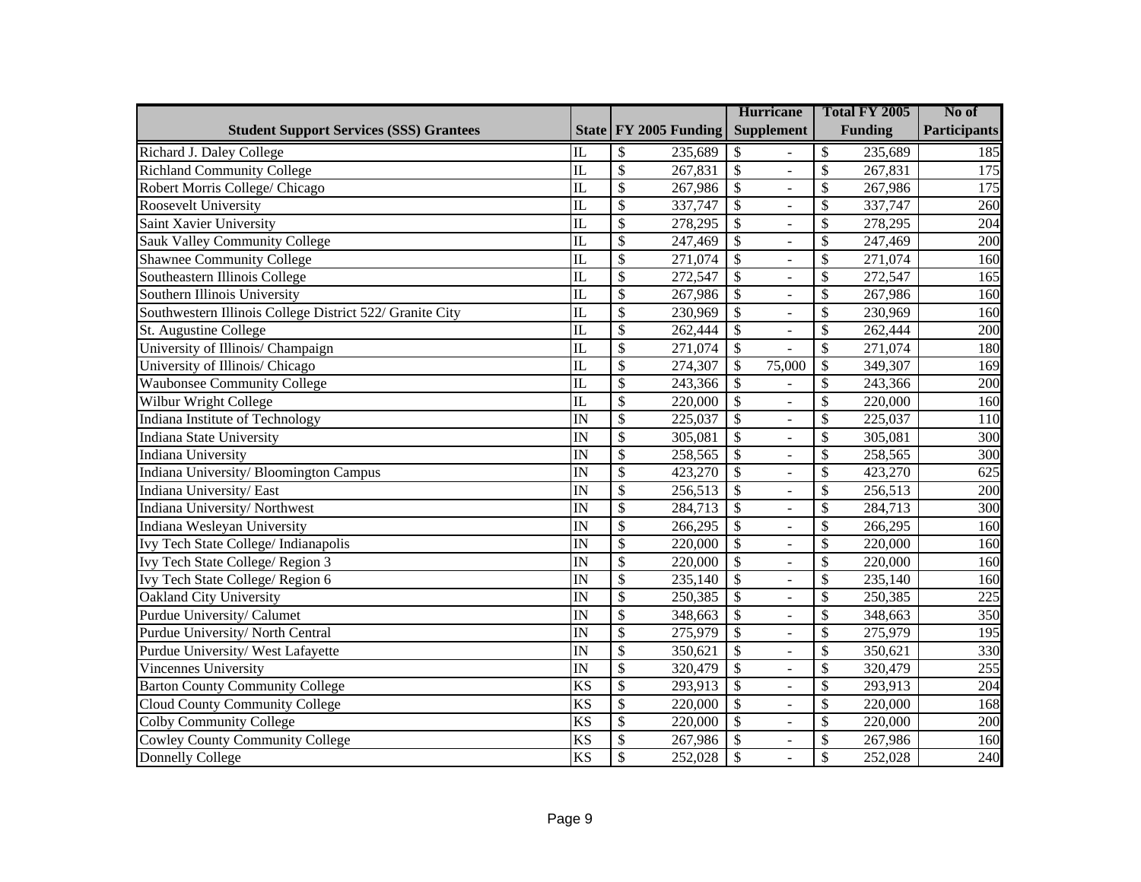|                                                          |                         |                                         | <b>Hurricane</b>                            | Total FY 2005                       | No of               |
|----------------------------------------------------------|-------------------------|-----------------------------------------|---------------------------------------------|-------------------------------------|---------------------|
| <b>Student Support Services (SSS) Grantees</b>           |                         | State   FY 2005 Funding                 | <b>Supplement</b>                           | <b>Funding</b>                      | <b>Participants</b> |
| Richard J. Daley College                                 | IL                      | $\mathcal{S}$<br>235,689                | \$                                          | \$<br>235,689                       | 185                 |
| <b>Richland Community College</b>                        | $\mathbf{I}$            | $\overline{\mathcal{S}}$<br>267,831     | $\overline{\mathcal{S}}$<br>$\overline{a}$  | $\mathcal{S}$<br>267,831            | 175                 |
| Robert Morris College/ Chicago                           | $\mathbf{L}$            | $\mathcal{S}$<br>267,986                | $\boldsymbol{\mathsf{S}}$<br>÷,             | $\mathcal{S}$<br>267,986            | 175                 |
| Roosevelt University                                     | $\overline{\mathbb{L}}$ | \$<br>337,747                           | $\overline{\$}$<br>$\blacksquare$           | \$<br>337,747                       | 260                 |
| Saint Xavier University                                  | $\mathbf{L}$            | $\mathcal{S}$<br>278,295                | \$<br>$\overline{\phantom{a}}$              | \$<br>278,295                       | 204                 |
| Sauk Valley Community College                            | $\overline{\text{IL}}$  | $\overline{\mathcal{S}}$<br>247,469     | $\overline{\$}$<br>$\blacksquare$           | \$<br>247,469                       | $\overline{200}$    |
| <b>Shawnee Community College</b>                         | $\overline{\mathbb{L}}$ | $\overline{\mathcal{S}}$<br>271,074     | $\overline{\$}$<br>$\blacksquare$           | \$<br>271,074                       | 160                 |
| Southeastern Illinois College                            | $\overline{\mathbb{L}}$ | $\overline{\mathcal{S}}$<br>272,547     | $\overline{\$}$<br>$\blacksquare$           | $\overline{\mathcal{S}}$<br>272,547 | 165                 |
| Southern Illinois University                             | $\overline{\mathbb{L}}$ | $\overline{\$}$<br>$\overline{267,986}$ | $\overline{\$}$<br>$\overline{a}$           | \$<br>267,986                       | 160                 |
| Southwestern Illinois College District 522/ Granite City | $\overline{\text{IL}}$  | $\overline{\mathcal{S}}$<br>230,969     | $\overline{\$}$<br>$\overline{a}$           | \$<br>230,969                       | 160                 |
| St. Augustine College                                    | $\overline{\mathbb{L}}$ | $\overline{\mathcal{S}}$<br>262,444     | $\overline{\$}$<br>$\overline{a}$           | $\overline{\mathcal{S}}$<br>262,444 | 200                 |
| University of Illinois/ Champaign                        | $\overline{\mathbb{L}}$ | $\overline{\mathcal{S}}$<br>271,074     | $\overline{\$}$<br>$\overline{a}$           | $\overline{\mathcal{S}}$<br>271,074 | 180                 |
| University of Illinois/ Chicago                          | $\overline{\mathbb{L}}$ | $\overline{\mathcal{S}}$<br>274,307     | $\overline{\mathcal{S}}$<br>75,000          | $\overline{\$}$<br>349,307          | 169                 |
| <b>Waubonsee Community College</b>                       | $\overline{\text{IL}}$  | $\overline{\mathcal{S}}$<br>243,366     | $\overline{\$}$                             | $\overline{\$}$<br>243,366          | 200                 |
| Wilbur Wright College                                    | $\overline{\mathbb{L}}$ | $\overline{\mathcal{S}}$<br>220,000     | $\overline{\$}$<br>$\overline{a}$           | $\overline{\$}$<br>220,000          | 160                 |
| Indiana Institute of Technology                          | $\overline{\mathbf{N}}$ | $\mathcal{S}$<br>225,037                | $\mathcal{S}$<br>$\blacksquare$             | \$<br>225,037                       | 110                 |
| Indiana State University                                 | $\overline{\mathbf{N}}$ | $\mathcal{S}$<br>305,081                | $\overline{\$}$<br>$\blacksquare$           | \$<br>305,081                       | 300                 |
| Indiana University                                       | $\overline{\mathbf{N}}$ | $\mathcal{S}$<br>258,565                | \$<br>$\blacksquare$                        | \$<br>258,565                       | 300                 |
| Indiana University/Bloomington Campus                    | IN                      | $\mathcal{S}$<br>423,270                | \$<br>$\overline{\phantom{a}}$              | \$<br>423,270                       | 625                 |
| Indiana University/East                                  | $\overline{\mathbf{N}}$ | $\mathcal{S}$<br>256,513                | $\mathcal{S}$<br>$\blacksquare$             | \$<br>256,513                       | 200                 |
| Indiana University/Northwest                             | $\overline{\mathbb{N}}$ | $\overline{\mathcal{S}}$<br>284,713     | $\overline{\$}$<br>$\blacksquare$           | \$<br>284,713                       | $\overline{300}$    |
| Indiana Wesleyan University                              | $\overline{\mathbb{N}}$ | $\overline{\mathcal{S}}$<br>266,295     | $\overline{\$}$<br>$\blacksquare$           | \$<br>266,295                       | 160                 |
| Ivy Tech State College/ Indianapolis                     | IN                      | $\overline{\mathcal{S}}$<br>220,000     | $\overline{\$}$<br>$\blacksquare$           | \$<br>220,000                       | 160                 |
| <b>Ivy Tech State College/Region 3</b>                   | $\overline{\text{IN}}$  | $\overline{\mathcal{S}}$<br>220,000     | $\overline{\$}$<br>$\overline{a}$           | \$<br>220,000                       | 160                 |
| Ivy Tech State College/Region 6                          | IN                      | $\overline{\mathcal{S}}$<br>235,140     | $\overline{\$}$<br>$\overline{\phantom{0}}$ | \$<br>235,140                       | 160                 |
| Oakland City University                                  | $\overline{\mathbb{N}}$ | $\overline{\mathcal{S}}$<br>250,385     | $\overline{\$}$<br>$\overline{a}$           | \$<br>250,385                       | 225                 |
| Purdue University/ Calumet                               | $\overline{\mathbf{N}}$ | $\overline{\mathcal{S}}$<br>348,663     | $\overline{\$}$<br>$\overline{a}$           | \$<br>348,663                       | 350                 |
| Purdue University/North Central                          | $\overline{\mathbb{N}}$ | $\overline{\mathcal{S}}$<br>275,979     | $\overline{\$}$<br>$\overline{a}$           | \$<br>275,979                       | 195                 |
| Purdue University/West Lafayette                         | IN                      | $\overline{\$}$<br>350,621              | $\overline{\$}$<br>$\overline{a}$           | \$<br>350,621                       | 330                 |
| Vincennes University                                     | $\overline{\mathbf{N}}$ | $\overline{\$}$<br>320,479              | $\overline{\$}$<br>$\overline{a}$           | \$<br>320,479                       | 255                 |
| <b>Barton County Community College</b>                   | <b>KS</b>               | $\overline{\$}$<br>293,913              | $\overline{\$}$<br>$\overline{a}$           | \$<br>293,913                       | 204                 |
| Cloud County Community College                           | <b>KS</b>               | $\overline{\$}$<br>220,000              | $\overline{\$}$<br>$\overline{a}$           | \$<br>220,000                       | 168                 |
| <b>Colby Community College</b>                           | <b>KS</b>               | $\overline{\mathcal{S}}$<br>220,000     | $\overline{\$}$<br>$\overline{a}$           | \$<br>220,000                       | 200                 |
| <b>Cowley County Community College</b>                   | $\overline{\text{KS}}$  | $\overline{\$}$<br>267,986              | $\overline{\$}$<br>$\Box$                   | \$<br>267,986                       | 160                 |
| <b>Donnelly College</b>                                  | <b>KS</b>               | $\overline{\$}$<br>252,028              | $\overline{\$}$<br>$\overline{a}$           | \$<br>252,028                       | 240                 |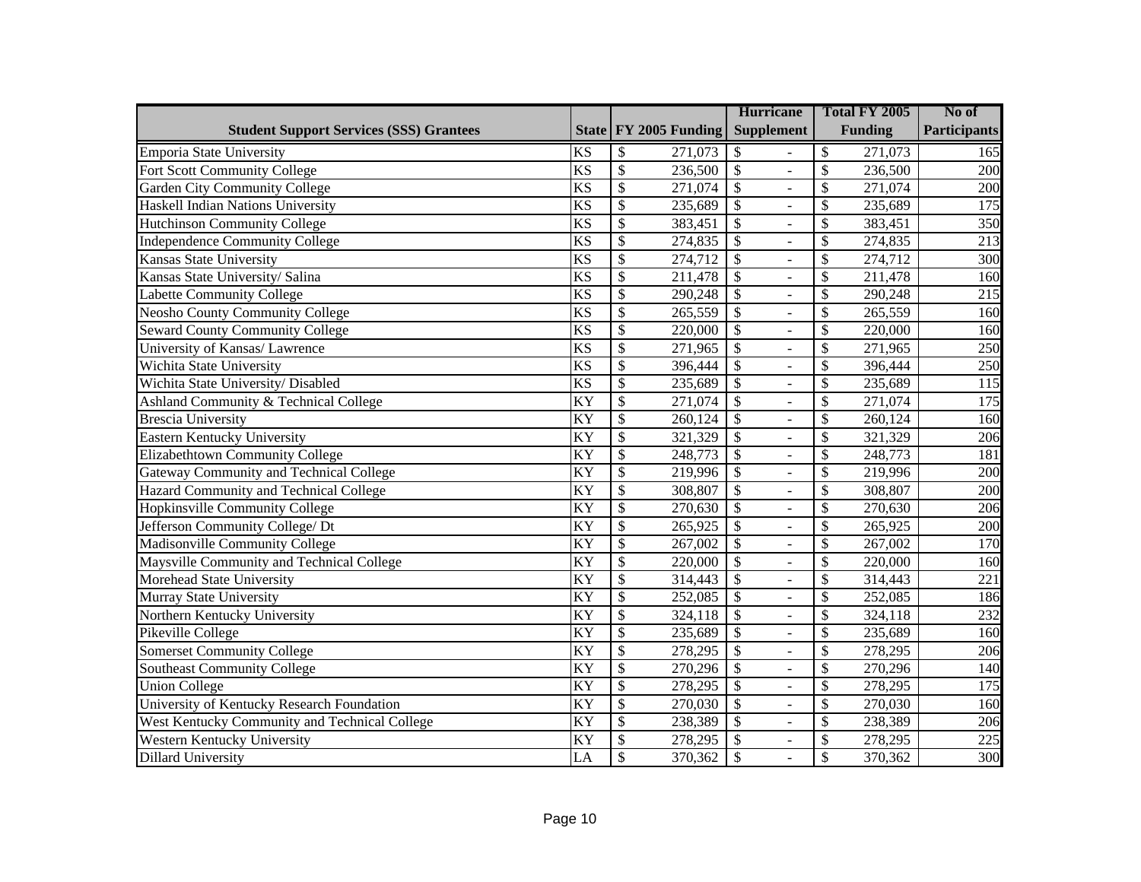|                                                |                        |                                     | <b>Hurricane</b>                           | Total FY 2005                       | No of               |
|------------------------------------------------|------------------------|-------------------------------------|--------------------------------------------|-------------------------------------|---------------------|
| <b>Student Support Services (SSS) Grantees</b> |                        | State FY 2005 Funding               | <b>Supplement</b>                          | <b>Funding</b>                      | <b>Participants</b> |
| Emporia State University                       | <b>KS</b>              | \$<br>271,073                       | \$                                         | \$<br>271,073                       | 165                 |
| Fort Scott Community College                   | $\overline{\text{KS}}$ | $\overline{\mathcal{S}}$<br>236,500 | $\mathcal{S}$<br>$\overline{a}$            | \$<br>236,500                       | 200                 |
| Garden City Community College                  | <b>KS</b>              | \$<br>271,074                       | $\mathcal{S}$                              | \$<br>271,074                       | 200                 |
| Haskell Indian Nations University              | <b>KS</b>              | $\overline{\$}$<br>235,689          | $\overline{\$}$<br>$\overline{a}$          | \$<br>235,689                       | $\overline{175}$    |
| Hutchinson Community College                   | $\overline{\text{KS}}$ | $\overline{\$}$<br>383,451          | $\overline{\$}$<br>÷,                      | \$<br>383,451                       | 350                 |
| Independence Community College                 | <b>KS</b>              | $\overline{\$}$<br>274,835          | $\overline{\$}$<br>$\overline{a}$          | \$<br>274,835                       | 213                 |
| Kansas State University                        | $\overline{\text{KS}}$ | $\overline{\$}$<br>274,712          | $\overline{\$}$<br>$\overline{a}$          | \$<br>274,712                       | 300                 |
| Kansas State University/Salina                 | <b>KS</b>              | $\overline{\$}$<br>211,478          | $\overline{\$}$<br>$\overline{a}$          | \$<br>211,478                       | 160                 |
| Labette Community College                      | $\overline{\text{KS}}$ | $\overline{\$}$<br>290,248          | $\overline{\$}$<br>$\overline{a}$          | \$<br>290,248                       | $\overline{215}$    |
| <b>Neosho County Community College</b>         | <b>KS</b>              | $\overline{\$}$<br>265,559          | $\overline{\$}$<br>$\overline{a}$          | \$<br>265,559                       | 160                 |
| <b>Seward County Community College</b>         | <b>KS</b>              | $\overline{\mathcal{S}}$<br>220,000 | $\overline{\mathcal{S}}$<br>$\overline{a}$ | \$<br>220,000                       | 160                 |
| University of Kansas/ Lawrence                 | KS                     | $\overline{\$}$<br>271,965          | $\overline{\mathcal{S}}$<br>$\overline{a}$ | \$<br>271,965                       | $\overline{250}$    |
| <b>Wichita State University</b>                | <b>KS</b>              | $\overline{\$}$<br>396,444          | $\overline{\mathcal{S}}$<br>L,             | \$<br>396,444                       | 250                 |
| Wichita State University/ Disabled             | $\overline{KS}$        | $\overline{\$}$<br>235,689          | $\overline{\mathcal{S}}$<br>$\overline{a}$ | \$<br>235,689                       | $\overline{115}$    |
| Ashland Community & Technical College          | <b>KY</b>              | $\overline{\$}$<br>271,074          | $\overline{\$}$<br>$\overline{a}$          | $\overline{\mathcal{S}}$<br>271,074 | 175                 |
| <b>Brescia University</b>                      | <b>KY</b>              | $\overline{\$}$<br>260,124          | $\overline{\mathcal{S}}$<br>$\overline{a}$ | \$<br>260,124                       | 160                 |
| <b>Eastern Kentucky University</b>             | <b>KY</b>              | $\overline{\$}$<br>321,329          | $\overline{\$}$<br>$\overline{a}$          | \$<br>321,329                       | $\overline{206}$    |
| <b>Elizabethtown Community College</b>         | $\overline{KY}$        | $\overline{\$}$<br>248,773          | $\overline{\$}$<br>$\overline{a}$          | \$<br>248,773                       | 181                 |
| Gateway Community and Technical College        | $\overline{KY}$        | $\overline{\$}$<br>219,996          | $\overline{\$}$<br>$\overline{a}$          | \$<br>219,996                       | 200                 |
| Hazard Community and Technical College         | $\overline{KY}$        | $\overline{\$}$<br>308,807          | $\overline{\$}$<br>$\overline{a}$          | \$<br>308,807                       | 200                 |
| Hopkinsville Community College                 | $\overline{KY}$        | $\overline{\$}$<br>270,630          | $\overline{\$}$<br>$\overline{a}$          | \$<br>270,630                       | 206                 |
| Jefferson Community College/ Dt                | $\overline{KY}$        | $\overline{\$}$<br>265,925          | $\overline{\$}$<br>$\overline{a}$          | \$<br>265,925                       | 200                 |
| Madisonville Community College                 | $\overline{KY}$        | $\overline{\$}$<br>267,002          | $\overline{\$}$<br>$\overline{a}$          | \$<br>267,002                       | 170                 |
| Maysville Community and Technical College      | $\overline{KY}$        | $\overline{\$}$<br>220,000          | $\overline{\$}$<br>$\overline{a}$          | \$<br>220,000                       | 160                 |
| Morehead State University                      | $\overline{KY}$        | $\overline{\$}$<br>314,443          | $\overline{\$}$<br>$\overline{a}$          | \$<br>314,443                       | $\overline{221}$    |
| Murray State University                        | <b>KY</b>              | $\overline{\$}$<br>252,085          | $\overline{\$}$<br>$\overline{a}$          | \$<br>252,085                       | 186                 |
| Northern Kentucky University                   | $\overline{KY}$        | $\overline{\$}$<br>324,118          | $\overline{\$}$<br>$\overline{a}$          | \$<br>324,118                       | 232                 |
| Pikeville College                              | $\overline{KY}$        | $\overline{\$}$<br>235,689          | $\overline{\$}$<br>$\bar{\phantom{a}}$     | \$<br>235,689                       | 160                 |
| <b>Somerset Community College</b>              | $\overline{KY}$        | $\overline{\$}$<br>278,295          | $\overline{\$}$<br>$\overline{a}$          | \$<br>278,295                       | 206                 |
| Southeast Community College                    | $\overline{KY}$        | $\overline{\$}$<br>270,296          | $\overline{\$}$<br>$\bar{\phantom{a}}$     | \$<br>270,296                       | 140                 |
| <b>Union College</b>                           | $\overline{KY}$        | $\overline{\$}$<br>278,295          | $\overline{\$}$<br>$\overline{a}$          | \$<br>278,295                       | $\overline{175}$    |
| University of Kentucky Research Foundation     | $\overline{KY}$        | $\overline{\$}$<br>270,030          | $\overline{\$}$<br>$\overline{a}$          | \$<br>270,030                       | 160                 |
| West Kentucky Community and Technical College  | KY                     | \$<br>238,389                       | $\overline{\mathcal{S}}$<br>$\overline{a}$ | \$<br>238,389                       | 206                 |
| Western Kentucky University                    | <b>KY</b>              | \$<br>278,295                       | $\overline{\mathcal{S}}$<br>$\overline{a}$ | \$<br>278,295                       | 225                 |
| <b>Dillard University</b>                      | LA                     | \$<br>370,362                       | $\mathbb{S}$                               | \$<br>370,362                       | 300                 |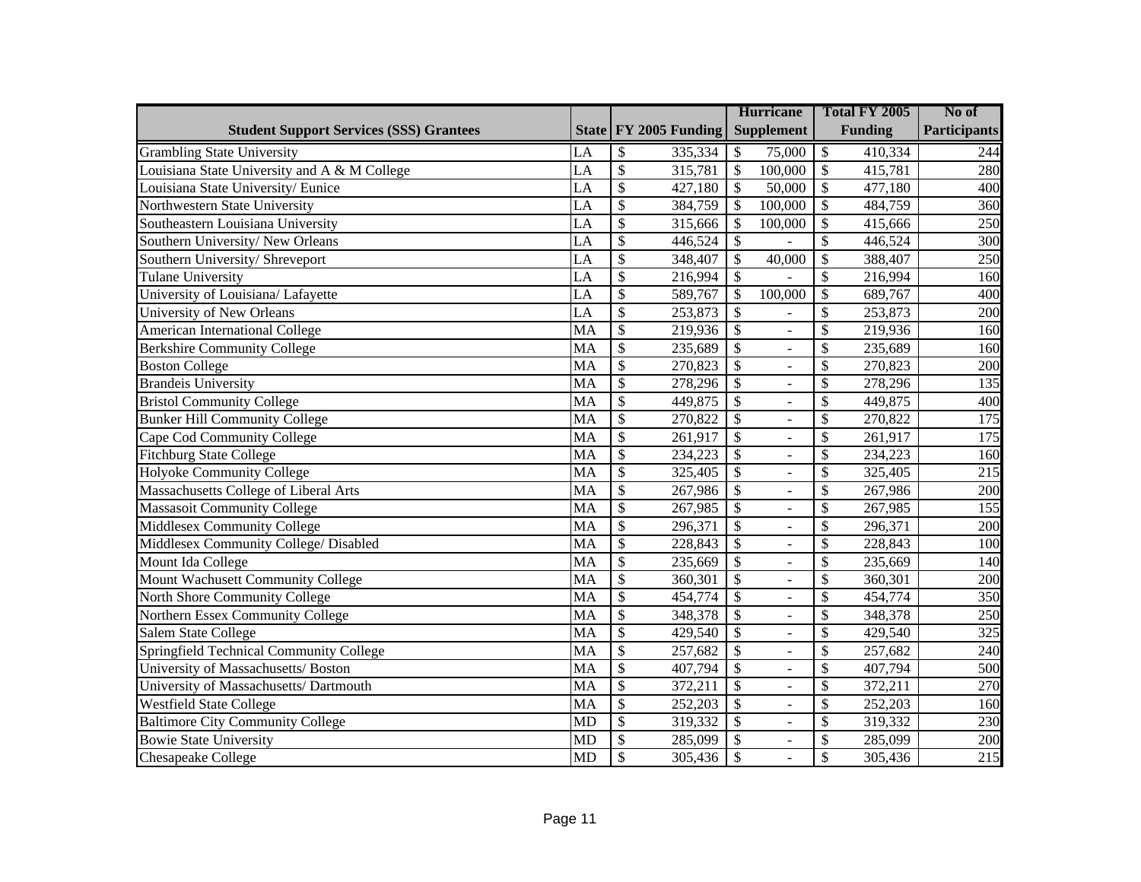|                                                |           |                                     | <b>Hurricane</b>                            | Total FY 2005                       | No of               |
|------------------------------------------------|-----------|-------------------------------------|---------------------------------------------|-------------------------------------|---------------------|
| <b>Student Support Services (SSS) Grantees</b> |           | State FY 2005 Funding               | <b>Supplement</b>                           | <b>Funding</b>                      | <b>Participants</b> |
| <b>Grambling State University</b>              | LA        | $\mathcal{S}$<br>335,334            | \$<br>75,000                                | \$<br>410,334                       | 244                 |
| Louisiana State University and A & M College   | LA        | $\overline{\mathcal{S}}$<br>315,781 | $\boldsymbol{\mathsf{S}}$<br>100,000        | \$<br>415,781                       | 280                 |
| Louisiana State University/ Eunice             | LA        | $\mathcal{S}$<br>427,180            | $\mathcal{S}$<br>50,000                     | $\mathcal{S}$<br>477,180            | 400                 |
| Northwestern State University                  | LA        | $\mathcal{S}$<br>384,759            | $\mathcal{S}$<br>100,000                    | $\mathcal{S}$<br>484,759            | 360                 |
| Southeastern Louisiana University              | LA        | $\mathcal{S}$<br>315,666            | $\mathcal{S}$<br>100,000                    | \$<br>415,666                       | 250                 |
| Southern University/New Orleans                | LA        | $\mathcal{S}$<br>446,524            | $\mathcal{S}$                               | $\mathcal{S}$<br>446,524            | 300                 |
| Southern University/ Shreveport                | LA        | $\mathcal{S}$<br>348,407            | $\mathcal{S}$<br>40,000                     | $\mathcal{S}$<br>388,407            | 250                 |
| <b>Tulane University</b>                       | LA        | $\mathcal{S}$<br>216,994            | $\mathcal{S}$                               | \$<br>216,994                       | 160                 |
| University of Louisiana/ Lafayette             | LA        | \$<br>589,767                       | $\mathcal{S}$<br>100,000                    | $\mathcal{S}$<br>689,767            | 400                 |
| University of New Orleans                      | LA        | $\mathcal{S}$<br>253,873            | \$                                          | \$<br>253,873                       | 200                 |
| American International College                 | MA        | $\overline{\mathcal{S}}$<br>219,936 | $\overline{\mathcal{S}}$<br>$\overline{a}$  | \$<br>219,936                       | 160                 |
| <b>Berkshire Community College</b>             | MA        | $\overline{\mathcal{S}}$<br>235,689 | $\overline{\$}$<br>$\blacksquare$           | $\overline{\mathcal{S}}$<br>235,689 | 160                 |
| <b>Boston College</b>                          | MA        | $\overline{\mathcal{S}}$<br>270,823 | $\overline{\$}$<br>$\blacksquare$           | $\overline{\mathcal{S}}$<br>270,823 | 200                 |
| <b>Brandeis University</b>                     | MA        | $\overline{\mathcal{S}}$<br>278,296 | $\overline{\$}$<br>$\equiv$                 | $\overline{\mathcal{S}}$<br>278,296 | 135                 |
| <b>Bristol Community College</b>               | MA        | $\overline{\mathcal{S}}$<br>449,875 | $\overline{\$}$<br>$\overline{a}$           | $\overline{\mathcal{S}}$<br>449,875 | 400                 |
| <b>Bunker Hill Community College</b>           | MA        | $\overline{\mathcal{S}}$<br>270,822 | $\overline{\$}$<br>$\equiv$                 | \$<br>270,822                       | 175                 |
| Cape Cod Community College                     | MA        | $\overline{\mathcal{S}}$<br>261,917 | $\overline{\$}$<br>÷,                       | \$<br>261,917                       | 175                 |
| <b>Fitchburg State College</b>                 | MA        | $\overline{\mathcal{S}}$<br>234,223 | $\overline{\$}$<br>$\equiv$                 | \$<br>234,223                       | 160                 |
| Holyoke Community College                      | MA        | $\overline{\mathcal{S}}$<br>325,405 | $\overline{\$}$<br>$\overline{a}$           | \$<br>325,405                       | $\overline{215}$    |
| Massachusetts College of Liberal Arts          | MA        | $\overline{\mathcal{S}}$<br>267,986 | $\overline{\$}$<br>$\equiv$                 | \$<br>267,986                       | 200                 |
| <b>Massasoit Community College</b>             | MA        | $\mathcal{S}$<br>267,985            | $\overline{\$}$<br>$\overline{a}$           | \$<br>267,985                       | 155                 |
| <b>Middlesex Community College</b>             | MA        | $\mathcal{S}$<br>296,371            | $\overline{\$}$<br>$\equiv$                 | \$<br>296,371                       | 200                 |
| Middlesex Community College/ Disabled          | MA        | $\mathcal{S}$<br>228,843            | $\overline{\$}$<br>$\overline{\phantom{a}}$ | \$<br>228,843                       | 100                 |
| Mount Ida College                              | MA        | $\mathcal{S}$<br>235,669            | $\overline{\$}$<br>$\equiv$                 | \$<br>235,669                       | 140                 |
| Mount Wachusett Community College              | MA        | $\mathcal{S}$<br>360,301            | $\overline{\$}$<br>$\overline{\phantom{a}}$ | \$<br>360,301                       | 200                 |
| North Shore Community College                  | MA        | $\mathcal{S}$<br>454,774            | $\overline{\$}$<br>$\overline{a}$           | \$<br>454,774                       | 350                 |
| Northern Essex Community College               | MA        | $\mathcal{S}$<br>348,378            | \$<br>$\overline{\phantom{a}}$              | $\mathcal{S}$<br>348,378            | 250                 |
| Salem State College                            | MA        | $\mathcal{S}$<br>429,540            | $\mathcal{S}$<br>÷,                         | \$<br>429,540                       | 325                 |
| Springfield Technical Community College        | MA        | $\mathcal{S}$<br>257,682            | $\mathcal{S}$<br>$\overline{\phantom{a}}$   | \$<br>257,682                       | 240                 |
| University of Massachusetts/ Boston            | MA        | $\mathcal{S}$<br>407,794            | \$<br>÷,                                    | \$<br>407,794                       | 500                 |
| University of Massachusetts/ Dartmouth         | MA        | $\mathcal{S}$<br>372,211            | \$<br>$\equiv$                              | \$<br>372,211                       | 270                 |
| <b>Westfield State College</b>                 | MA        | $\mathcal{S}$<br>252,203            | \$<br>÷,                                    | \$<br>252,203                       | 160                 |
| <b>Baltimore City Community College</b>        | <b>MD</b> | $\mathcal{S}$<br>319,332            | \$<br>$\equiv$                              | \$<br>319,332                       | 230                 |
| <b>Bowie State University</b>                  | <b>MD</b> | $\mathcal{S}$<br>285,099            | \$<br>$\overline{a}$                        | \$<br>285,099                       | 200                 |
| <b>Chesapeake College</b>                      | <b>MD</b> | $\mathcal{S}$<br>305,436            | $\mathcal{S}$                               | \$<br>305,436                       | 215                 |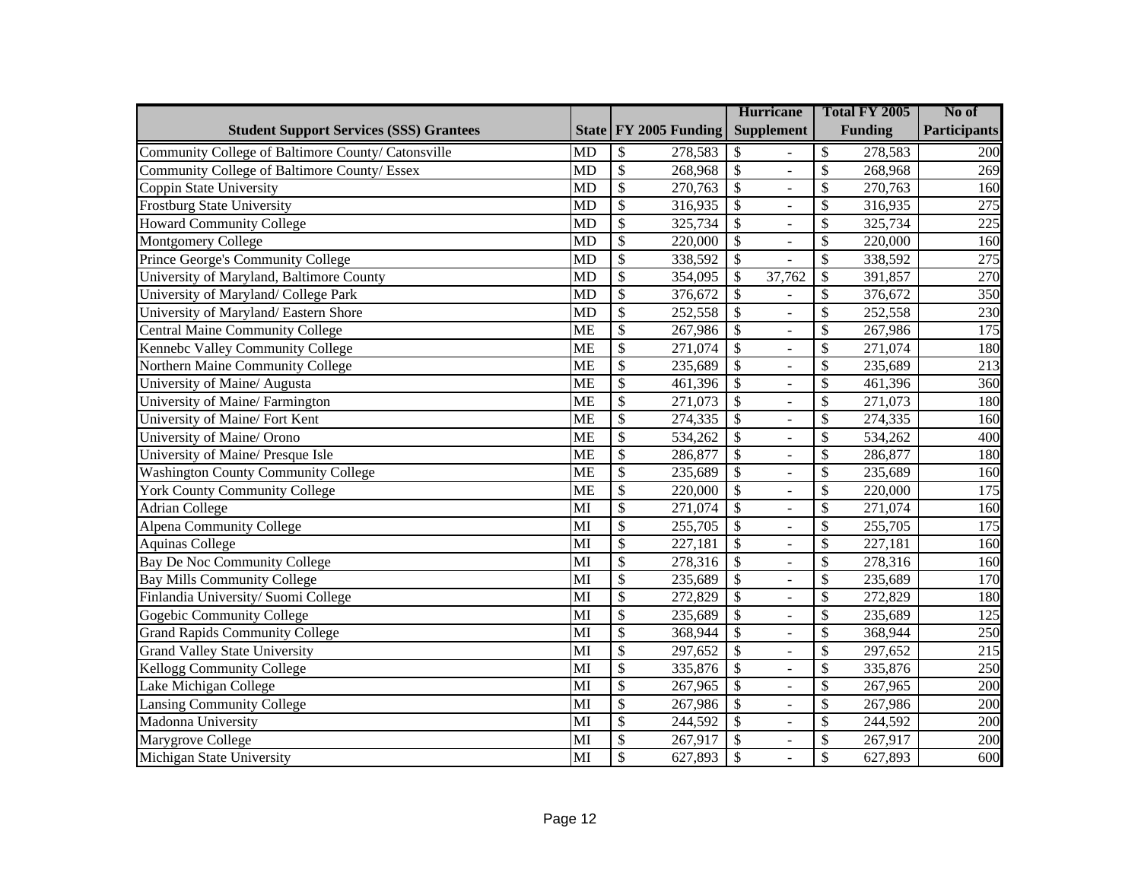|                                                    |                        |                                     | <b>Hurricane</b>                            | Total FY 2005                       | No of               |
|----------------------------------------------------|------------------------|-------------------------------------|---------------------------------------------|-------------------------------------|---------------------|
| <b>Student Support Services (SSS) Grantees</b>     |                        | State   FY 2005 Funding             | <b>Supplement</b>                           | <b>Funding</b>                      | <b>Participants</b> |
| Community College of Baltimore County/ Catonsville | <b>MD</b>              | \$<br>278,583                       | \$                                          | \$<br>278,583                       | 200                 |
| Community College of Baltimore County/ Essex       | <b>MD</b>              | $\mathcal{S}$<br>268,968            | $\overline{\$}$<br>$\overline{a}$           | $\mathcal{S}$<br>268,968            | 269                 |
| Coppin State University                            | <b>MD</b>              | $\mathcal{S}$<br>270,763            | \$<br>÷,                                    | $\mathcal{S}$<br>270,763            | 160                 |
| <b>Frostburg State University</b>                  | <b>MD</b>              | $\mathcal{S}$<br>316,935            | $\overline{\mathcal{S}}$<br>$\equiv$        | \$<br>316,935                       | 275                 |
| <b>Howard Community College</b>                    | <b>MD</b>              | $\mathcal{S}$<br>325,734            | $\mathcal{S}$<br>$\overline{\phantom{a}}$   | \$<br>325,734                       | 225                 |
| Montgomery College                                 | $\overline{MD}$        | $\overline{\mathcal{S}}$<br>220,000 | $\overline{\mathcal{S}}$<br>$\equiv$        | \$<br>220,000                       | 160                 |
| Prince George's Community College                  | $\overline{MD}$        | $\overline{\mathcal{S}}$<br>338,592 | $\overline{\mathcal{S}}$                    | $\mathbb{S}$<br>338,592             | 275                 |
| University of Maryland, Baltimore County           | $\overline{MD}$        | $\overline{\mathcal{S}}$<br>354,095 | $\overline{\$}$<br>37,762                   | $\overline{\$}$<br>391,857          | 270                 |
| University of Maryland/ College Park               | $\overline{MD}$        | $\overline{\mathcal{S}}$<br>376,672 | $\overline{\$}$                             | $\mathcal{S}$<br>376,672            | 350                 |
| University of Maryland/ Eastern Shore              | $\overline{MD}$        | $\overline{\mathcal{S}}$<br>252,558 | $\overline{\$}$<br>$\overline{a}$           | $\overline{\mathcal{S}}$<br>252,558 | 230                 |
| <b>Central Maine Community College</b>             | <b>ME</b>              | $\overline{\mathcal{S}}$<br>267,986 | $\overline{\$}$<br>$\overline{a}$           | $\overline{\mathcal{S}}$<br>267,986 | 175                 |
| Kennebc Valley Community College                   | <b>ME</b>              | $\overline{\mathcal{S}}$<br>271,074 | $\overline{\$}$<br>$\overline{a}$           | $\overline{\mathcal{S}}$<br>271,074 | 180                 |
| Northern Maine Community College                   | <b>ME</b>              | $\overline{\mathcal{S}}$<br>235,689 | $\overline{\$}$<br>$\overline{a}$           | $\overline{\$}$<br>235,689          | 213                 |
| University of Maine/ Augusta                       | <b>ME</b>              | $\overline{\mathcal{S}}$<br>461,396 | $\overline{\$}$<br>$\overline{a}$           | $\overline{\$}$<br>461,396          | 360                 |
| University of Maine/Farmington                     | <b>ME</b>              | $\overline{\mathcal{S}}$<br>271,073 | $\overline{\$}$<br>$\overline{a}$           | $\overline{\$}$<br>271,073          | 180                 |
| University of Maine/ Fort Kent                     | <b>ME</b>              | $\mathcal{S}$<br>274,335            | $\mathcal{S}$<br>$\overline{\phantom{a}}$   | \$<br>274,335                       | 160                 |
| University of Maine/ Orono                         | <b>ME</b>              | $\mathcal{S}$<br>534,262            | \$<br>$\equiv$                              | \$<br>534,262                       | 400                 |
| University of Maine/ Presque Isle                  | <b>ME</b>              | $\mathcal{S}$<br>286,877            | $\overline{\mathcal{S}}$<br>$\blacksquare$  | \$<br>286,877                       | 180                 |
| <b>Washington County Community College</b>         | <b>ME</b>              | $\mathcal{S}$<br>235,689            | \$<br>÷,                                    | \$<br>235,689                       | 160                 |
| <b>York County Community College</b>               | <b>ME</b>              | $\mathcal{S}$<br>220,000            | $\overline{\mathcal{S}}$<br>$\blacksquare$  | \$<br>220,000                       | 175                 |
| <b>Adrian College</b>                              | $\overline{\text{MI}}$ | $\overline{\mathcal{S}}$<br>271,074 | $\overline{\$}$<br>÷,                       | \$<br>271,074                       | 160                 |
| Alpena Community College                           | $\overline{\text{MI}}$ | $\overline{\mathcal{S}}$<br>255,705 | $\overline{\$}$<br>$\blacksquare$           | \$<br>255,705                       | 175                 |
| <b>Aquinas College</b>                             | $\overline{\text{MI}}$ | $\overline{\mathcal{S}}$<br>227,181 | $\overline{\$}$<br>$\blacksquare$           | \$<br>227,181                       | 160                 |
| <b>Bay De Noc Community College</b>                | $\overline{\text{MI}}$ | $\overline{\mathcal{S}}$<br>278,316 | $\overline{\$}$<br>$\overline{a}$           | \$<br>278,316                       | 160                 |
| <b>Bay Mills Community College</b>                 | $\overline{\text{MI}}$ | $\overline{\mathcal{S}}$<br>235,689 | $\overline{\$}$<br>$\overline{\phantom{0}}$ | \$<br>235,689                       | 170                 |
| Finlandia University/Suomi College                 | $\overline{\text{MI}}$ | $\overline{\mathcal{S}}$<br>272,829 | $\overline{\$}$<br>$\overline{a}$           | \$<br>272,829                       | 180                 |
| Gogebic Community College                          | $\overline{\text{MI}}$ | $\overline{\$}$<br>235,689          | $\overline{\$}$<br>$\overline{a}$           | \$<br>235,689                       | 125                 |
| <b>Grand Rapids Community College</b>              | MI                     | $\overline{\$}$<br>368,944          | $\overline{\$}$<br>$\overline{a}$           | \$<br>368,944                       | 250                 |
| <b>Grand Valley State University</b>               | $\overline{\text{MI}}$ | $\overline{\$}$<br>297,652          | $\overline{\$}$<br>$\overline{a}$           | \$<br>297,652                       | $\overline{215}$    |
| <b>Kellogg Community College</b>                   | MI                     | $\overline{\$}$<br>335,876          | $\overline{\$}$<br>$\overline{a}$           | \$<br>335,876                       | 250                 |
| Lake Michigan College                              | MI                     | $\overline{\$}$<br>267,965          | $\overline{\$}$<br>$\overline{a}$           | \$<br>267,965                       | 200                 |
| <b>Lansing Community College</b>                   | MI                     | $\overline{\mathcal{S}}$<br>267,986 | $\overline{\$}$<br>$\overline{a}$           | \$<br>267,986                       | 200                 |
| Madonna University                                 | MI                     | $\overline{\mathcal{S}}$<br>244,592 | $\overline{\$}$<br>$\overline{a}$           | \$<br>244,592                       | 200                 |
| Marygrove College                                  | MI                     | $\overline{\$}$<br>267,917          | $\overline{\$}$<br>$\Box$                   | \$<br>267,917                       | 200                 |
| Michigan State University                          | MI                     | $\mathcal{S}$<br>627,893            | $\overline{\$}$<br>$\overline{a}$           | \$<br>627,893                       | 600                 |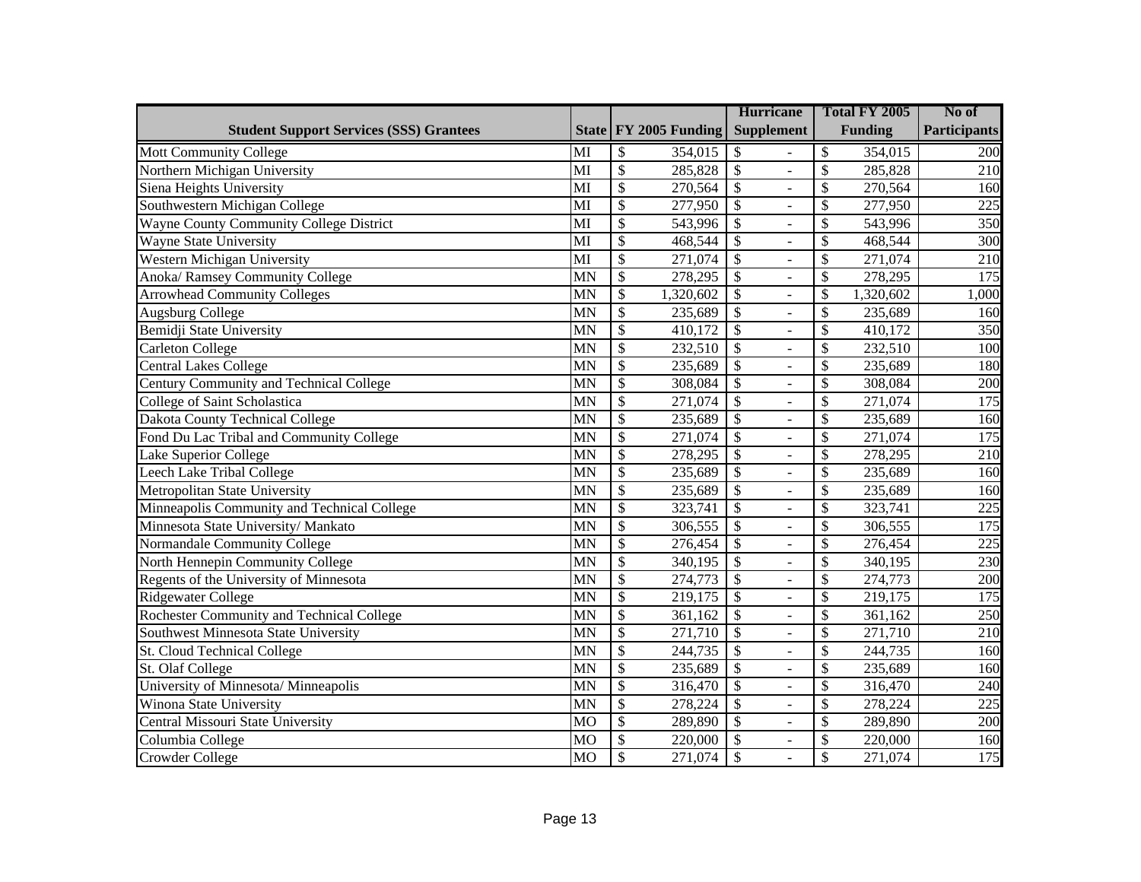|                                                |                        |                                     | <b>Hurricane</b>                           | Total FY 2005                       | No of               |
|------------------------------------------------|------------------------|-------------------------------------|--------------------------------------------|-------------------------------------|---------------------|
| <b>Student Support Services (SSS) Grantees</b> |                        | State FY 2005 Funding               | <b>Supplement</b>                          | <b>Funding</b>                      | <b>Participants</b> |
| <b>Mott Community College</b>                  | MI                     | \$<br>354,015                       | \$                                         | \$<br>354,015                       | 200                 |
| Northern Michigan University                   | MI                     | $\mathcal{S}$<br>285,828            | $\mathcal{S}$<br>$\overline{a}$            | \$<br>285,828                       | 210                 |
| Siena Heights University                       | MI                     | \$<br>270,564                       | $\mathcal{S}$                              | \$<br>270,564                       | 160                 |
| Southwestern Michigan College                  | MI                     | $\overline{\$}$<br>277,950          | $\mathcal{S}$<br>$\overline{a}$            | \$<br>277,950                       | 225                 |
| Wayne County Community College District        | MI                     | \$<br>543,996                       | $\mathcal{S}$<br>÷,                        | \$<br>543,996                       | 350                 |
| <b>Wayne State University</b>                  | MI                     | $\overline{\$}$<br>468,544          | $\overline{\mathcal{S}}$<br>$\overline{a}$ | \$<br>468,544                       | $\overline{300}$    |
| <b>Western Michigan University</b>             | $\overline{\text{MI}}$ | $\overline{\$}$<br>271,074          | $\overline{\mathcal{S}}$<br>÷,             | \$<br>271,074                       | 210                 |
| <b>Anoka/ Ramsey Community College</b>         | $\overline{MN}$        | $\overline{\$}$<br>278,295          | $\overline{\mathcal{S}}$<br>$\overline{a}$ | \$<br>278,295                       | $\overline{175}$    |
| <b>Arrowhead Community Colleges</b>            | <b>MN</b>              | $\overline{\$}$<br>1,320,602        | $\overline{\$}$<br>$\overline{a}$          | \$<br>1,320,602                     | 1,000               |
| Augsburg College                               | <b>MN</b>              | $\overline{\$}$<br>235,689          | $\overline{\$}$<br>$\overline{a}$          | \$<br>235,689                       | 160                 |
| Bemidji State University                       | $\overline{MN}$        | $\overline{\$}$<br>410,172          | $\overline{\$}$<br>$\overline{a}$          | \$<br>410,172                       | 350                 |
| Carleton College                               | $\overline{\text{MN}}$ | $\overline{\$}$<br>232,510          | $\overline{\$}$<br>$\overline{a}$          | $\overline{\mathcal{S}}$<br>232,510 | 100                 |
| <b>Central Lakes College</b>                   | $\overline{\text{MN}}$ | $\overline{\$}$<br>235,689          | $\overline{\$}$<br>$\overline{a}$          | \$<br>235,689                       | 180                 |
| Century Community and Technical College        | $\overline{\text{MN}}$ | $\overline{\$}$<br>308,084          | $\overline{\mathcal{S}}$<br>$\overline{a}$ | \$<br>308,084                       | 200                 |
| College of Saint Scholastica                   | $\overline{\text{MN}}$ | $\overline{\$}$<br>271,074          | $\overline{\mathcal{S}}$<br>$\overline{a}$ | \$<br>$\overline{271,074}$          | 175                 |
| Dakota County Technical College                | <b>MN</b>              | $\mathcal{S}$<br>235,689            | $\mathcal{S}$<br>L.                        | \$<br>235,689                       | 160                 |
| Fond Du Lac Tribal and Community College       | <b>MN</b>              | \$<br>271,074                       | $\mathcal{S}$<br>L.                        | \$<br>271,074                       | 175                 |
| Lake Superior College                          | <b>MN</b>              | $\mathcal{S}$<br>278,295            | $\mathcal{S}$<br>$\overline{a}$            | \$<br>278,295                       | 210                 |
| Leech Lake Tribal College                      | <b>MN</b>              | \$<br>235,689                       | \$                                         | \$<br>235,689                       | 160                 |
| Metropolitan State University                  | <b>MN</b>              | $\mathcal{S}$<br>235,689            | $\mathcal{S}$<br>$\overline{a}$            | \$<br>235,689                       | 160                 |
| Minneapolis Community and Technical College    | <b>MN</b>              | $\overline{\$}$<br>323,741          | $\overline{\$}$                            | \$<br>323,741                       | 225                 |
| Minnesota State University/ Mankato            | <b>MN</b>              | $\overline{\$}$<br>306,555          | $\overline{\mathcal{S}}$<br>$\overline{a}$ | \$<br>306,555                       | $\overline{175}$    |
| Normandale Community College                   | <b>MN</b>              | $\overline{\$}$<br>276,454          | $\overline{\mathcal{S}}$<br>÷,             | \$<br>276,454                       | 225                 |
| North Hennepin Community College               | <b>MN</b>              | $\overline{\$}$<br>340,195          | $\overline{\mathcal{S}}$<br>$\overline{a}$ | \$<br>340,195                       | 230                 |
| Regents of the University of Minnesota         | <b>MN</b>              | $\overline{\$}$<br>274,773          | $\overline{\$}$<br>$\overline{a}$          | \$<br>274,773                       | 200                 |
| Ridgewater College                             | <b>MN</b>              | $\overline{\$}$<br>219,175          | $\overline{\$}$<br>$\overline{a}$          | \$<br>219,175                       | 175                 |
| Rochester Community and Technical College      | <b>MN</b>              | $\overline{\$}$<br>361,162          | $\overline{\$}$<br>$\overline{a}$          | \$<br>361,162                       | 250                 |
| Southwest Minnesota State University           | <b>MN</b>              | $\overline{\$}$<br>271,710          | $\overline{\$}$<br>$\overline{a}$          | \$<br>271,710                       | 210                 |
| St. Cloud Technical College                    | <b>MN</b>              | $\overline{\$}$<br>244,735          | $\overline{\$}$<br>$\overline{a}$          | \$<br>244,735                       | 160                 |
| St. Olaf College                               | <b>MN</b>              | $\overline{\$}$<br>235,689          | $\overline{\$}$<br>$\overline{a}$          | \$<br>235,689                       | 160                 |
| University of Minnesota/ Minneapolis           | <b>MN</b>              | $\overline{\$}$<br>316,470          | $\overline{\$}$<br>$\overline{a}$          | \$<br>316,470                       | 240                 |
| Winona State University                        | <b>MN</b>              | $\overline{\$}$<br>278,224          | $\overline{\$}$<br>$\overline{a}$          | \$<br>278,224                       | 225                 |
| <b>Central Missouri State University</b>       | <b>MO</b>              | $\overline{\mathcal{S}}$<br>289,890 | $\overline{\mathcal{S}}$<br>$\overline{a}$ | \$<br>289,890                       | 200                 |
| Columbia College                               | <b>MO</b>              | \$<br>220,000                       | $\mathcal{S}$<br>$\overline{a}$            | \$<br>220,000                       | 160                 |
| <b>Crowder College</b>                         | $\overline{MO}$        | $\mathcal{S}$<br>271,074            | $\overline{\mathcal{S}}$                   | \$<br>271,074                       | 175                 |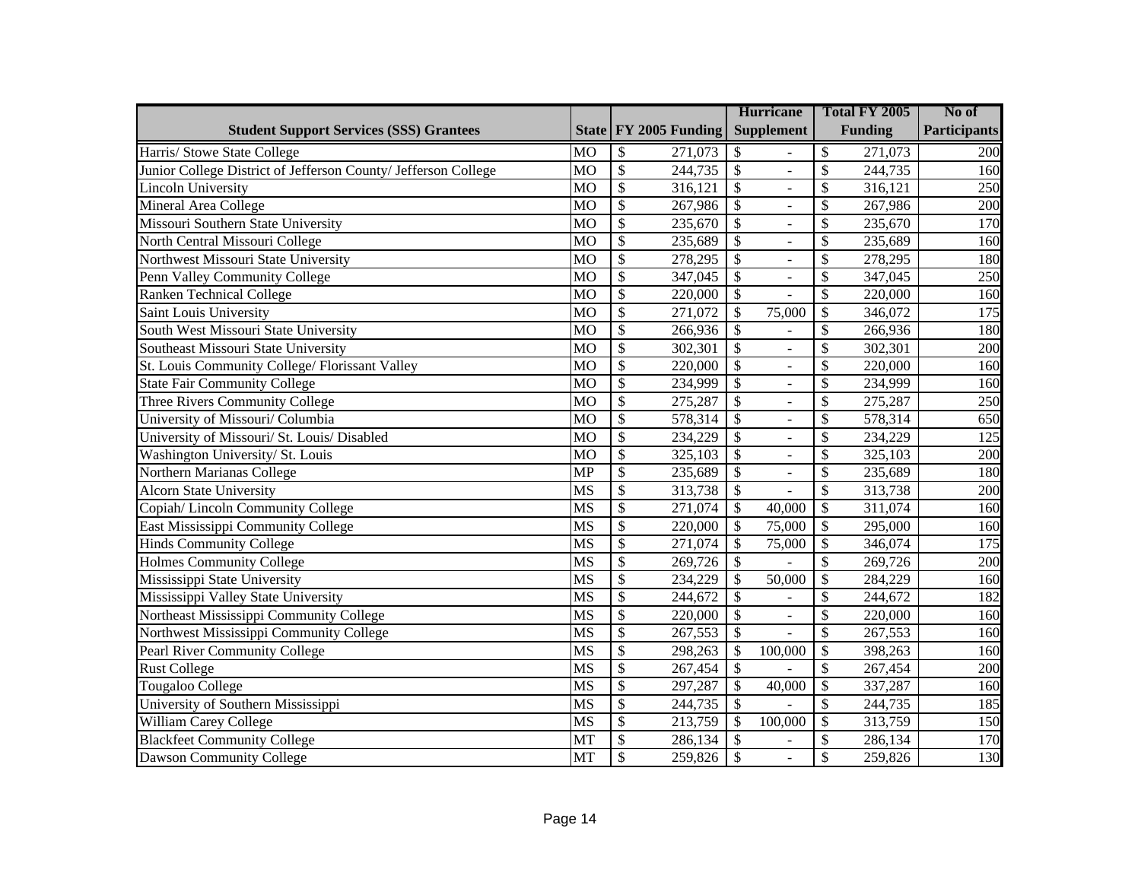|                                                                |                        |                          |                         | <b>Hurricane</b>          |                          | Total FY 2005            |                | No of               |
|----------------------------------------------------------------|------------------------|--------------------------|-------------------------|---------------------------|--------------------------|--------------------------|----------------|---------------------|
| <b>Student Support Services (SSS) Grantees</b>                 |                        |                          | State   FY 2005 Funding |                           | <b>Supplement</b>        |                          | <b>Funding</b> | <b>Participants</b> |
| Harris/ Stowe State College                                    | <b>MO</b>              | \$                       | 271,073                 | \$                        |                          | \$                       | 271,073        | 200                 |
| Junior College District of Jefferson County/ Jefferson College | <b>MO</b>              | $\overline{\mathcal{S}}$ | 244,735                 | $\mathcal{S}$             | $\overline{a}$           | $\mathcal{S}$            | 244,735        | 160                 |
| Lincoln University                                             | <b>MO</b>              | $\mathcal{S}$            | 316,121                 | \$                        | ÷,                       | $\mathcal{S}$            | 316,121        | 250                 |
| Mineral Area College                                           | MO                     | $\mathcal{S}$            | 267,986                 | $\boldsymbol{\mathsf{S}}$ | $\equiv$                 | \$                       | 267,986        | 200                 |
| Missouri Southern State University                             | <b>MO</b>              | $\mathcal{S}$            | 235,670                 | $\mathcal{S}$             | ÷,                       | \$                       | 235,670        | 170                 |
| North Central Missouri College                                 | <b>MO</b>              | $\overline{\mathcal{S}}$ | 235,689                 | $\overline{\$}$           | $\equiv$                 | \$                       | 235,689        | 160                 |
| Northwest Missouri State University                            | <b>MO</b>              | $\overline{\mathcal{S}}$ | 278,295                 | $\overline{\$}$           | $\equiv$                 | \$                       | 278,295        | 180                 |
| Penn Valley Community College                                  | <b>MO</b>              | $\overline{\mathcal{S}}$ | 347,045                 | $\overline{\$}$           | $\overline{a}$           | \$                       | 347,045        | 250                 |
| <b>Ranken Technical College</b>                                | <b>MO</b>              | $\overline{\mathcal{S}}$ | 220,000                 | $\overline{\mathcal{S}}$  |                          | \$                       | 220,000        | 160                 |
| Saint Louis University                                         | <b>MO</b>              | $\overline{\mathcal{S}}$ | 271,072                 | $\overline{\$}$           | 75,000                   | $\overline{\mathcal{S}}$ | 346,072        | 175                 |
| South West Missouri State University                           | <b>MO</b>              | $\overline{\mathcal{S}}$ | 266,936                 | $\overline{\$}$           |                          | $\overline{\mathcal{S}}$ | 266,936        | 180                 |
| Southeast Missouri State University                            | <b>MO</b>              | $\overline{\mathcal{S}}$ | 302,301                 | $\overline{\mathcal{S}}$  | $\overline{a}$           | $\overline{\mathcal{S}}$ | 302,301        | 200                 |
| St. Louis Community College/ Florissant Valley                 | <b>MO</b>              | $\overline{\mathcal{S}}$ | 220,000                 | $\overline{\$}$           | $\overline{a}$           | $\overline{\mathcal{S}}$ | 220,000        | 160                 |
| <b>State Fair Community College</b>                            | <b>MO</b>              | $\overline{\mathcal{S}}$ | 234,999                 | $\overline{\$}$           | $\overline{a}$           | $\overline{\mathcal{S}}$ | 234,999        | 160                 |
| <b>Three Rivers Community College</b>                          | MO                     | $\overline{\mathcal{S}}$ | 275,287                 | $\overline{\$}$           | $\overline{a}$           | $\overline{\mathcal{S}}$ | 275,287        | 250                 |
| University of Missouri/ Columbia                               | MO                     | $\mathcal{S}$            | 578,314                 | $\mathcal{S}$             | $\overline{\phantom{a}}$ | $\mathcal{S}$            | 578,314        | 650                 |
| University of Missouri/ St. Louis/ Disabled                    | MO                     | $\mathcal{S}$            | 234,229                 | $\mathcal{S}$             | ÷,                       | \$                       | 234,229        | 125                 |
| Washington University/ St. Louis                               | MO                     | $\mathcal{S}$            | 325,103                 | $\mathcal{S}$             | $\equiv$                 | $\mathcal{S}$            | 325,103        | 200                 |
| Northern Marianas College                                      | <b>MP</b>              | $\mathcal{S}$            | 235,689                 | $\mathcal{S}$             | ÷,                       | \$                       | 235,689        | 180                 |
| <b>Alcorn State University</b>                                 | MS                     | \$                       | 313,738                 | $\mathcal{S}$             |                          | $\mathcal{S}$            | 313,738        | 200                 |
| Copiah/Lincoln Community College                               | $\overline{\text{MS}}$ | $\overline{\mathcal{S}}$ | 271,074                 | \$                        | 40,000                   | $\overline{\mathcal{S}}$ | 311,074        | 160                 |
| East Mississippi Community College                             | $\overline{\text{MS}}$ | $\overline{\mathcal{S}}$ | 220,000                 | $\overline{\mathcal{S}}$  | 75,000                   | $\overline{\mathcal{S}}$ | 295,000        | 160                 |
| <b>Hinds Community College</b>                                 | $\overline{\text{MS}}$ | $\overline{\mathcal{S}}$ | 271,074                 | \$                        | 75,000                   | $\overline{\mathcal{S}}$ | 346,074        | 175                 |
| <b>Holmes Community College</b>                                | $\overline{\text{MS}}$ | $\overline{\mathcal{S}}$ | 269,726                 | $\overline{\$}$           |                          | $\overline{\mathcal{S}}$ | 269,726        | 200                 |
| Mississippi State University                                   | $\overline{\text{MS}}$ | $\overline{\mathcal{S}}$ | 234,229                 | $\mathcal{S}$             | 50,000                   | $\mathcal{S}$            | 284,229        | 160                 |
| Mississippi Valley State University                            | $\overline{\text{MS}}$ | $\overline{\mathcal{S}}$ | 244,672                 | $\overline{\$}$           |                          | \$                       | 244,672        | 182                 |
| Northeast Mississippi Community College                        | $\overline{MS}$        | $\overline{\mathcal{S}}$ | 220,000                 | $\overline{\$}$           | $\overline{a}$           | \$                       | 220,000        | 160                 |
| Northwest Mississippi Community College                        | $\overline{\text{MS}}$ | $\overline{\$}$          | 267,553                 | $\overline{\$}$           | $\overline{a}$           | \$                       | 267,553        | 160                 |
| <b>Pearl River Community College</b>                           | $\overline{\text{MS}}$ | $\overline{\$}$          | 298,263                 | \$                        | 100,000                  | $\mathcal{S}$            | 398,263        | 160                 |
| <b>Rust College</b>                                            | MS                     | $\overline{\$}$          | 267,454                 | $\overline{\$}$           |                          | \$                       | 267,454        | 200                 |
| <b>Tougaloo College</b>                                        | MS                     | $\overline{\$}$          | 297,287                 | \$                        | 40,000                   | \$                       | 337,287        | 160                 |
| University of Southern Mississippi                             | MS                     | $\overline{\mathcal{S}}$ | 244,735                 | $\overline{\$}$           |                          | $\mathcal{S}$            | 244,735        | 185                 |
| William Carey College                                          | <b>MS</b>              | $\overline{\mathcal{S}}$ | 213,759                 | $\mathcal{S}$             | 100,000                  | $\mathcal{S}$            | 313,759        | 150                 |
| <b>Blackfeet Community College</b>                             | MT                     | $\overline{\$}$          | 286,134                 | \$                        |                          | \$                       | 286,134        | 170                 |
| <b>Dawson Community College</b>                                | <b>MT</b>              | \$                       | 259,826                 | $\overline{\$}$           | $\frac{1}{2}$            | $\mathcal{S}$            | 259,826        | 130                 |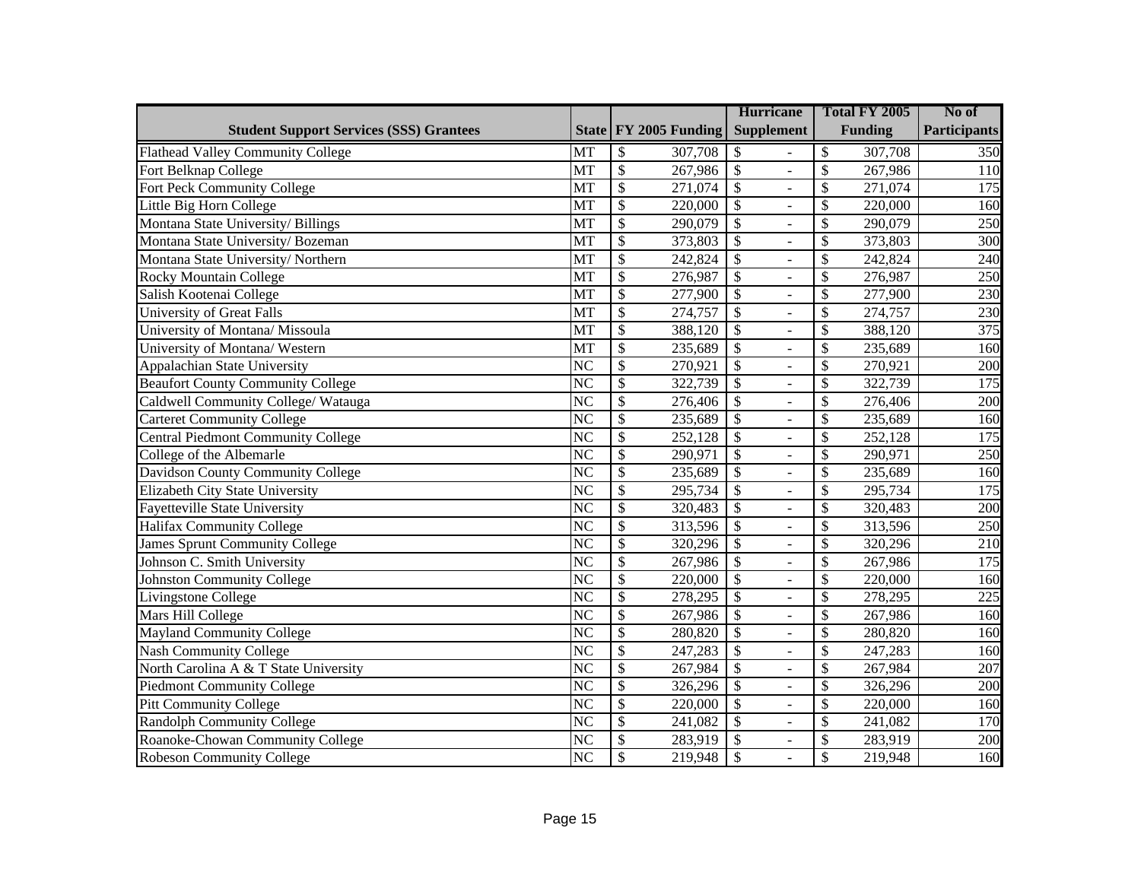|                                                |                        |                            | <b>Hurricane</b>                           | Total FY 2005                       | No of               |
|------------------------------------------------|------------------------|----------------------------|--------------------------------------------|-------------------------------------|---------------------|
| <b>Student Support Services (SSS) Grantees</b> |                        | State FY 2005 Funding      | <b>Supplement</b>                          | <b>Funding</b>                      | <b>Participants</b> |
| <b>Flathead Valley Community College</b>       | MT                     | \$<br>307,708              | \$                                         | \$<br>307,708                       | 350                 |
| Fort Belknap College                           | <b>MT</b>              | \$<br>267,986              | $\overline{\mathcal{S}}$<br>$\overline{a}$ | \$<br>267,986                       | 110                 |
| Fort Peck Community College                    | MT                     | \$<br>271,074              | $\mathcal{S}$                              | \$<br>271,074                       | 175                 |
| Little Big Horn College                        | MT                     | $\overline{\$}$<br>220,000 | $\mathcal{S}$<br>$\overline{a}$            | \$<br>220,000                       | 160                 |
| Montana State University/ Billings             | MT                     | \$<br>290,079              | $\mathcal{S}$<br>÷,                        | \$<br>290,079                       | 250                 |
| Montana State University/Bozeman               | MT                     | $\overline{\$}$<br>373,803 | $\overline{\$}$<br>$\overline{a}$          | \$<br>373,803                       | $\overline{300}$    |
| Montana State University/Northern              | MT                     | $\overline{\$}$<br>242,824 | $\overline{\mathcal{S}}$<br>$\overline{a}$ | \$<br>242,824                       | 240                 |
| Rocky Mountain College                         | MT                     | $\overline{\$}$<br>276,987 | $\overline{\$}$<br>$\overline{a}$          | \$<br>276,987                       | 250                 |
| Salish Kootenai College                        | MT                     | $\overline{\$}$<br>277,900 | $\overline{\$}$<br>$\overline{a}$          | \$<br>277,900                       | 230                 |
| University of Great Falls                      | MT                     | $\overline{\$}$<br>274,757 | $\overline{\$}$<br>$\overline{a}$          | \$<br>274,757                       | 230                 |
| University of Montana/ Missoula                | MT                     | $\overline{\$}$<br>388,120 | $\overline{\$}$<br>$\overline{a}$          | \$<br>388,120                       | 375                 |
| University of Montana/ Western                 | MT                     | $\overline{\$}$<br>235,689 | $\overline{\mathcal{S}}$<br>$\overline{a}$ | $\overline{\mathcal{S}}$<br>235,689 | 160                 |
| <b>Appalachian State University</b>            | $\overline{\text{NC}}$ | $\overline{\$}$<br>270,921 | $\overline{\mathcal{S}}$<br>$\overline{a}$ | \$<br>270,921                       | 200                 |
| <b>Beaufort County Community College</b>       | $\overline{\text{NC}}$ | $\overline{\$}$<br>322,739 | $\overline{\$}$<br>$\overline{a}$          | \$<br>322,739                       | 175                 |
| Caldwell Community College/ Watauga            | $\overline{\text{NC}}$ | $\overline{\$}$<br>276,406 | $\overline{\mathcal{S}}$<br>$\overline{a}$ | \$<br>276,406                       | 200                 |
| <b>Carteret Community College</b>              | <b>NC</b>              | $\mathcal{S}$<br>235,689   | $\mathcal{S}$<br>÷,                        | \$<br>235,689                       | 160                 |
| <b>Central Piedmont Community College</b>      | <b>NC</b>              | \$<br>252,128              | $\mathcal{S}$<br>L.                        | \$<br>252,128                       | 175                 |
| College of the Albemarle                       | <b>NC</b>              | $\mathcal{S}$<br>290,971   | $\mathcal{S}$<br>$\overline{a}$            | \$<br>290,971                       | 250                 |
| Davidson County Community College              | N <sub>C</sub>         | \$<br>235,689              | $\mathcal{S}$<br>÷,                        | \$<br>235,689                       | 160                 |
| Elizabeth City State University                | <b>NC</b>              | \$<br>295,734              | $\mathcal{S}$<br>$\overline{a}$            | \$<br>295,734                       | 175                 |
| Fayetteville State University                  | N <sub>C</sub>         | $\overline{\$}$<br>320,483 | $\overline{\mathcal{S}}$<br>÷,             | \$<br>320,483                       | 200                 |
| Halifax Community College                      | $\overline{\text{NC}}$ | $\overline{\$}$<br>313,596 | $\overline{\mathcal{S}}$<br>$\overline{a}$ | \$<br>313,596                       | 250                 |
| James Sprunt Community College                 | N <sub>C</sub>         | $\overline{\$}$<br>320,296 | $\overline{\mathcal{S}}$<br>÷,             | \$<br>320,296                       | $\overline{210}$    |
| Johnson C. Smith University                    | $\overline{\text{NC}}$ | $\overline{\$}$<br>267,986 | $\overline{\mathcal{S}}$<br>$\overline{a}$ | \$<br>267,986                       | 175                 |
| <b>Johnston Community College</b>              | N <sub>C</sub>         | $\overline{\$}$<br>220,000 | $\overline{\$}$<br>$\overline{a}$          | \$<br>220,000                       | 160                 |
| Livingstone College                            | $\overline{\text{NC}}$ | $\overline{\$}$<br>278,295 | $\overline{\$}$<br>$\overline{a}$          | \$<br>278,295                       | 225                 |
| Mars Hill College                              | N <sub>C</sub>         | $\overline{\$}$<br>267,986 | $\overline{\$}$<br>$\overline{a}$          | \$<br>267,986                       | 160                 |
| <b>Mayland Community College</b>               | $\overline{\text{NC}}$ | $\overline{\$}$<br>280,820 | $\overline{\$}$<br>$\overline{a}$          | \$<br>280,820                       | 160                 |
| <b>Nash Community College</b>                  | N <sub>C</sub>         | $\overline{\$}$<br>247,283 | $\overline{\$}$<br>$\overline{a}$          | \$<br>247,283                       | 160                 |
| North Carolina A & T State University          | $\overline{\text{NC}}$ | $\overline{\$}$<br>267,984 | $\overline{\$}$<br>$\overline{a}$          | \$<br>267,984                       | 207                 |
| <b>Piedmont Community College</b>              | $\overline{\text{NC}}$ | $\overline{\$}$<br>326,296 | $\overline{\$}$<br>$\overline{a}$          | \$<br>326,296                       | 200                 |
| Pitt Community College                         | <b>NC</b>              | $\overline{\$}$<br>220,000 | $\overline{\mathcal{S}}$<br>$\overline{a}$ | \$<br>220,000                       | 160                 |
| <b>Randolph Community College</b>              | $\overline{\text{NC}}$ | $\overline{\$}$<br>241,082 | $\overline{\mathcal{S}}$<br>$\overline{a}$ | \$<br>241,082                       | 170                 |
| Roanoke-Chowan Community College               | N <sub>C</sub>         | $\overline{\$}$<br>283,919 | $\overline{\$}$<br>$\overline{a}$          | \$<br>283,919                       | 200                 |
| <b>Robeson Community College</b>               | $\overline{\text{NC}}$ | \$<br>219,948              | $\overline{\mathcal{S}}$                   | \$<br>219,948                       | 160                 |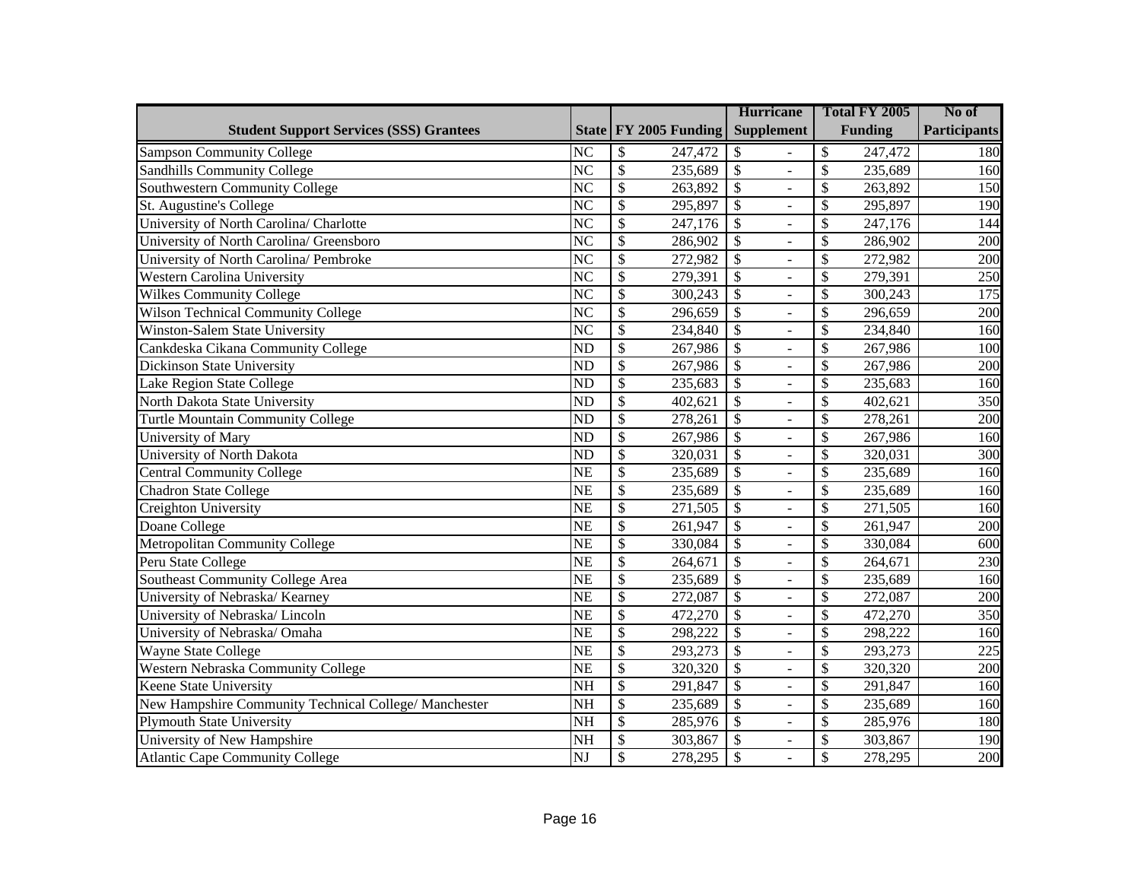|                                                       |                        |                            | <b>Hurricane</b>                           | Total FY 2005  | No of               |
|-------------------------------------------------------|------------------------|----------------------------|--------------------------------------------|----------------|---------------------|
| <b>Student Support Services (SSS) Grantees</b>        |                        | State FY 2005 Funding      | <b>Supplement</b>                          | <b>Funding</b> | <b>Participants</b> |
| <b>Sampson Community College</b>                      | <b>NC</b>              | \$<br>247,472              | \$                                         | \$<br>247,472  | 180                 |
| <b>Sandhills Community College</b>                    | <b>NC</b>              | $\mathcal{S}$<br>235,689   | $\mathcal{S}$<br>$\overline{a}$            | \$<br>235,689  | 160                 |
| Southwestern Community College                        | N <sub>C</sub>         | \$<br>263,892              | $\mathcal{S}$                              | \$<br>263,892  | 150                 |
| St. Augustine's College                               | <b>NC</b>              | \$<br>295,897              | $\mathcal{S}$<br>$\overline{a}$            | \$<br>295,897  | 190                 |
| University of North Carolina/ Charlotte               | N <sub>C</sub>         | \$<br>247,176              | $\mathcal{S}$<br>÷,                        | \$<br>247,176  | 144                 |
| University of North Carolina/ Greensboro              | $\overline{\text{NC}}$ | $\overline{\$}$<br>286,902 | $\overline{\mathcal{S}}$<br>$\overline{a}$ | \$<br>286,902  | 200                 |
| University of North Carolina/ Pembroke                | $\overline{\text{NC}}$ | $\overline{\$}$<br>272,982 | $\overline{\$}$<br>$\overline{a}$          | \$<br>272,982  | 200                 |
| <b>Western Carolina University</b>                    | $\overline{\text{NC}}$ | $\overline{\$}$<br>279,391 | $\overline{\$}$<br>$\overline{a}$          | \$<br>279,391  | $\overline{250}$    |
| <b>Wilkes Community College</b>                       | $\overline{\text{NC}}$ | $\overline{\$}$<br>300,243 | $\overline{\$}$<br>$\overline{a}$          | \$<br>300,243  | 175                 |
| Wilson Technical Community College                    | $\overline{\text{NC}}$ | $\overline{\$}$<br>296,659 | $\overline{\$}$<br>$\overline{a}$          | \$<br>296,659  | 200                 |
| Winston-Salem State University                        | $\overline{\text{NC}}$ | $\overline{\$}$<br>234,840 | $\overline{\mathcal{S}}$<br>$\overline{a}$ | \$<br>234,840  | 160                 |
| Cankdeska Cikana Community College                    | $\overline{ND}$        | $\overline{\$}$<br>267,986 | $\overline{\mathcal{S}}$<br>$\overline{a}$ | \$<br>267,986  | 100                 |
| <b>Dickinson State University</b>                     | $\overline{ND}$        | $\overline{\$}$<br>267,986 | $\overline{\mathcal{S}}$<br>$\overline{a}$ | \$<br>267,986  | 200                 |
| Lake Region State College                             | $\overline{ND}$        | $\overline{\$}$<br>235,683 | $\overline{\mathcal{S}}$<br>L,             | \$<br>235,683  | 160                 |
| North Dakota State University                         | $\overline{ND}$        | $\overline{\$}$<br>402,621 | $\overline{\mathcal{S}}$<br>$\overline{a}$ | \$<br>402,621  | 350                 |
| Turtle Mountain Community College                     | <b>ND</b>              | $\mathcal{S}$<br>278,261   | $\mathcal{S}$<br>$\overline{a}$            | \$<br>278,261  | 200                 |
| University of Mary                                    | N <sub>D</sub>         | $\mathcal{S}$<br>267,986   | $\mathcal{S}$<br>$\overline{a}$            | \$<br>267,986  | 160                 |
| University of North Dakota                            | N <sub>D</sub>         | $\mathcal{S}$<br>320,031   | $\mathbb{S}$<br>$\overline{a}$             | \$<br>320,031  | 300                 |
| <b>Central Community College</b>                      | <b>NE</b>              | \$<br>235,689              | $\mathcal{S}$                              | \$<br>235,689  | 160                 |
| Chadron State College                                 | <b>NE</b>              | $\mathcal{S}$<br>235,689   | $\mathcal{S}$<br>$\overline{a}$            | \$<br>235,689  | 160                 |
| Creighton University                                  | <b>NE</b>              | $\overline{\$}$<br>271,505 | $\overline{\mathcal{S}}$<br>÷,             | \$<br>271,505  | 160                 |
| Doane College                                         | $\overline{\text{NE}}$ | $\overline{\$}$<br>261,947 | $\overline{\mathcal{S}}$<br>$\overline{a}$ | \$<br>261,947  | 200                 |
| Metropolitan Community College                        | $\overline{\text{NE}}$ | $\overline{\$}$<br>330,084 | $\overline{\mathcal{S}}$<br>÷,             | \$<br>330,084  | 600                 |
| Peru State College                                    | $\overline{\text{NE}}$ | $\overline{\$}$<br>264,671 | $\overline{\$}$<br>$\overline{a}$          | \$<br>264,671  | 230                 |
| Southeast Community College Area                      | $\overline{\text{NE}}$ | $\overline{\$}$<br>235,689 | $\overline{\mathcal{S}}$<br>$\overline{a}$ | \$<br>235,689  | 160                 |
| University of Nebraska/Kearney                        | $\overline{\text{NE}}$ | $\overline{\$}$<br>272,087 | $\overline{\$}$<br>$\overline{a}$          | \$<br>272,087  | 200                 |
| University of Nebraska/Lincoln                        | $\overline{\text{NE}}$ | $\overline{\$}$<br>472,270 | $\overline{\mathcal{S}}$<br>$\overline{a}$ | \$<br>472,270  | 350                 |
| University of Nebraska/ Omaha                         | $\overline{\text{NE}}$ | $\overline{\$}$<br>298,222 | $\overline{\$}$<br>$\overline{a}$          | \$<br>298,222  | 160                 |
| Wayne State College                                   | $\overline{\text{NE}}$ | $\overline{\$}$<br>293,273 | $\overline{\$}$<br>$\overline{a}$          | \$<br>293,273  | 225                 |
| Western Nebraska Community College                    | <b>NE</b>              | $\overline{\$}$<br>320,320 | $\overline{\$}$<br>$\overline{a}$          | \$<br>320,320  | 200                 |
| Keene State University                                | $\overline{\text{NH}}$ | $\overline{\$}$<br>291,847 | $\overline{\$}$<br>$\overline{a}$          | \$<br>291,847  | 160                 |
| New Hampshire Community Technical College/ Manchester | $\overline{\text{NH}}$ | $\overline{\$}$<br>235,689 | $\overline{\mathcal{S}}$<br>$\overline{a}$ | \$<br>235,689  | 160                 |
| <b>Plymouth State University</b>                      | $\overline{\text{NH}}$ | $\overline{\$}$<br>285,976 | $\overline{\mathcal{S}}$<br>$\overline{a}$ | \$<br>285,976  | 180                 |
| University of New Hampshire                           | <b>NH</b>              | $\overline{\$}$<br>303,867 | \$<br>$\overline{a}$                       | \$<br>303,867  | 190                 |
| <b>Atlantic Cape Community College</b>                | $\overline{\text{NJ}}$ | $\overline{\$}$<br>278,295 | $\overline{\mathcal{S}}$                   | \$<br>278,295  | 200                 |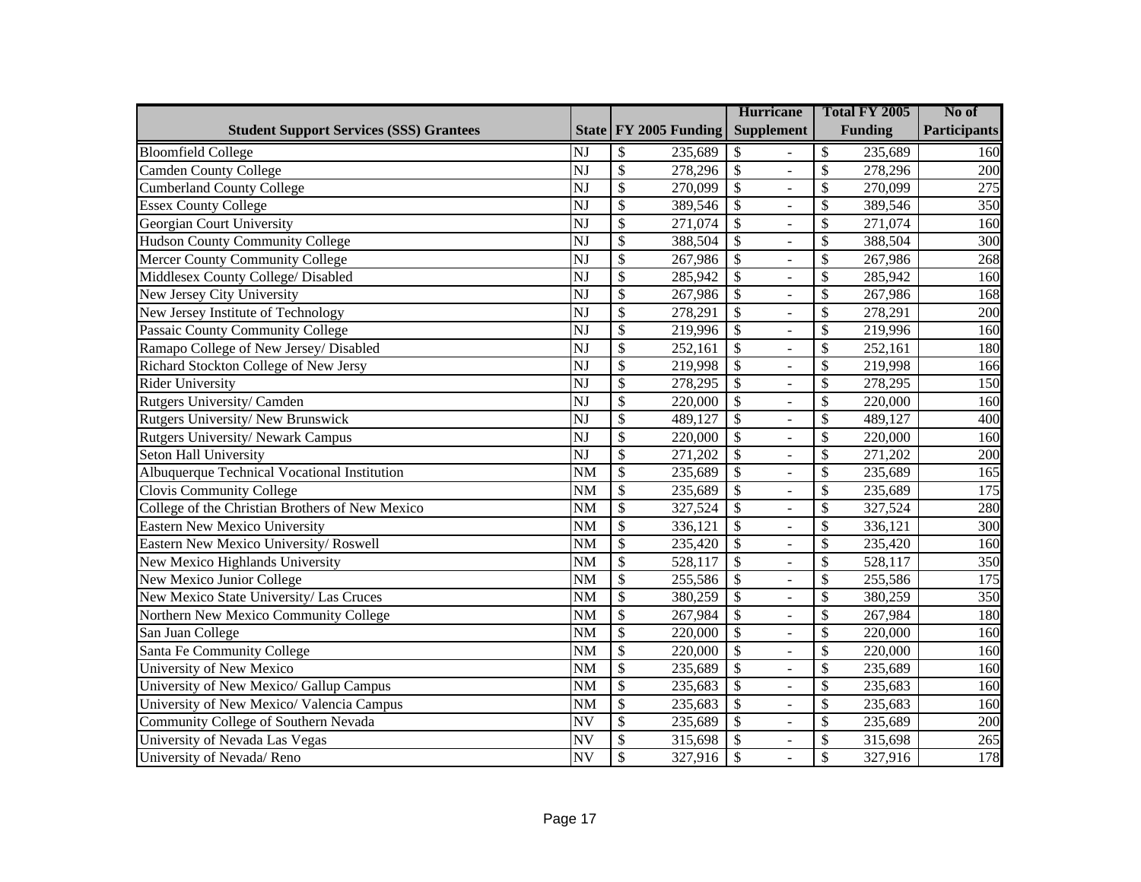|                                                 |                        |                            | <b>Hurricane</b>                            | Total FY 2005  | No of               |
|-------------------------------------------------|------------------------|----------------------------|---------------------------------------------|----------------|---------------------|
| <b>Student Support Services (SSS) Grantees</b>  |                        | State FY 2005 Funding      | <b>Supplement</b>                           | <b>Funding</b> | <b>Participants</b> |
| <b>Bloomfield College</b>                       | <b>NJ</b>              | \$<br>235,689              | \$                                          | \$<br>235,689  | 160                 |
| Camden County College                           | $\overline{\text{NJ}}$ | $\overline{\$}$<br>278,296 | $\boldsymbol{\mathsf{S}}$<br>L.             | \$<br>278,296  | 200                 |
| <b>Cumberland County College</b>                | NJ                     | \$<br>270,099              | $\boldsymbol{\mathsf{S}}$                   | \$<br>270,099  | 275                 |
| <b>Essex County College</b>                     | NJ                     | $\overline{\$}$<br>389,546 | $\overline{\$}$<br>$\overline{\phantom{a}}$ | \$<br>389,546  | 350                 |
| Georgian Court University                       | NJ                     | \$<br>271,074              | \$<br>$\overline{\phantom{a}}$              | \$<br>271,074  | 160                 |
| Hudson County Community College                 | $\overline{\text{NJ}}$ | $\overline{\$}$<br>388,504 | $\overline{\$}$<br>$\equiv$                 | \$<br>388,504  | 300                 |
| Mercer County Community College                 | $\overline{\text{NJ}}$ | $\overline{\$}$<br>267,986 | $\overline{\$}$<br>$\equiv$                 | \$<br>267,986  | 268                 |
| Middlesex County College/ Disabled              | $\overline{\text{NJ}}$ | $\overline{\$}$<br>285,942 | $\overline{\$}$<br>$\equiv$                 | \$<br>285,942  | 160                 |
| New Jersey City University                      | $\overline{\text{NJ}}$ | $\overline{\$}$<br>267,986 | $\overline{\$}$<br>$\overline{a}$           | \$<br>267,986  | 168                 |
| New Jersey Institute of Technology              | NJ                     | $\overline{\$}$<br>278,291 | $\overline{\$}$<br>$\overline{a}$           | \$<br>278,291  | 200                 |
| Passaic County Community College                | NJ                     | $\overline{\$}$<br>219,996 | $\overline{\$}$<br>$\overline{a}$           | \$<br>219,996  | 160                 |
| Ramapo College of New Jersey/Disabled           | NJ                     | $\overline{\$}$<br>252,161 | $\overline{\$}$<br>$\overline{a}$           | \$<br>252,161  | 180                 |
| Richard Stockton College of New Jersy           | NJ                     | $\overline{\$}$<br>219,998 | $\overline{\$}$<br>$\overline{a}$           | \$<br>219,998  | 166                 |
| <b>Rider University</b>                         | NJ                     | $\overline{\$}$<br>278,295 | $\overline{\$}$<br>$\overline{\phantom{a}}$ | \$<br>278,295  | 150                 |
| Rutgers University/ Camden                      | NJ                     | $\overline{\$}$<br>220,000 | $\overline{\$}$<br>$\overline{a}$           | \$<br>220,000  | 160                 |
| Rutgers University/New Brunswick                | <b>NJ</b>              | $\mathcal{S}$<br>489,127   | \$<br>$\equiv$                              | \$<br>489,127  | 400                 |
| Rutgers University/ Newark Campus               | <b>NJ</b>              | $\overline{\$}$<br>220,000 | \$<br>$\overline{\phantom{a}}$              | \$<br>220,000  | 160                 |
| Seton Hall University                           | NJ                     | $\overline{\$}$<br>271,202 | \$<br>$\equiv$                              | \$<br>271,202  | 200                 |
| Albuquerque Technical Vocational Institution    | <b>NM</b>              | \$<br>235,689              | \$<br>÷,                                    | \$<br>235,689  | 165                 |
| <b>Clovis Community College</b>                 | <b>NM</b>              | \$<br>235,689              | $\overline{\$}$<br>$\equiv$                 | \$<br>235,689  | 175                 |
| College of the Christian Brothers of New Mexico | <b>NM</b>              | $\overline{\$}$<br>327,524 | $\overline{\$}$<br>÷,                       | \$<br>327,524  | 280                 |
| Eastern New Mexico University                   | $\overline{\text{NM}}$ | $\overline{\$}$<br>336,121 | $\overline{\$}$<br>$\equiv$                 | \$<br>336,121  | 300                 |
| Eastern New Mexico University/Roswell           | <b>NM</b>              | $\overline{\$}$<br>235,420 | $\overline{\$}$<br>$\overline{\phantom{a}}$ | \$<br>235,420  | 160                 |
| New Mexico Highlands University                 | $\overline{\text{NM}}$ | $\overline{\$}$<br>528,117 | $\overline{\$}$<br>$\overline{a}$           | \$<br>528,117  | 350                 |
| New Mexico Junior College                       | <b>NM</b>              | $\overline{\$}$<br>255,586 | $\overline{\$}$<br>$\overline{\phantom{0}}$ | \$<br>255,586  | 175                 |
| New Mexico State University/ Las Cruces         | $\overline{\text{NM}}$ | $\overline{\$}$<br>380,259 | $\overline{\$}$<br>$\overline{a}$           | \$<br>380,259  | 350                 |
| Northern New Mexico Community College           | <b>NM</b>              | $\overline{\$}$<br>267,984 | $\overline{\$}$<br>$\overline{\phantom{0}}$ | \$<br>267,984  | 180                 |
| San Juan College                                | <b>NM</b>              | $\overline{\$}$<br>220,000 | $\overline{\$}$<br>$\overline{a}$           | \$<br>220,000  | 160                 |
| Santa Fe Community College                      | <b>NM</b>              | $\overline{\$}$<br>220,000 | $\overline{\$}$<br>$\overline{a}$           | \$<br>220,000  | 160                 |
| University of New Mexico                        | <b>NM</b>              | $\overline{\$}$<br>235,689 | $\overline{\$}$<br>$\overline{a}$           | \$<br>235,689  | 160                 |
| University of New Mexico/ Gallup Campus         | <b>NM</b>              | $\overline{\$}$<br>235,683 | $\overline{\$}$<br>$\overline{a}$           | \$<br>235,683  | 160                 |
| University of New Mexico/ Valencia Campus       | <b>NM</b>              | $\overline{\$}$<br>235,683 | $\overline{\$}$<br>$\overline{a}$           | \$<br>235,683  | 160                 |
| Community College of Southern Nevada            | $\overline{\text{NV}}$ | $\overline{\$}$<br>235,689 | $\overline{\$}$<br>$\bar{\phantom{a}}$      | \$<br>235,689  | 200                 |
| University of Nevada Las Vegas                  | <b>NV</b>              | $\overline{\$}$<br>315,698 | $\overline{\$}$<br>$\overline{a}$           | \$<br>315,698  | 265                 |
| University of Nevada/Reno                       | $\overline{\text{NV}}$ | $\overline{\$}$<br>327,916 | $\overline{\mathcal{S}}$                    | \$<br>327,916  | 178                 |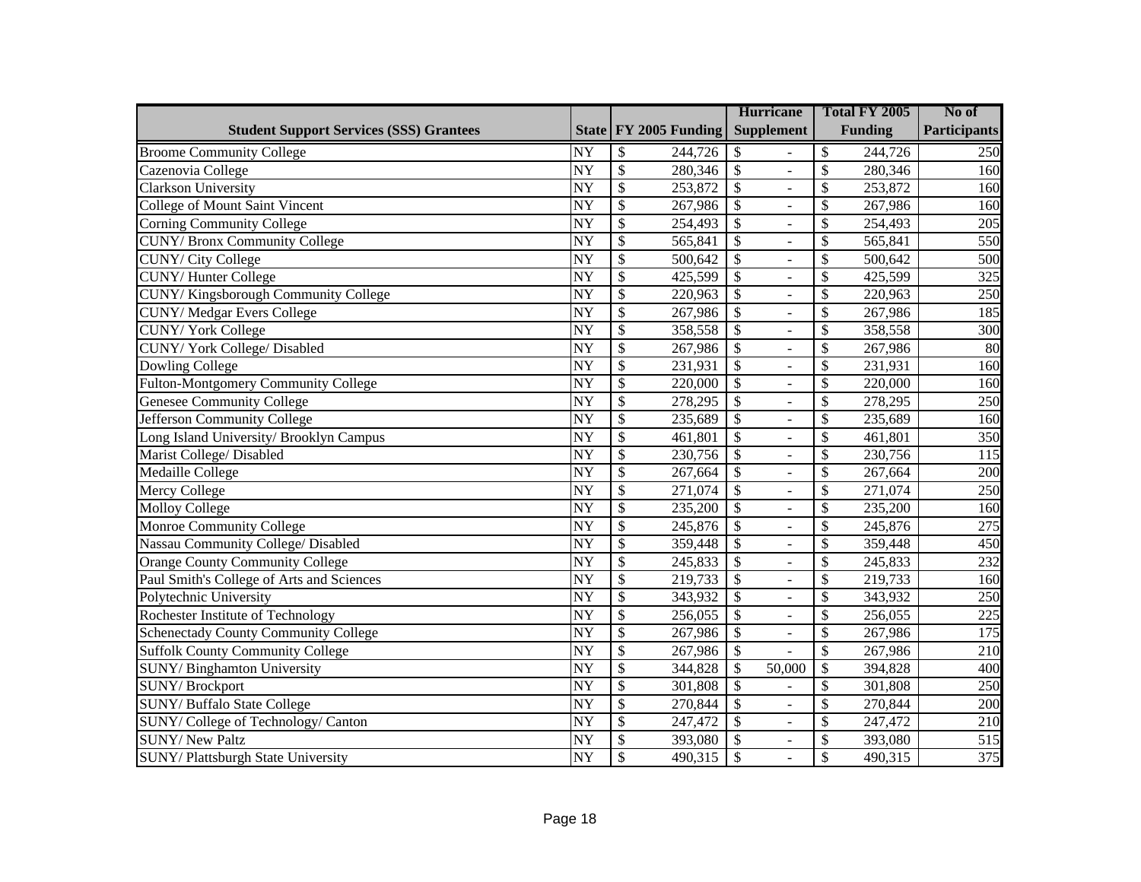|                                                |                 |                          |                       |                          | <b>Hurricane</b>         | Total FY 2005  | No of               |
|------------------------------------------------|-----------------|--------------------------|-----------------------|--------------------------|--------------------------|----------------|---------------------|
| <b>Student Support Services (SSS) Grantees</b> |                 |                          | State FY 2005 Funding |                          | <b>Supplement</b>        | <b>Funding</b> | <b>Participants</b> |
| <b>Broome Community College</b>                | NY              | \$                       | 244,726               | \$                       |                          | \$<br>244,726  | 250                 |
| Cazenovia College                              | $\overline{NY}$ | $\overline{\$}$          | 280,346               | $\overline{\mathcal{S}}$ | L,                       | \$<br>280,346  | 160                 |
| Clarkson University                            | <b>NY</b>       | $\overline{\$}$          | 253,872               | $\overline{\$}$          |                          | \$<br>253,872  | 160                 |
| <b>College of Mount Saint Vincent</b>          | <b>NY</b>       | $\overline{\$}$          | 267,986               | $\overline{\$}$          | $\overline{a}$           | \$<br>267,986  | 160                 |
| <b>Corning Community College</b>               | <b>NY</b>       | $\overline{\$}$          | 254,493               | $\overline{\$}$          | $\equiv$                 | \$<br>254,493  | 205                 |
| <b>CUNY/Bronx Community College</b>            | <b>NY</b>       | $\overline{\$}$          | 565,841               | $\overline{\$}$          | $\omega$                 | \$<br>565,841  | 550                 |
| <b>CUNY/ City College</b>                      | $\overline{NY}$ | $\overline{\$}$          | 500,642               | $\overline{\$}$          | $\blacksquare$           | \$<br>500,642  | 500                 |
| <b>CUNY/Hunter College</b>                     | $\overline{NY}$ | $\overline{\$}$          | 425,599               | $\overline{\$}$          | $\omega$                 | \$<br>425,599  | 325                 |
| <b>CUNY/Kingsborough Community College</b>     | $\overline{NY}$ | $\overline{\$}$          | 220,963               | $\overline{\$}$          | $\overline{\phantom{a}}$ | \$<br>220,963  | $\overline{250}$    |
| <b>CUNY/ Medgar Evers College</b>              | $\overline{NY}$ | $\overline{\$}$          | 267,986               | $\overline{\$}$          | $\omega$                 | \$<br>267,986  | 185                 |
| <b>CUNY/York College</b>                       | $\overline{NY}$ | $\overline{\$}$          | 358,558               | $\overline{\$}$          | $\equiv$                 | \$<br>358,558  | 300                 |
| CUNY/York College/Disabled                     | $\overline{NY}$ | $\overline{\$}$          | 267,986               | $\sqrt{3}$               | $\overline{a}$           | \$<br>267,986  | $\overline{80}$     |
| <b>Dowling College</b>                         | $\overline{NY}$ | $\overline{\mathcal{S}}$ | 231,931               | $\overline{\$}$          | $\equiv$                 | \$<br>231,931  | 160                 |
| Fulton-Montgomery Community College            | $\overline{NY}$ | $\overline{\mathcal{S}}$ | 220,000               | $\overline{\$}$          | $\overline{a}$           | \$<br>220,000  | 160                 |
| <b>Genesee Community College</b>               | $\overline{NY}$ | $\overline{\mathcal{S}}$ | 278,295               | $\overline{\mathcal{S}}$ | $\overline{\phantom{a}}$ | \$<br>278,295  | 250                 |
| Jefferson Community College                    | $\overline{NY}$ | $\overline{\$}$          | 235,689               | $\overline{\$}$          | $\overline{a}$           | \$<br>235,689  | 160                 |
| Long Island University/ Brooklyn Campus        | <b>NY</b>       | $\overline{\$}$          | 461,801               | $\overline{\$}$          | $\overline{a}$           | \$<br>461,801  | 350                 |
| Marist College/ Disabled                       | <b>NY</b>       | $\overline{\$}$          | 230,756               | $\overline{\$}$          | $\equiv$                 | \$<br>230,756  | 115                 |
| <b>Medaille College</b>                        | <b>NY</b>       | $\overline{\$}$          | 267,664               | $\overline{\$}$          | $\omega$                 | \$<br>267,664  | 200                 |
| Mercy College                                  | <b>NY</b>       | $\overline{\$}$          | 271,074               | $\overline{\$}$          | $\blacksquare$           | \$<br>271,074  | 250                 |
| <b>Molloy College</b>                          | <b>NY</b>       | $\overline{\$}$          | 235,200               | $\overline{\$}$          | $\bar{\phantom{a}}$      | \$<br>235,200  | 160                 |
| Monroe Community College                       | $\overline{NY}$ | $\overline{\$}$          | 245,876               | $\overline{\$}$          | $\blacksquare$           | \$<br>245,876  | $\overline{275}$    |
| Nassau Community College/ Disabled             | $\overline{NY}$ | $\overline{\$}$          | 359,448               | $\overline{\$}$          | $\omega$                 | \$<br>359,448  | 450                 |
| <b>Orange County Community College</b>         | $\overline{NY}$ | $\overline{\$}$          | 245,833               | $\overline{\$}$          | $\blacksquare$           | \$<br>245,833  | 232                 |
| Paul Smith's College of Arts and Sciences      | $\overline{NY}$ | $\overline{\$}$          | 219,733               | $\overline{\$}$          | $\bar{\phantom{a}}$      | \$<br>219,733  | 160                 |
| Polytechnic University                         | $\overline{NY}$ | $\overline{\$}$          | 343,932               | $\overline{\$}$          | $\omega$                 | \$<br>343,932  | 250                 |
| Rochester Institute of Technology              | <b>NY</b>       | $\overline{\$}$          | 256,055               | $\overline{\$}$          | $\overline{a}$           | \$<br>256,055  | $\overline{225}$    |
| Schenectady County Community College           | <b>NY</b>       | $\overline{\$}$          | 267,986               | $\overline{\$}$          | $\omega$                 | \$<br>267,986  | 175                 |
| <b>Suffolk County Community College</b>        | <b>NY</b>       | $\overline{\$}$          | 267,986               | $\sqrt{3}$               |                          | \$<br>267,986  | 210                 |
| <b>SUNY/Binghamton University</b>              | <b>NY</b>       | \$                       | 344,828               | \$                       | 50,000                   | \$<br>394,828  | 400                 |
| <b>SUNY/Brockport</b>                          | <b>NY</b>       | \$                       | 301,808               | $\overline{\$}$          |                          | \$<br>301,808  | 250                 |
| <b>SUNY/Buffalo State College</b>              | <b>NY</b>       | \$                       | 270,844               | $\overline{\mathcal{S}}$ | $\overline{a}$           | \$<br>270,844  | 200                 |
| SUNY/College of Technology/Canton              | <b>NY</b>       | \$                       | 247,472               | $\overline{\mathcal{S}}$ | $\overline{\phantom{a}}$ | \$<br>247,472  | 210                 |
| <b>SUNY/ New Paltz</b>                         | <b>NY</b>       | \$                       | 393,080               | \$                       | $\overline{\phantom{a}}$ | \$<br>393,080  | 515                 |
| <b>SUNY/Plattsburgh State University</b>       | <b>NY</b>       | \$                       | 490,315               | \$                       |                          | \$<br>490,315  | 375                 |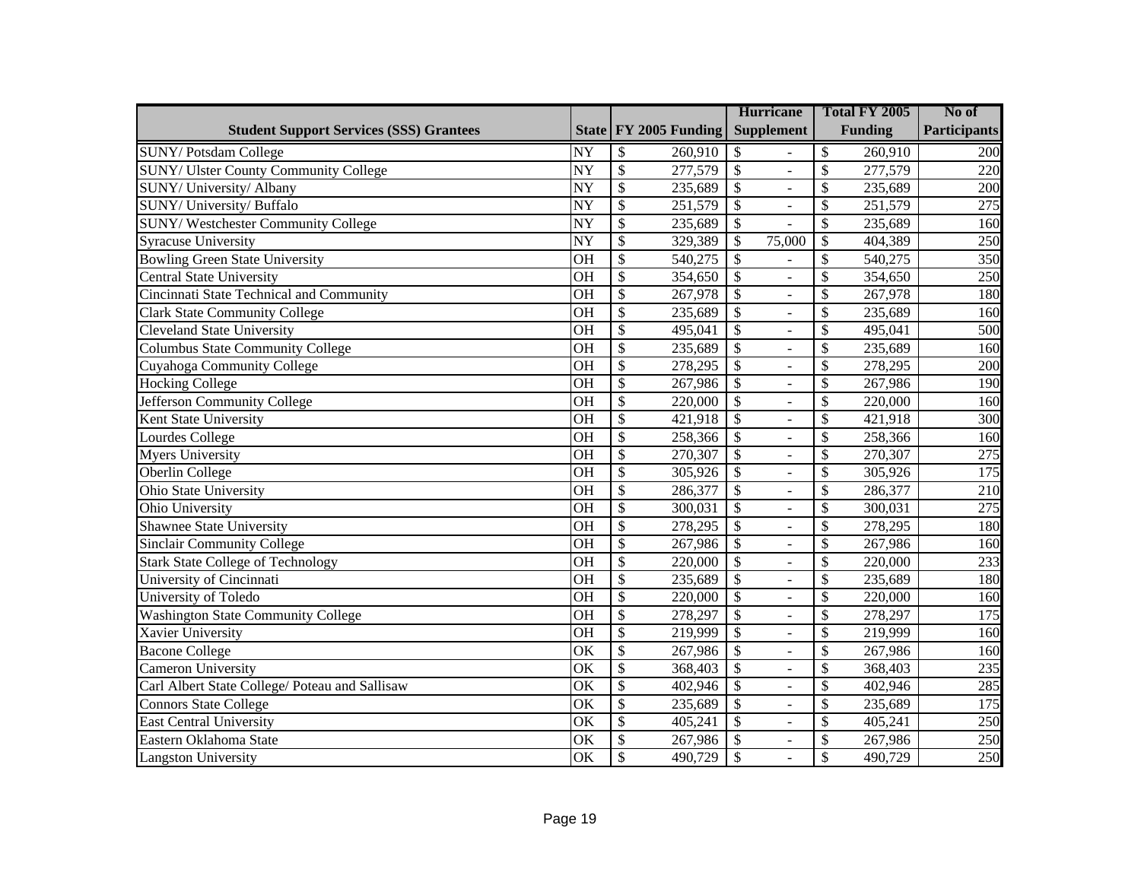|                                                |                        |                           |                       |                           | <b>Hurricane</b>         |                          | Total FY 2005  | No of               |
|------------------------------------------------|------------------------|---------------------------|-----------------------|---------------------------|--------------------------|--------------------------|----------------|---------------------|
| <b>Student Support Services (SSS) Grantees</b> |                        |                           | State FY 2005 Funding |                           | <b>Supplement</b>        |                          | <b>Funding</b> | <b>Participants</b> |
| <b>SUNY/Potsdam College</b>                    | NY                     | \$                        | 260,910               | \$                        |                          | \$                       | 260,910        | 200                 |
| <b>SUNY/ Ulster County Community College</b>   | $\overline{\text{NY}}$ | $\overline{\$}$           | 277,579               | $\overline{\$}$           | $\overline{a}$           | $\mathcal{S}$            | 277,579        | 220                 |
| SUNY/ University/ Albany                       | <b>NY</b>              | $\overline{\$}$           | 235,689               | $\overline{\$}$           | $\overline{a}$           | \$                       | 235,689        | 200                 |
| SUNY/ University/ Buffalo                      | <b>NY</b>              | $\overline{\$}$           | 251,579               | $\overline{\$}$           | $\overline{a}$           | $\mathcal{S}$            | 251,579        | 275                 |
| SUNY/Westchester Community College             | <b>NY</b>              | $\overline{\$}$           | 235,689               | $\overline{\$}$           |                          | $\mathcal{S}$            | 235,689        | 160                 |
| Syracuse University                            | NY                     | $\overline{\$}$           | 329,389               | \$                        | 75,000                   | \$                       | 404,389        | 250                 |
| <b>Bowling Green State University</b>          | <b>OH</b>              | $\overline{\$}$           | 540,275               | $\overline{\$}$           |                          | \$                       | 540,275        | 350                 |
| <b>Central State University</b>                | <b>OH</b>              | $\overline{\$}$           | 354,650               | $\overline{\$}$           | $\overline{a}$           | \$                       | 354,650        | 250                 |
| Cincinnati State Technical and Community       | <b>OH</b>              | $\overline{\$}$           | 267,978               | $\overline{\$}$           | $\frac{1}{2}$            | \$                       | 267,978        | 180                 |
| <b>Clark State Community College</b>           | <b>OH</b>              | $\overline{\$}$           | 235,689               | $\overline{\$}$           | $\overline{a}$           | \$                       | 235,689        | 160                 |
| <b>Cleveland State University</b>              | <b>OH</b>              | $\overline{\$}$           | 495,041               | $\overline{\$}$           | $\overline{a}$           | $\mathcal{S}$            | 495,041        | 500                 |
| <b>Columbus State Community College</b>        | OH                     | $\overline{\$}$           | 235,689               | $\overline{\$}$           | $\frac{1}{2}$            | $\overline{\$}$          | 235,689        | 160                 |
| Cuyahoga Community College                     | <b>OH</b>              | $\overline{\$}$           | 278,295               | $\overline{\$}$           | $\overline{a}$           | \$                       | 278,295        | 200                 |
| <b>Hocking College</b>                         | OH                     | $\overline{\$}$           | 267,986               | $\overline{\$}$           | $\bar{\phantom{a}}$      | $\overline{\mathcal{S}}$ | 267,986        | 190                 |
| Jefferson Community College                    | OH                     | $\overline{\$}$           | 220,000               | $\overline{\mathcal{S}}$  | $\overline{a}$           | $\mathcal{S}$            | 220,000        | 160                 |
| Kent State University                          | OH                     | $\mathcal{S}$             | 421,918               | $\mathcal{S}$             | ä,                       | \$                       | 421,918        | 300                 |
| Lourdes College                                | OH                     | $\overline{\mathcal{S}}$  | 258,366               | $\overline{\$}$           | $\overline{a}$           | \$                       | 258,366        | 160                 |
| <b>Myers University</b>                        | OH                     | $\mathcal{S}$             | 270,307               | $\overline{\mathcal{S}}$  | ä,                       | \$                       | 270,307        | 275                 |
| Oberlin College                                | OH                     | $\overline{\mathcal{S}}$  | 305,926               | $\boldsymbol{\mathsf{S}}$ | $\overline{a}$           | \$                       | 305,926        | 175                 |
| Ohio State University                          | OH                     | $\mathcal{S}$             | 286,377               | $\overline{\mathcal{S}}$  | ä,                       | \$                       | 286,377        | 210                 |
| Ohio University                                | OH                     | $\overline{\mathcal{S}}$  | 300,031               | $\mathcal{S}$             | $\overline{a}$           | \$                       | 300,031        | 275                 |
| <b>Shawnee State University</b>                | OH                     | $\mathcal{S}$             | 278,295               | $\overline{\mathcal{S}}$  | ä,                       | \$                       | 278,295        | 180                 |
| <b>Sinclair Community College</b>              | OH                     | $\overline{\mathcal{S}}$  | 267,986               | $\boldsymbol{\mathsf{S}}$ | $\overline{a}$           | \$                       | 267,986        | 160                 |
| <b>Stark State College of Technology</b>       | OH                     | $\mathcal{S}$             | 220,000               | $\overline{\mathcal{S}}$  | $\overline{\phantom{0}}$ | \$                       | 220,000        | 233                 |
| University of Cincinnati                       | <b>OH</b>              | $\overline{\mathcal{S}}$  | 235,689               | $\overline{\$}$           | ÷.                       | \$                       | 235,689        | 180                 |
| University of Toledo                           | OH                     | $\boldsymbol{\mathsf{S}}$ | 220,000               | $\overline{\mathcal{S}}$  | ÷,                       | \$                       | 220,000        | 160                 |
| <b>Washington State Community College</b>      | <b>OH</b>              | $\overline{\mathcal{S}}$  | 278,297               | $\overline{\$}$           | ä,                       | \$                       | 278,297        | 175                 |
| Xavier University                              | OH                     | $\boldsymbol{\mathsf{S}}$ | 219,999               | $\overline{\mathcal{S}}$  | ÷,                       | \$                       | 219,999        | 160                 |
| <b>Bacone College</b>                          | OK                     | $\overline{\mathcal{S}}$  | 267,986               | $\overline{\$}$           | ä,                       | \$                       | 267,986        | 160                 |
| <b>Cameron University</b>                      | OK                     | $\boldsymbol{\mathsf{S}}$ | 368,403               | $\boldsymbol{\mathsf{S}}$ | ÷,                       | \$                       | 368,403        | 235                 |
| Carl Albert State College/ Poteau and Sallisaw | OK                     | $\overline{\mathcal{S}}$  | 402,946               | $\overline{\$}$           | ä,                       | \$                       | 402,946        | 285                 |
| <b>Connors State College</b>                   | OK                     | $\boldsymbol{\mathsf{S}}$ | 235,689               | $\overline{\$}$           | ÷,                       | \$                       | 235,689        | 175                 |
| <b>East Central University</b>                 | OK                     | $\overline{\mathcal{S}}$  | 405,241               | $\overline{\mathcal{S}}$  | ä,                       | \$                       | 405,241        | 250                 |
| Eastern Oklahoma State                         | OK                     | $\boldsymbol{\mathsf{S}}$ | 267,986               | $\boldsymbol{\mathsf{S}}$ | $\overline{\phantom{0}}$ | \$                       | 267,986        | 250                 |
| <b>Langston University</b>                     | OK                     | $\mathcal{S}$             | 490,729               | $\overline{\mathcal{S}}$  |                          | $\mathcal{S}$            | 490,729        | 250                 |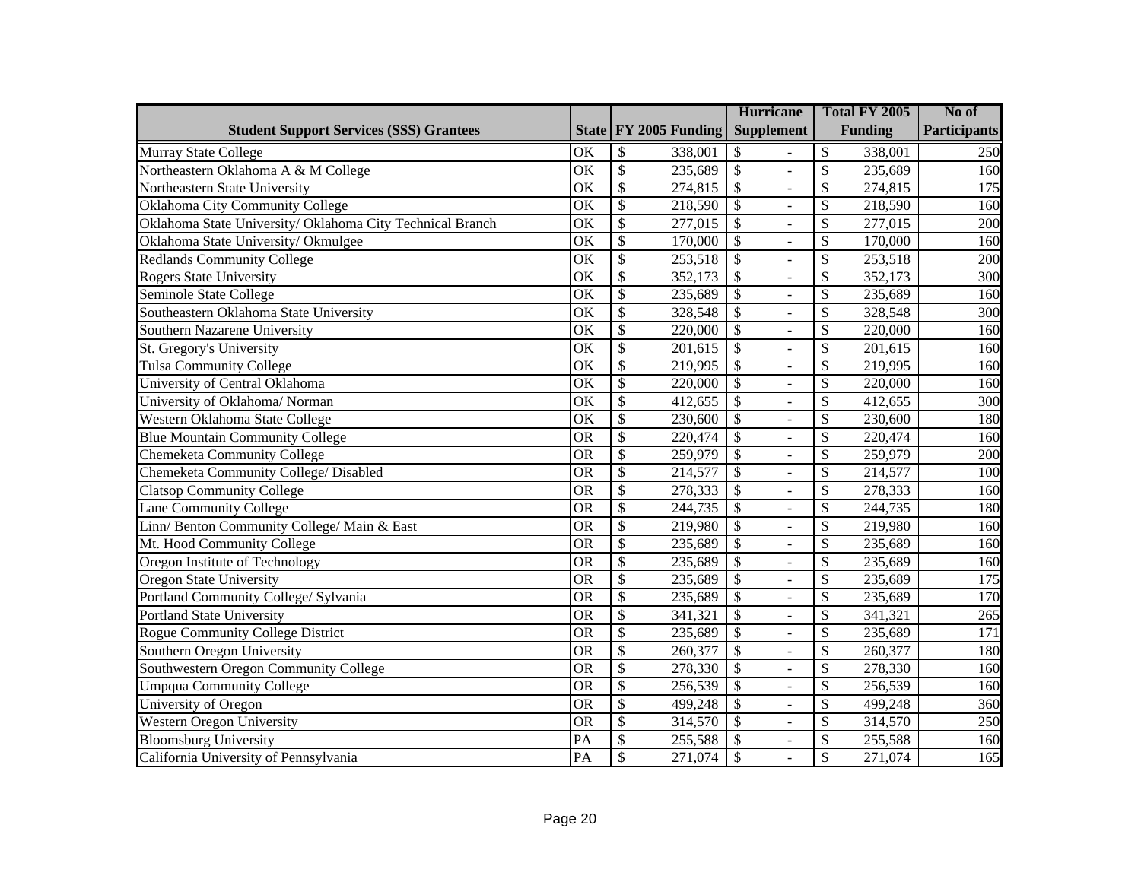|                                                           |                        |                                     | <b>Hurricane</b>                            | Total FY 2005                       | No of               |
|-----------------------------------------------------------|------------------------|-------------------------------------|---------------------------------------------|-------------------------------------|---------------------|
| <b>Student Support Services (SSS) Grantees</b>            |                        | State FY 2005 Funding               | <b>Supplement</b>                           | <b>Funding</b>                      | <b>Participants</b> |
| Murray State College                                      | OK                     | \$<br>338,001                       | \$                                          | \$<br>338,001                       | 250                 |
| Northeastern Oklahoma A & M College                       | OK                     | $\overline{\$}$<br>235,689          | $\overline{\mathcal{S}}$<br>$\overline{a}$  | \$<br>235,689                       | 160                 |
| Northeastern State University                             | OK                     | $\overline{\$}$<br>274,815          | $\overline{\$}$                             | \$<br>274,815                       | $\overline{175}$    |
| Oklahoma City Community College                           | $\overline{\text{OK}}$ | $\overline{\$}$<br>218,590          | $\overline{\$}$<br>$\blacksquare$           | \$<br>218,590                       | 160                 |
| Oklahoma State University/ Oklahoma City Technical Branch | OK                     | $\overline{\$}$<br>277,015          | $\overline{\$}$<br>$\overline{a}$           | \$<br>277,015                       | 200                 |
| Oklahoma State University/Okmulgee                        | OK                     | $\overline{\mathcal{S}}$<br>170,000 | $\overline{\$}$<br>$\frac{1}{2}$            | \$<br>170,000                       | 160                 |
| Redlands Community College                                | OK                     | $\overline{\$}$<br>253,518          | $\overline{\$}$<br>$\overline{a}$           | \$<br>253,518                       | 200                 |
| Rogers State University                                   | OK                     | $\overline{\$}$<br>352,173          | $\overline{\$}$<br>$\frac{1}{2}$            | \$<br>352,173                       | $\overline{300}$    |
| Seminole State College                                    | OK                     | $\overline{\$}$<br>235,689          | $\overline{\$}$<br>$\overline{a}$           | \$<br>235,689                       | 160                 |
| Southeastern Oklahoma State University                    | OK                     | $\overline{\$}$<br>328,548          | $\overline{\$}$<br>$\bar{\phantom{a}}$      | \$<br>328,548                       | 300                 |
| Southern Nazarene University                              | $\overline{\text{OK}}$ | $\overline{\mathcal{S}}$<br>220,000 | $\overline{\$}$<br>$\frac{1}{2}$            | \$<br>220,000                       | 160                 |
| St. Gregory's University                                  | $\overline{\text{OK}}$ | $\overline{\mathcal{S}}$<br>201,615 | $\overline{\$}$<br>$\omega$                 | $\overline{\mathcal{S}}$<br>201,615 | 160                 |
| <b>Tulsa Community College</b>                            | $\overline{\text{OK}}$ | $\overline{\$}$<br>219,995          | $\overline{\$}$<br>$\frac{1}{2}$            | $\overline{\mathcal{S}}$<br>219,995 | 160                 |
| University of Central Oklahoma                            | $\overline{\text{OK}}$ | $\overline{\$}$<br>220,000          | $\overline{\$}$<br>$\Box$                   | $\overline{\mathcal{S}}$<br>220,000 | 160                 |
| University of Oklahoma/ Norman                            | $\overline{\text{OK}}$ | $\overline{\$}$<br>412,655          | $\overline{\$}$<br>$\overline{a}$           | $\overline{\mathcal{S}}$<br>412,655 | 300                 |
| Western Oklahoma State College                            | OK                     | $\overline{\$}$<br>230,600          | $\overline{\$}$<br>$\overline{a}$           | \$<br>230,600                       | 180                 |
| <b>Blue Mountain Community College</b>                    | <b>OR</b>              | $\overline{\$}$<br>220,474          | $\overline{\$}$<br>$\overline{a}$           | \$<br>220,474                       | 160                 |
| Chemeketa Community College                               | <b>OR</b>              | $\overline{\$}$<br>259,979          | $\overline{\$}$<br>$\frac{1}{2}$            | \$<br>259,979                       | 200                 |
| Chemeketa Community College/ Disabled                     | <b>OR</b>              | $\overline{\$}$<br>214,577          | $\overline{\$}$<br>$\Box$                   | \$<br>214,577                       | 100                 |
| <b>Clatsop Community College</b>                          | $\overline{\text{OR}}$ | $\overline{\$}$<br>278,333          | $\overline{\$}$<br>$\frac{1}{2}$            | \$<br>278,333                       | 160                 |
| <b>Lane Community College</b>                             | <b>OR</b>              | $\overline{\$}$<br>244,735          | $\overline{\$}$<br>$\overline{a}$           | \$<br>244,735                       | 180                 |
| Linn/ Benton Community College/ Main & East               | <b>OR</b>              | $\overline{\$}$<br>219,980          | $\overline{\$}$<br>$\frac{1}{2}$            | \$<br>219,980                       | 160                 |
| Mt. Hood Community College                                | <b>OR</b>              | $\overline{\$}$<br>235,689          | $\overline{\$}$<br>$\Box$                   | \$<br>235,689                       | 160                 |
| Oregon Institute of Technology                            | <b>OR</b>              | $\overline{\$}$<br>235,689          | $\overline{\$}$<br>$\frac{1}{2}$            | \$<br>235,689                       | 160                 |
| <b>Oregon State University</b>                            | <b>OR</b>              | $\overline{\$}$<br>235,689          | $\overline{\$}$<br>$\overline{\phantom{a}}$ | \$<br>235,689                       | 175                 |
| Portland Community College/ Sylvania                      | <b>OR</b>              | $\overline{\$}$<br>235,689          | $\overline{\mathcal{S}}$<br>$\Box$          | \$<br>235,689                       | 170                 |
| <b>Portland State University</b>                          | <b>OR</b>              | \$<br>341,321                       | $\overline{\$}$<br>$\overline{\phantom{a}}$ | \$<br>341,321                       | $\overline{265}$    |
| Rogue Community College District                          | <b>OR</b>              | \$<br>235,689                       | $\overline{\$}$<br>$\overline{\phantom{a}}$ | \$<br>235,689                       | 171                 |
| Southern Oregon University                                | <b>OR</b>              | $\overline{\$}$<br>260,377          | $\overline{\$}$<br>$\overline{\phantom{a}}$ | $\overline{\mathcal{S}}$<br>260,377 | 180                 |
| Southwestern Oregon Community College                     | <b>OR</b>              | $\overline{\$}$<br>278,330          | $\overline{\$}$<br>$\Box$                   | \$<br>278,330                       | 160                 |
| <b>Umpqua Community College</b>                           | <b>OR</b>              | $\overline{\$}$<br>256,539          | $\overline{\$}$<br>$\overline{\phantom{a}}$ | $\overline{\mathcal{S}}$<br>256,539 | 160                 |
| University of Oregon                                      | <b>OR</b>              | $\overline{\$}$<br>499,248          | $\overline{\$}$<br>$\overline{\phantom{a}}$ | \$<br>499,248                       | 360                 |
| <b>Western Oregon University</b>                          | <b>OR</b>              | $\overline{\$}$<br>314,570          | $\overline{\$}$<br>$\overline{\phantom{a}}$ | \$<br>314,570                       | 250                 |
| <b>Bloomsburg University</b>                              | PA                     | \$<br>255,588                       | $\overline{\mathcal{S}}$<br>$\blacksquare$  | \$<br>255,588                       | 160                 |
| California University of Pennsylvania                     | PA                     | \$<br>271,074                       | $\overline{\$}$<br>$\overline{a}$           | \$<br>271,074                       | 165                 |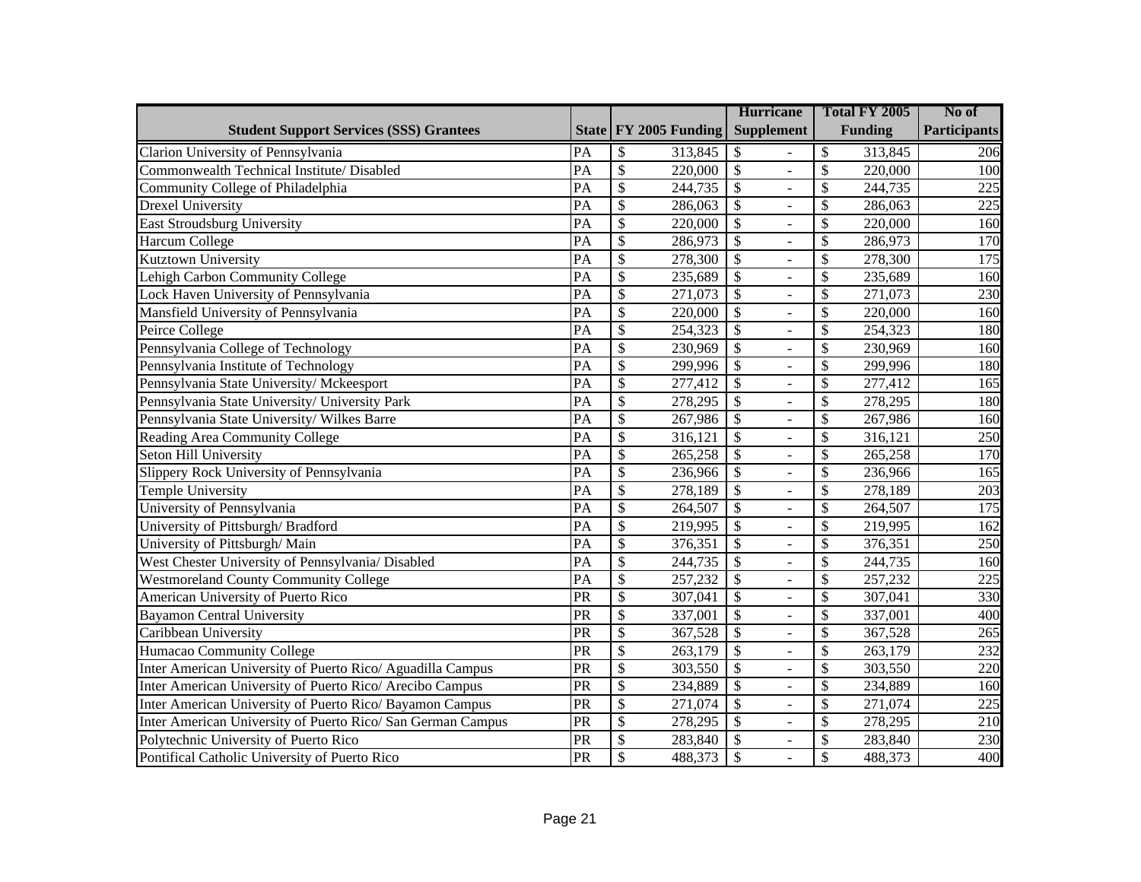|                                                             |                 |                          |                       | <b>Hurricane</b>                            |                          | Total FY 2005  | No of               |
|-------------------------------------------------------------|-----------------|--------------------------|-----------------------|---------------------------------------------|--------------------------|----------------|---------------------|
| <b>Student Support Services (SSS) Grantees</b>              |                 |                          | State FY 2005 Funding | <b>Supplement</b>                           |                          | <b>Funding</b> | <b>Participants</b> |
| Clarion University of Pennsylvania                          | PA              | \$                       | 313,845               | \$                                          | \$                       | 313,845        | 206                 |
| Commonwealth Technical Institute/ Disabled                  | PA              | $\overline{\mathcal{S}}$ | 220,000               | $\mathcal{S}$<br>$\overline{a}$             | \$                       | 220,000        | 100                 |
| Community College of Philadelphia                           | $\overline{PA}$ | $\overline{\$}$          | 244,735               | $\overline{\mathcal{S}}$                    | \$                       | 244,735        | 225                 |
| Drexel University                                           | $\overline{PA}$ | $\overline{\mathcal{S}}$ | 286,063               | $\overline{\$}$<br>$\overline{a}$           | \$                       | 286,063        | $\overline{225}$    |
| <b>East Stroudsburg University</b>                          | $\overline{PA}$ | $\overline{\$}$          | 220,000               | $\overline{\$}$<br>$\overline{a}$           | \$                       | 220,000        | 160                 |
| Harcum College                                              | $\overline{PA}$ | $\overline{\mathcal{S}}$ | 286,973               | $\overline{\$}$<br>$\overline{a}$           | \$                       | 286,973        | 170                 |
| Kutztown University                                         | $\overline{PA}$ | $\overline{\$}$          | 278,300               | $\overline{\$}$<br>$\overline{a}$           | \$                       | 278,300        | 175                 |
| Lehigh Carbon Community College                             | $\overline{PA}$ | $\overline{\$}$          | 235,689               | $\overline{\$}$<br>$\overline{a}$           | \$                       | 235,689        | 160                 |
| Lock Haven University of Pennsylvania                       | $\overline{PA}$ | $\overline{\$}$          | 271,073               | $\overline{\$}$<br>$\overline{a}$           | \$                       | 271,073        | 230                 |
| Mansfield University of Pennsylvania                        | $\overline{PA}$ | $\overline{\$}$          | 220,000               | $\overline{\mathcal{S}}$<br>$\overline{a}$  | \$                       | 220,000        | 160                 |
| Peirce College                                              | $\overline{PA}$ | $\overline{\mathcal{S}}$ | 254,323               | $\overline{\$}$<br>$\overline{a}$           | \$                       | 254,323        | 180                 |
| Pennsylvania College of Technology                          | PA              | $\overline{\$}$          | 230,969               | $\overline{\$}$<br>$\overline{a}$           | $\overline{\mathcal{S}}$ | 230,969        | 160                 |
| Pennsylvania Institute of Technology                        | PA              | $\overline{\$}$          | 299,996               | $\overline{\mathcal{S}}$<br>$\overline{a}$  | $\overline{\mathcal{S}}$ | 299,996        | 180                 |
| Pennsylvania State University/ Mckeesport                   | PA              | $\overline{\$}$          | 277,412               | $\overline{\mathcal{S}}$<br>L,              | $\overline{\mathcal{S}}$ | 277,412        | 165                 |
| Pennsylvania State University/ University Park              | $\overline{PA}$ | $\overline{\$}$          | 278,295               | $\overline{\$}$<br>$\overline{a}$           | \$                       | 278,295        | 180                 |
| Pennsylvania State University/ Wilkes Barre                 | $\overline{PA}$ | $\overline{\$}$          | 267,986               | $\overline{\$}$<br>$\overline{a}$           | \$                       | 267,986        | 160                 |
| Reading Area Community College                              | $\overline{PA}$ | $\overline{\$}$          | 316,121               | $\overline{\mathcal{S}}$<br>$\overline{a}$  | \$                       | 316,121        | 250                 |
| Seton Hill University                                       | $\overline{PA}$ | $\overline{\$}$          | 265,258               | $\overline{\$}$<br>$\overline{a}$           | \$                       | 265,258        | 170                 |
| Slippery Rock University of Pennsylvania                    | $\overline{PA}$ | $\overline{\$}$          | 236,966               | $\overline{\mathcal{S}}$<br>$\overline{a}$  | \$                       | 236,966        | 165                 |
| Temple University                                           | $\overline{PA}$ | $\overline{\$}$          | 278,189               | $\overline{\$}$<br>$\equiv$                 | \$                       | 278,189        | $\overline{203}$    |
| University of Pennsylvania                                  | $\overline{PA}$ | $\overline{\mathcal{S}}$ | 264,507               | $\overline{\$}$<br>$\overline{a}$           | \$                       | 264,507        | $\overline{175}$    |
| University of Pittsburgh/Bradford                           | $\overline{PA}$ | $\overline{\$}$          | 219,995               | $\overline{\$}$<br>$\overline{a}$           | \$                       | 219,995        | 162                 |
| University of Pittsburgh/ Main                              | $\overline{PA}$ | $\overline{\$}$          | 376,351               | $\overline{\$}$<br>$\bar{\phantom{a}}$      | \$                       | 376,351        | 250                 |
| West Chester University of Pennsylvania/ Disabled           | $\overline{PA}$ | $\overline{\$}$          | 244,735               | $\overline{\$}$<br>$\overline{\phantom{0}}$ | \$                       | 244,735        | 160                 |
| Westmoreland County Community College                       | $\overline{PA}$ | \$                       | 257,232               | $\overline{\$}$<br>$\overline{a}$           | \$                       | 257,232        | 225                 |
| American University of Puerto Rico                          | $\overline{PR}$ | \$                       | 307,041               | $\overline{\mathcal{S}}$<br>÷,              | \$                       | 307,041        | 330                 |
| <b>Bayamon Central University</b>                           | PR              | $\overline{\$}$          | 337,001               | $\overline{\mathcal{S}}$<br>÷,              | \$                       | 337,001        | 400                 |
| Caribbean University                                        | PR              | \$                       | 367,528               | $\overline{\$}$<br>$\overline{\phantom{a}}$ | \$                       | 367,528        | 265                 |
| Humacao Community College                                   | $\overline{PR}$ | $\overline{\mathcal{S}}$ | 263,179               | $\overline{\$}$<br>÷,                       | $\overline{\mathcal{S}}$ | 263,179        | 232                 |
| Inter American University of Puerto Rico/ Aguadilla Campus  | $\overline{PR}$ | $\overline{\$}$          | 303,550               | $\overline{\$}$<br>$\overline{\phantom{a}}$ | \$                       | 303,550        | 220                 |
| Inter American University of Puerto Rico/ Arecibo Campus    | $\overline{PR}$ | $\overline{\$}$          | 234,889               | $\overline{\$}$<br>÷,                       | \$                       | 234,889        | 160                 |
| Inter American University of Puerto Rico/ Bayamon Campus    | $\overline{PR}$ | $\overline{\$}$          | 271,074               | $\overline{\$}$<br>$\overline{\phantom{a}}$ | \$                       | 271,074        | 225                 |
| Inter American University of Puerto Rico/ San German Campus | $\overline{PR}$ | $\overline{\$}$          | 278,295               | $\overline{\$}$<br>$\sim$                   | \$                       | 278,295        | 210                 |
| Polytechnic University of Puerto Rico                       | $\overline{PR}$ | \$                       | 283,840               | $\overline{\mathcal{S}}$<br>$\blacksquare$  | \$                       | 283,840        | 230                 |
| Pontifical Catholic University of Puerto Rico               | $\overline{PR}$ | \$                       | 488,373               | $\overline{\mathcal{S}}$<br>$\sim$          | \$                       | 488,373        | 400                 |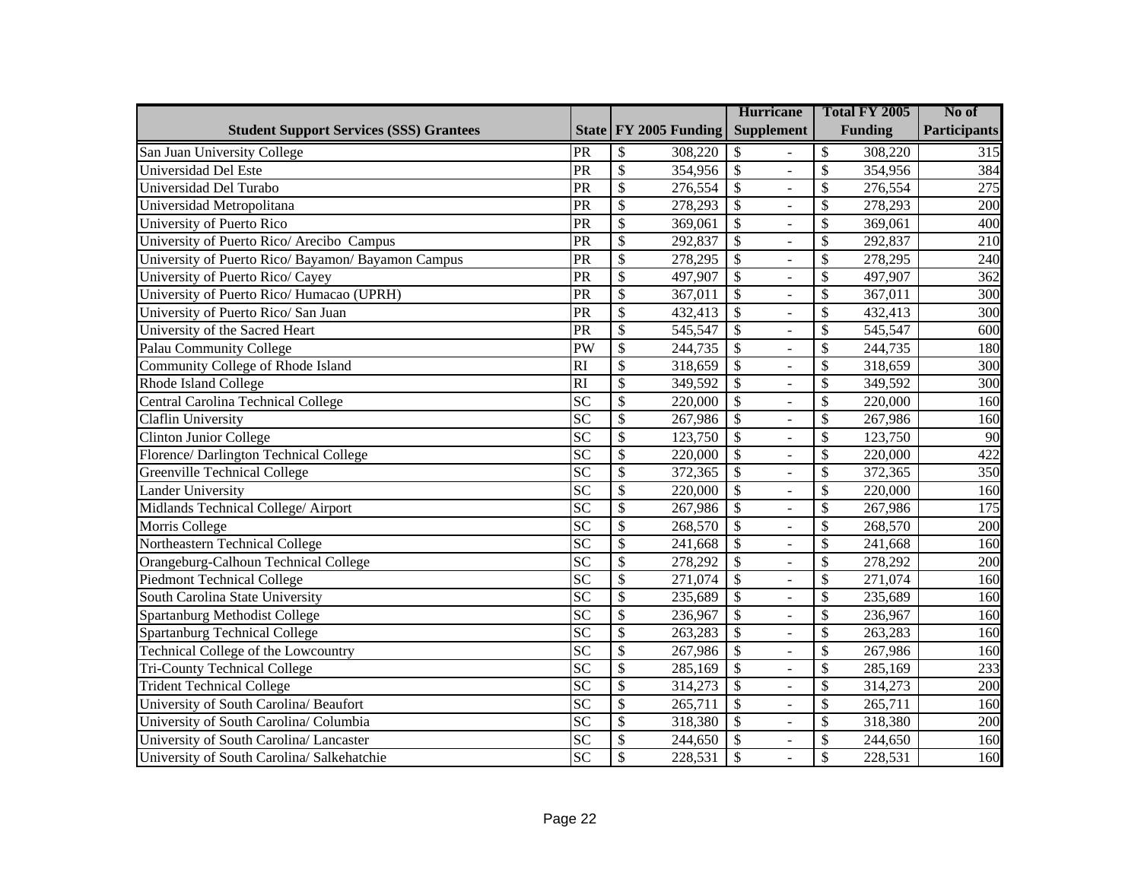|                                                    |                 |                                         | <b>Hurricane</b>                            | Total FY 2005                       | No of               |
|----------------------------------------------------|-----------------|-----------------------------------------|---------------------------------------------|-------------------------------------|---------------------|
| <b>Student Support Services (SSS) Grantees</b>     |                 | State   FY 2005 Funding                 | <b>Supplement</b>                           | <b>Funding</b>                      | <b>Participants</b> |
| San Juan University College                        | PR              | $\mathcal{S}$<br>308,220                | \$                                          | \$<br>308,220                       | 315                 |
| Universidad Del Este                               | PR              | $\overline{\mathcal{S}}$<br>354,956     | $\mathcal{S}$<br>$\overline{a}$             | \$<br>354,956                       | 384                 |
| Universidad Del Turabo                             | PR              | $\mathcal{S}$<br>276,554                | $\boldsymbol{\mathsf{S}}$<br>÷,             | $\mathcal{S}$<br>276,554            | 275                 |
| Universidad Metropolitana                          | PR              | $\mathcal{S}$<br>278,293                | $\overline{\mathcal{S}}$<br>$\equiv$        | \$<br>278,293                       | 200                 |
| University of Puerto Rico                          | PR              | $\mathcal{S}$<br>369,061                | \$<br>÷,                                    | \$<br>369,061                       | 400                 |
| University of Puerto Rico/ Arecibo Campus          | $\overline{PR}$ | $\overline{\mathcal{S}}$<br>292,837     | $\overline{\$}$<br>$\equiv$                 | \$<br>292,837                       | $\overline{210}$    |
| University of Puerto Rico/ Bayamon/ Bayamon Campus | $\overline{PR}$ | $\overline{\mathcal{S}}$<br>278,295     | $\overline{\$}$<br>$\equiv$                 | \$<br>278,295                       | 240                 |
| University of Puerto Rico/ Cayey                   | $\overline{PR}$ | $\overline{\mathcal{S}}$<br>497,907     | $\overline{\$}$<br>$\overline{a}$           | \$<br>497,907                       | 362                 |
| University of Puerto Rico/Humacao (UPRH)           | $\overline{PR}$ | $\overline{\mathcal{S}}$<br>367,011     | $\overline{\$}$<br>$\overline{a}$           | \$<br>367,011                       | $\overline{300}$    |
| University of Puerto Rico/ San Juan                | $\overline{PR}$ | $\overline{\mathcal{S}}$<br>432,413     | $\overline{\$}$<br>$\overline{a}$           | \$<br>432,413                       | $\overline{300}$    |
| University of the Sacred Heart                     | PR              | $\overline{\mathcal{S}}$<br>545,547     | $\overline{\$}$<br>$\overline{a}$           | $\overline{\mathcal{S}}$<br>545,547 | 600                 |
| <b>Palau Community College</b>                     | <b>PW</b>       | $\overline{\mathcal{S}}$<br>244,735     | $\overline{\$}$<br>$\overline{a}$           | $\overline{\mathcal{S}}$<br>244,735 | 180                 |
| Community College of Rhode Island                  | $\overline{RI}$ | $\overline{\mathcal{S}}$<br>318,659     | $\overline{\$}$<br>$\overline{a}$           | $\overline{\mathcal{S}}$<br>318,659 | 300                 |
| Rhode Island College                               | $\overline{RI}$ | $\overline{\mathcal{S}}$<br>349,592     | $\overline{\$}$<br>$\overline{a}$           | $\overline{\mathcal{S}}$<br>349,592 | 300                 |
| Central Carolina Technical College                 | $\overline{SC}$ | $\overline{\mathcal{S}}$<br>220,000     | $\overline{\$}$<br>$\overline{a}$           | $\overline{\mathcal{S}}$<br>220,000 | 160                 |
| Claflin University                                 | <b>SC</b>       | $\mathcal{S}$<br>267,986                | \$<br>$\overline{\phantom{a}}$              | $\mathcal{S}$<br>267,986            | 160                 |
| Clinton Junior College                             | <b>SC</b>       | $\mathcal{S}$<br>123,750                | $\overline{\$}$<br>÷,                       | \$<br>123,750                       | 90                  |
| Florence/Darlington Technical College              | <b>SC</b>       | \$<br>220,000                           | $\overline{\mathcal{S}}$<br>$\equiv$        | $\mathcal{S}$<br>220,000            | 422                 |
| Greenville Technical College                       | <b>SC</b>       | $\mathcal{S}$<br>372,365                | \$<br>÷,                                    | \$<br>372,365                       | 350                 |
| <b>Lander University</b>                           | <b>SC</b>       | \$<br>220,000                           | $\overline{\mathcal{S}}$<br>$\equiv$        | $\mathcal{S}$<br>220,000            | 160                 |
| Midlands Technical College/ Airport                | $\overline{SC}$ | $\overline{\mathcal{S}}$<br>267,986     | $\overline{\$}$<br>÷,                       | \$<br>267,986                       | 175                 |
| Morris College                                     | $\overline{SC}$ | $\overline{\mathcal{S}}$<br>268,570     | $\overline{\mathcal{S}}$<br>$\blacksquare$  | \$<br>268,570                       | $\overline{200}$    |
| Northeastern Technical College                     | $\overline{SC}$ | $\overline{\$}$<br>241,668              | $\overline{\$}$<br>$\blacksquare$           | \$<br>241,668                       | 160                 |
| Orangeburg-Calhoun Technical College               | $\overline{SC}$ | $\overline{\mathcal{S}}$<br>278,292     | $\overline{\$}$<br>$\overline{a}$           | \$<br>278,292                       | $\overline{200}$    |
| <b>Piedmont Technical College</b>                  | $\overline{SC}$ | $\overline{\$}$<br>271,074              | $\overline{\$}$<br>$\overline{a}$           | \$<br>271,074                       | 160                 |
| South Carolina State University                    | $\overline{SC}$ | $\overline{\$}$<br>235,689              | $\overline{\$}$<br>$\overline{a}$           | \$<br>235,689                       | 160                 |
| Spartanburg Methodist College                      | $\overline{SC}$ | $\overline{\$}$<br>236,967              | $\overline{\$}$<br>$\overline{\phantom{0}}$ | \$<br>236,967                       | 160                 |
| <b>Spartanburg Technical College</b>               | $\overline{SC}$ | $\overline{\$}$<br>263,283              | $\overline{\$}$<br>$\overline{a}$           | \$<br>263,283                       | 160                 |
| Technical College of the Lowcountry                | $\overline{SC}$ | $\overline{\$}$<br>$\overline{267,986}$ | $\overline{\$}$<br>$\overline{a}$           | \$<br>267,986                       | 160                 |
| Tri-County Technical College                       | $\overline{SC}$ | $\overline{\$}$<br>285,169              | $\overline{\$}$<br>$\overline{a}$           | \$<br>285,169                       | 233                 |
| <b>Trident Technical College</b>                   | $\overline{SC}$ | $\overline{\$}$<br>314,273              | $\overline{\$}$<br>$\overline{a}$           | \$<br>314,273                       | 200                 |
| University of South Carolina/ Beaufort             | $\overline{SC}$ | $\overline{\$}$<br>265,711              | $\overline{\$}$<br>$\overline{a}$           | \$<br>265,711                       | 160                 |
| University of South Carolina/ Columbia             | $\overline{SC}$ | $\overline{\$}$<br>318,380              | $\overline{\$}$<br>$\bar{\phantom{a}}$      | \$<br>318,380                       | 200                 |
| University of South Carolina/ Lancaster            | $\overline{SC}$ | $\overline{\$}$<br>244,650              | $\overline{\$}$<br>$\Box$                   | \$<br>244,650                       | 160                 |
| University of South Carolina/ Salkehatchie         | SC              | \$<br>228,531                           | $\overline{\$}$                             | \$<br>228,531                       | 160                 |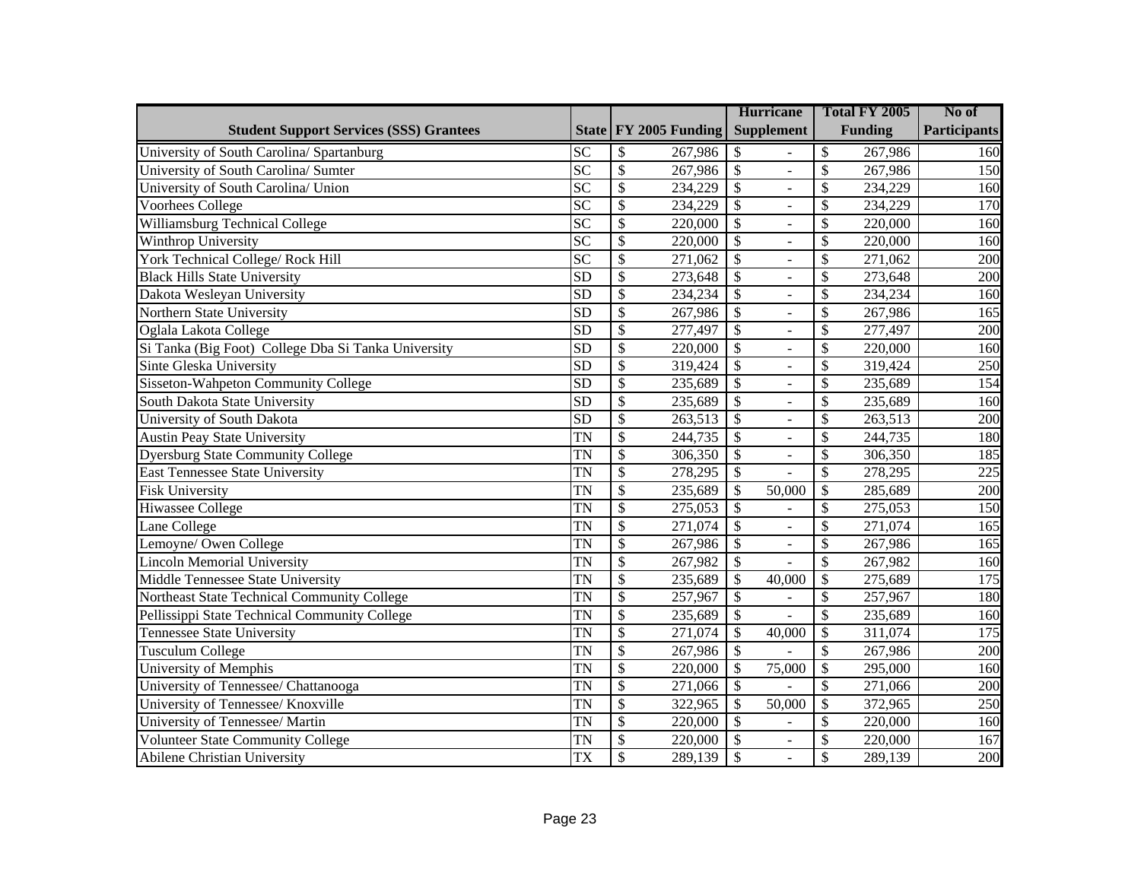|                                                     |                 |                          |                       |                          | <b>Hurricane</b>  |                          | Total FY 2005  | No of               |
|-----------------------------------------------------|-----------------|--------------------------|-----------------------|--------------------------|-------------------|--------------------------|----------------|---------------------|
| <b>Student Support Services (SSS) Grantees</b>      |                 |                          | State FY 2005 Funding |                          | <b>Supplement</b> |                          | <b>Funding</b> | <b>Participants</b> |
| University of South Carolina/ Spartanburg           | <b>SC</b>       | \$                       | 267,986               | \$                       |                   | \$                       | 267,986        | 160                 |
| University of South Carolina/ Sumter                | $\overline{SC}$ | $\overline{\mathcal{S}}$ | 267,986               | $\overline{\mathcal{S}}$ | $\overline{a}$    | \$                       | 267,986        | 150                 |
| University of South Carolina/ Union                 | <b>SC</b>       | $\mathcal{S}$            | 234,229               | $\mathcal{S}$            |                   | \$                       | 234,229        | 160                 |
| Voorhees College                                    | <b>SC</b>       | $\overline{\mathcal{S}}$ | 234,229               | $\overline{\mathcal{S}}$ | $\overline{a}$    | \$                       | 234,229        | 170                 |
| Williamsburg Technical College                      | <b>SC</b>       | \$                       | 220,000               | $\mathcal{S}$            | ÷,                | \$                       | 220,000        | 160                 |
| Winthrop University                                 | $\overline{SC}$ | $\overline{\$}$          | 220,000               | $\overline{\mathcal{S}}$ | $\overline{a}$    | \$                       | 220,000        | 160                 |
| York Technical College/ Rock Hill                   | $\overline{SC}$ | $\overline{\$}$          | 271,062               | $\overline{\$}$          | $\overline{a}$    | \$                       | 271,062        | 200                 |
| <b>Black Hills State University</b>                 | $\overline{SD}$ | $\overline{\$}$          | 273,648               | $\overline{\$}$          | $\overline{a}$    | \$                       | 273,648        | 200                 |
| Dakota Wesleyan University                          | $\overline{SD}$ | $\overline{\$}$          | 234,234               | $\overline{\$}$          | $\overline{a}$    | \$                       | 234,234        | 160                 |
| Northern State University                           | $\overline{SD}$ | $\overline{\$}$          | 267,986               | $\overline{\mathcal{S}}$ | $\overline{a}$    | \$                       | 267,986        | 165                 |
| Oglala Lakota College                               | SD              | $\overline{\$}$          | 277,497               | $\overline{\mathcal{S}}$ | $\overline{a}$    | \$                       | 277,497        | $\overline{200}$    |
| Si Tanka (Big Foot) College Dba Si Tanka University | SD              | $\overline{\$}$          | 220,000               | $\overline{\$}$          | $\overline{a}$    | $\overline{\mathcal{S}}$ | 220,000        | 160                 |
| Sinte Gleska University                             | SD              | $\overline{\$}$          | 319,424               | $\overline{\$}$          | L,                | \$                       | 319,424        | 250                 |
| Sisseton-Wahpeton Community College                 | SD              | $\overline{\$}$          | 235,689               | $\overline{\mathcal{S}}$ | $\overline{a}$    | \$                       | 235,689        | 154                 |
| South Dakota State University                       | SD              | $\overline{\$}$          | 235,689               | $\overline{\mathcal{S}}$ | $\overline{a}$    | \$                       | 235,689        | 160                 |
| University of South Dakota                          | <b>SD</b>       | $\mathcal{S}$            | 263,513               | $\mathcal{S}$            | L.                | \$                       | 263,513        | 200                 |
| <b>Austin Peay State University</b>                 | <b>TN</b>       | $\overline{\$}$          | 244,735               | $\mathcal{S}$            | $\overline{a}$    | \$                       | 244,735        | 180                 |
| <b>Dyersburg State Community College</b>            | <b>TN</b>       | $\overline{\$}$          | 306,350               | $\mathcal{S}$            | $\overline{a}$    | \$                       | 306,350        | 185                 |
| <b>East Tennessee State University</b>              | <b>TN</b>       | \$                       | 278,295               | $\mathcal{S}$            |                   | \$                       | 278,295        | 225                 |
| <b>Fisk University</b>                              | <b>TN</b>       | $\overline{\$}$          | 235,689               | $\mathcal{S}$            | 50,000            | \$                       | 285,689        | 200                 |
| <b>Hiwassee College</b>                             | <b>TN</b>       | $\overline{\$}$          | 275,053               | $\overline{\mathcal{S}}$ |                   | \$                       | 275,053        | 150                 |
| Lane College                                        | <b>TN</b>       | $\overline{\$}$          | 271,074               | $\overline{\mathcal{S}}$ | $\overline{a}$    | \$                       | 271,074        | 165                 |
| Lemoyne/ Owen College                               | <b>TN</b>       | $\overline{\$}$          | 267,986               | $\overline{\mathcal{S}}$ | ÷,                | \$                       | 267,986        | 165                 |
| <b>Lincoln Memorial University</b>                  | <b>TN</b>       | $\overline{\$}$          | 267,982               | $\overline{\mathcal{S}}$ |                   | \$                       | 267,982        | 160                 |
| Middle Tennessee State University                   | <b>TN</b>       | $\overline{\$}$          | 235,689               | \$                       | 40,000            | \$                       | 275,689        | 175                 |
| Northeast State Technical Community College         | <b>TN</b>       | $\overline{\$}$          | 257,967               | $\overline{\$}$          |                   | \$                       | 257,967        | 180                 |
| Pellissippi State Technical Community College       | <b>TN</b>       | $\overline{\$}$          | 235,689               | $\overline{\mathcal{S}}$ |                   | \$                       | 235,689        | 160                 |
| <b>Tennessee State University</b>                   | <b>TN</b>       | $\overline{\$}$          | 271,074               | \$                       | 40,000            | \$                       | 311,074        | 175                 |
| <b>Tusculum College</b>                             | <b>TN</b>       | $\overline{\$}$          | 267,986               | $\overline{\$}$          |                   | \$                       | 267,986        | 200                 |
| <b>University of Memphis</b>                        | <b>TN</b>       | $\overline{\$}$          | 220,000               | \$                       | 75,000            | \$                       | 295,000        | 160                 |
| University of Tennessee/ Chattanooga                | <b>TN</b>       | $\overline{\$}$          | 271,066               | $\sqrt{3}$               |                   | \$                       | 271,066        | 200                 |
| University of Tennessee/ Knoxville                  | <b>TN</b>       | $\overline{\$}$          | 322,965               | \$                       | 50,000            | \$                       | 372,965        | 250                 |
| University of Tennessee/ Martin                     | <b>TN</b>       | $\overline{\$}$          | 220,000               | $\overline{\mathcal{S}}$ |                   | \$                       | 220,000        | 160                 |
| Volunteer State Community College                   | <b>TN</b>       | \$                       | 220,000               | \$                       | $\overline{a}$    | \$                       | 220,000        | 167                 |
| <b>Abilene Christian University</b>                 | <b>TX</b>       | \$                       | 289,139               | $\overline{\mathcal{S}}$ |                   | \$                       | 289,139        | 200                 |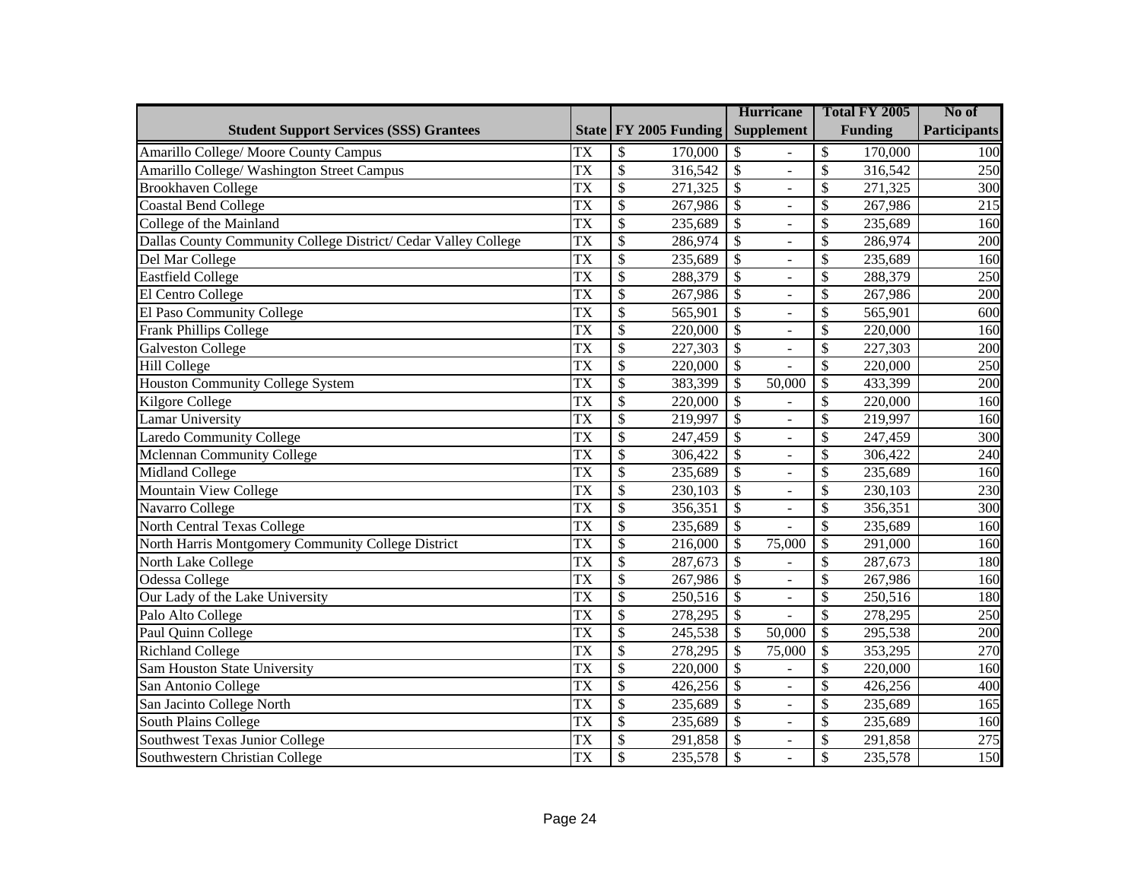|                                                                |                        |                          |                         |                          | <b>Hurricane</b>         |                          | Total FY 2005  | No of               |
|----------------------------------------------------------------|------------------------|--------------------------|-------------------------|--------------------------|--------------------------|--------------------------|----------------|---------------------|
| <b>Student Support Services (SSS) Grantees</b>                 |                        |                          | State   FY 2005 Funding |                          | <b>Supplement</b>        |                          | <b>Funding</b> | <b>Participants</b> |
| Amarillo College/ Moore County Campus                          | <b>TX</b>              | \$                       | 170,000                 | \$                       |                          | \$                       | 170,000        | 100                 |
| Amarillo College/ Washington Street Campus                     | <b>TX</b>              | $\mathcal{S}$            | 316,542                 | $\mathcal{S}$            | L.                       | \$                       | 316,542        | 250                 |
| <b>Brookhaven College</b>                                      | TX                     | $\mathcal{S}$            | 271,325                 | $\mathcal{S}$            | ÷,                       | \$                       | 271,325        | 300                 |
| <b>Coastal Bend College</b>                                    | <b>TX</b>              | \$                       | 267,986                 | $\mathcal{S}$            | ÷.                       | \$                       | 267,986        | 215                 |
| College of the Mainland                                        | <b>TX</b>              | $\mathcal{S}$            | 235,689                 | $\mathcal{S}$            | ÷,                       | \$                       | 235,689        | 160                 |
| Dallas County Community College District/ Cedar Valley College | <b>TX</b>              | $\overline{\mathcal{S}}$ | 286,974                 | $\overline{\mathcal{S}}$ | ä,                       | \$                       | 286,974        | 200                 |
| Del Mar College                                                | <b>TX</b>              | $\overline{\mathcal{S}}$ | 235,689                 | $\overline{\$}$          | $\overline{\phantom{0}}$ | \$                       | 235,689        | 160                 |
| Eastfield College                                              | <b>TX</b>              | $\overline{\mathcal{S}}$ | 288,379                 | $\overline{\$}$          | ä,                       | \$                       | 288,379        | 250                 |
| El Centro College                                              | <b>TX</b>              | $\overline{\mathcal{S}}$ | 267,986                 | $\overline{\$}$          | $\overline{\phantom{0}}$ | \$                       | 267,986        | 200                 |
| El Paso Community College                                      | <b>TX</b>              | $\overline{\mathcal{S}}$ | 565,901                 | $\overline{\$}$          | $\overline{a}$           | \$                       | 565,901        | 600                 |
| Frank Phillips College                                         | <b>TX</b>              | $\overline{\mathcal{S}}$ | 220,000                 | $\overline{\mathcal{S}}$ | $\overline{a}$           | $\overline{\mathbb{S}}$  | 220,000        | 160                 |
| <b>Galveston College</b>                                       | $\overline{TX}$        | $\overline{\mathcal{S}}$ | 227,303                 | $\overline{\$}$          | $\overline{a}$           | \$                       | 227,303        | $\overline{200}$    |
| <b>Hill College</b>                                            | <b>TX</b>              | $\overline{\$}$          | 220,000                 | $\overline{\mathcal{S}}$ | $\overline{a}$           | $\overline{\mathcal{S}}$ | 220,000        | 250                 |
| <b>Houston Community College System</b>                        | $\overline{TX}$        | $\overline{\$}$          | 383,399                 | $\overline{\mathcal{S}}$ | 50,000                   | \$                       | 433,399        | 200                 |
| <b>Kilgore College</b>                                         | <b>TX</b>              | $\overline{\mathcal{S}}$ | 220,000                 | $\overline{\$}$          | ÷.                       | \$                       | 220,000        | 160                 |
| <b>Lamar University</b>                                        | TX                     | $\mathcal{S}$            | 219,997                 | $\mathcal{S}$            | L.                       | \$                       | 219,997        | 160                 |
| <b>Laredo Community College</b>                                | TX                     | \$                       | 247,459                 | $\mathcal{S}$            | ÷.                       | \$                       | 247,459        | 300                 |
| Mclennan Community College                                     | TX                     | $\mathcal{S}$            | 306,422                 | $\mathcal{S}$            | $\overline{a}$           | \$                       | 306,422        | 240                 |
| Midland College                                                | TX                     | \$                       | 235,689                 | $\mathcal{S}$            | ä,                       | \$                       | 235,689        | 160                 |
| <b>Mountain View College</b>                                   | TX                     | $\mathcal{S}$            | 230,103                 | $\mathcal{S}$            | $\overline{a}$           | \$                       | 230,103        | 230                 |
| Navarro College                                                | <b>TX</b>              | $\overline{\mathcal{S}}$ | 356,351                 | $\overline{\mathcal{S}}$ | ä,                       | \$                       | 356,351        | $\overline{300}$    |
| North Central Texas College                                    | <b>TX</b>              | $\overline{\mathcal{S}}$ | 235,689                 | $\overline{\mathcal{S}}$ |                          | $\mathcal{S}$            | 235,689        | 160                 |
| North Harris Montgomery Community College District             | <b>TX</b>              | $\overline{\mathcal{S}}$ | 216,000                 | $\overline{\mathcal{S}}$ | 75,000                   | $\mathcal{S}$            | 291,000        | 160                 |
| North Lake College                                             | $\overline{\text{TX}}$ | $\overline{\mathcal{S}}$ | 287,673                 | $\overline{\$}$          |                          | $\mathcal{S}$            | 287,673        | 180                 |
| Odessa College                                                 | <b>TX</b>              | $\overline{\mathcal{S}}$ | 267,986                 | $\overline{\$}$          | $\overline{a}$           | \$                       | 267,986        | 160                 |
| Our Lady of the Lake University                                | $\overline{\text{TX}}$ | $\overline{\mathcal{S}}$ | 250,516                 | $\overline{\$}$          | $\overline{a}$           | $\mathcal{S}$            | 250,516        | 180                 |
| Palo Alto College                                              | TX                     | $\overline{\$}$          | 278,295                 | $\overline{\$}$          |                          | $\mathcal{S}$            | 278,295        | 250                 |
| Paul Quinn College                                             | <b>TX</b>              | $\overline{\$}$          | 245,538                 | \$                       | 50,000                   | $\mathcal{S}$            | 295,538        | 200                 |
| <b>Richland College</b>                                        | TX                     | $\overline{\$}$          | 278,295                 | $\overline{\$}$          | 75,000                   | \$                       | 353,295        | 270                 |
| Sam Houston State University                                   | TX                     | $\overline{\$}$          | 220,000                 | $\overline{\$}$          |                          | \$                       | 220,000        | 160                 |
| San Antonio College                                            | <b>TX</b>              | $\overline{\$}$          | 426,256                 | $\overline{\$}$          | $\overline{a}$           | \$                       | 426,256        | 400                 |
| San Jacinto College North                                      | <b>TX</b>              | $\overline{\$}$          | 235,689                 | $\overline{\$}$          | $\Box$                   | \$                       | 235,689        | 165                 |
| South Plains College                                           | <b>TX</b>              | $\overline{\mathcal{S}}$ | 235,689                 | $\overline{\$}$          | $\bar{\phantom{a}}$      | \$                       | 235,689        | 160                 |
| Southwest Texas Junior College                                 | <b>TX</b>              | $\overline{\$}$          | 291,858                 | $\overline{\$}$          | $\Box$                   | \$                       | 291,858        | 275                 |
| Southwestern Christian College                                 | <b>TX</b>              | $\overline{\mathcal{S}}$ | 235,578                 | $\overline{\$}$          |                          | \$                       | 235,578        | 150                 |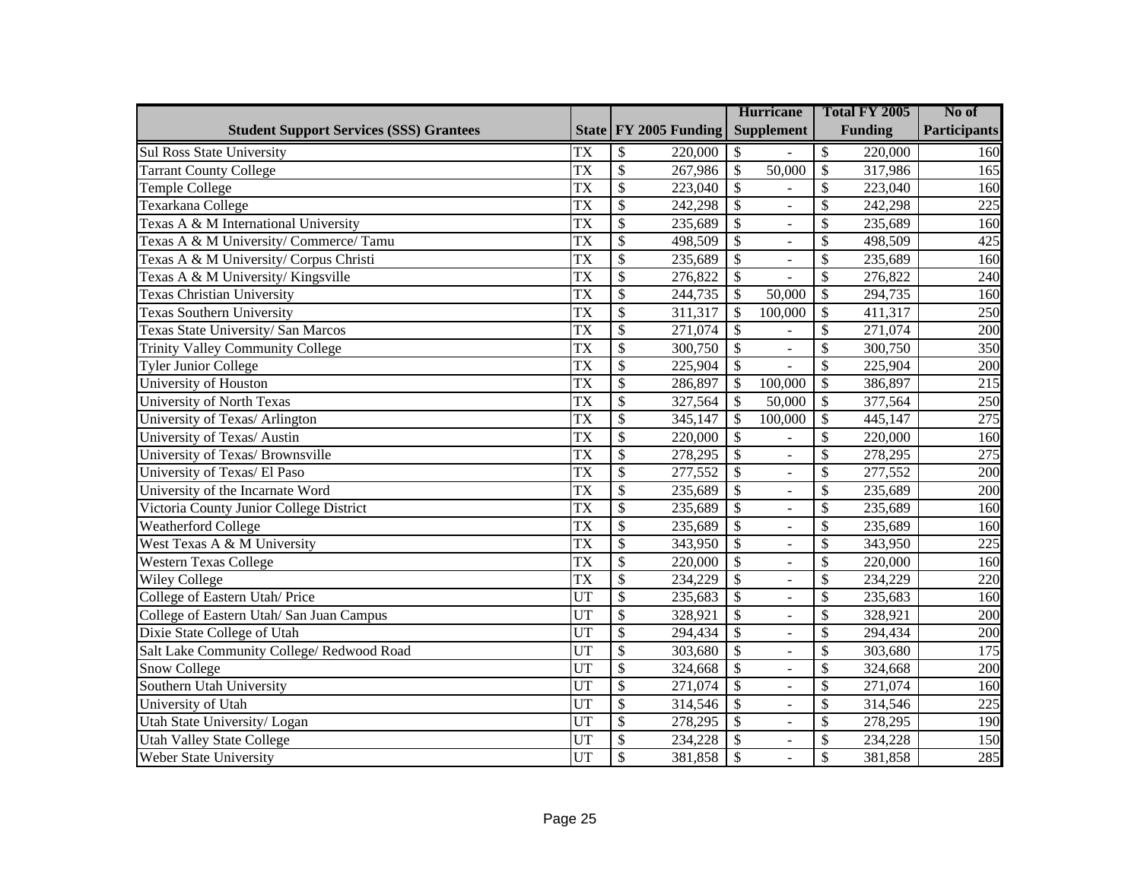|                                                |                 |                          |                       | <b>Hurricane</b>         |                          | Total FY 2005            |                | No of               |
|------------------------------------------------|-----------------|--------------------------|-----------------------|--------------------------|--------------------------|--------------------------|----------------|---------------------|
| <b>Student Support Services (SSS) Grantees</b> |                 |                          | State FY 2005 Funding |                          | <b>Supplement</b>        |                          | <b>Funding</b> | <b>Participants</b> |
| <b>Sul Ross State University</b>               | <b>TX</b>       | \$                       | 220,000               | \$                       |                          | \$                       | 220,000        | 160                 |
| <b>Tarrant County College</b>                  | <b>TX</b>       | $\overline{\$}$          | 267,986               | $\sqrt{3}$               | 50,000                   | \$                       | 317,986        | 165                 |
| Temple College                                 | <b>TX</b>       | $\overline{\$}$          | 223,040               | $\overline{\$}$          |                          | \$                       | 223,040        | 160                 |
| Texarkana College                              | <b>TX</b>       | $\overline{\$}$          | 242,298               | $\overline{\$}$          | $\overline{a}$           | \$                       | 242,298        | 225                 |
| Texas A & M International University           | <b>TX</b>       | $\overline{\$}$          | 235,689               | $\overline{\mathcal{S}}$ |                          | \$                       | 235,689        | 160                 |
| Texas A & M University/ Commerce/ Tamu         | <b>TX</b>       | $\overline{\$}$          | 498,509               | $\overline{\mathcal{S}}$ | $\overline{a}$           | \$                       | 498,509        | 425                 |
| Texas A & M University/ Corpus Christi         | <b>TX</b>       | $\overline{\$}$          | 235,689               | $\overline{\mathcal{S}}$ | $\overline{a}$           | \$                       | 235,689        | 160                 |
| Texas A & M University/ Kingsville             | <b>TX</b>       | $\overline{\$}$          | 276,822               | $\overline{\mathcal{S}}$ |                          | \$                       | 276,822        | 240                 |
| <b>Texas Christian University</b>              | <b>TX</b>       | $\overline{\$}$          | 244,735               | $\mathcal{S}$            | 50,000                   | \$                       | 294,735        | 160                 |
| <b>Texas Southern University</b>               | <b>TX</b>       | $\overline{\$}$          | 311,317               | $\mathcal{S}$            | 100,000                  | \$                       | 411,317        | 250                 |
| Texas State University/ San Marcos             | $\overline{TX}$ | $\overline{\mathcal{S}}$ | 271,074               | $\overline{\mathcal{S}}$ |                          | \$                       | 271,074        | $\overline{200}$    |
| <b>Trinity Valley Community College</b>        | <b>TX</b>       | $\overline{\mathcal{S}}$ | 300,750               | $\overline{\mathcal{S}}$ | $\omega$                 | $\overline{\mathcal{S}}$ | 300,750        | 350                 |
| <b>Tyler Junior College</b>                    | <b>TX</b>       | $\overline{\$}$          | 225,904               | $\overline{\mathcal{S}}$ |                          | $\overline{\mathcal{S}}$ | 225,904        | 200                 |
| University of Houston                          | <b>TX</b>       | $\overline{\$}$          | 286,897               | $\overline{\mathcal{S}}$ | 100,000                  | $\overline{\mathcal{S}}$ | 386,897        | 215                 |
| <b>University of North Texas</b>               | $\overline{TX}$ | $\overline{\$}$          | 327,564               | $\overline{\mathcal{S}}$ | 50,000                   | $\overline{\mathcal{S}}$ | 377,564        | 250                 |
| University of Texas/ Arlington                 | <b>TX</b>       | $\overline{\$}$          | 345,147               | $\overline{\mathcal{S}}$ | 100,000                  | \$                       | 445,147        | 275                 |
| University of Texas/ Austin                    | <b>TX</b>       | $\overline{\$}$          | 220,000               | $\overline{\mathcal{S}}$ |                          | \$                       | 220,000        | 160                 |
| University of Texas/ Brownsville               | <b>TX</b>       | $\overline{\$}$          | 278,295               | $\overline{\mathcal{S}}$ | $\overline{a}$           | \$                       | 278,295        | $\overline{275}$    |
| University of Texas/ El Paso                   | <b>TX</b>       | $\overline{\$}$          | 277,552               | $\overline{\$}$          | $\overline{a}$           | \$                       | 277,552        | 200                 |
| University of the Incarnate Word               | <b>TX</b>       | $\overline{\$}$          | 235,689               | $\overline{\$}$          | $\overline{a}$           | \$                       | 235,689        | $\overline{200}$    |
| Victoria County Junior College District        | <b>TX</b>       | $\overline{\$}$          | 235,689               | $\overline{\$}$          | $\overline{\phantom{0}}$ | \$                       | 235,689        | 160                 |
| <b>Weatherford College</b>                     | <b>TX</b>       | $\overline{\$}$          | 235,689               | $\overline{\$}$          | $\overline{a}$           | \$                       | 235,689        | 160                 |
| West Texas A & M University                    | <b>TX</b>       | $\overline{\$}$          | 343,950               | $\overline{\$}$          | $\overline{a}$           | \$                       | 343,950        | 225                 |
| <b>Western Texas College</b>                   | <b>TX</b>       | $\overline{\$}$          | 220,000               | $\overline{\$}$          | $\overline{a}$           | \$                       | 220,000        | 160                 |
| <b>Wiley College</b>                           | <b>TX</b>       | $\overline{\$}$          | 234,229               | $\overline{\$}$          | $\overline{a}$           | \$                       | 234,229        | 220                 |
| College of Eastern Utah/ Price                 | UT              | $\overline{\$}$          | 235,683               | $\overline{\$}$          | $\overline{a}$           | \$                       | 235,683        | 160                 |
| College of Eastern Utah/ San Juan Campus       | UT              | $\overline{\$}$          | 328,921               | $\overline{\$}$          | $\overline{a}$           | \$                       | 328,921        | 200                 |
| Dixie State College of Utah                    | UT              | $\overline{\$}$          | 294,434               | $\overline{\$}$          | $\blacksquare$           | \$                       | 294,434        | 200                 |
| Salt Lake Community College/Redwood Road       | <b>UT</b>       | $\overline{\$}$          | 303,680               | $\overline{\$}$          | $\overline{a}$           | \$                       | 303,680        | 175                 |
| Snow College                                   | UT              | $\overline{\$}$          | 324,668               | $\overline{\$}$          | $\blacksquare$           | \$                       | 324,668        | 200                 |
| Southern Utah University                       | UT              | $\overline{\$}$          | 271,074               | $\overline{\$}$          | $\overline{a}$           | \$                       | 271,074        | 160                 |
| University of Utah                             | UT              | $\overline{\$}$          | 314,546               | $\overline{\$}$          | $\blacksquare$           | \$                       | 314,546        | 225                 |
| Utah State University/Logan                    | UT              | $\overline{\$}$          | 278,295               | $\overline{\mathcal{S}}$ | $\overline{a}$           | \$                       | 278,295        | 190                 |
| <b>Utah Valley State College</b>               | UT              | \$                       | 234,228               | \$                       | $\blacksquare$           | \$                       | 234,228        | 150                 |
| Weber State University                         | UT              | \$                       | 381,858               | $\overline{\mathcal{S}}$ |                          | \$                       | 381,858        | 285                 |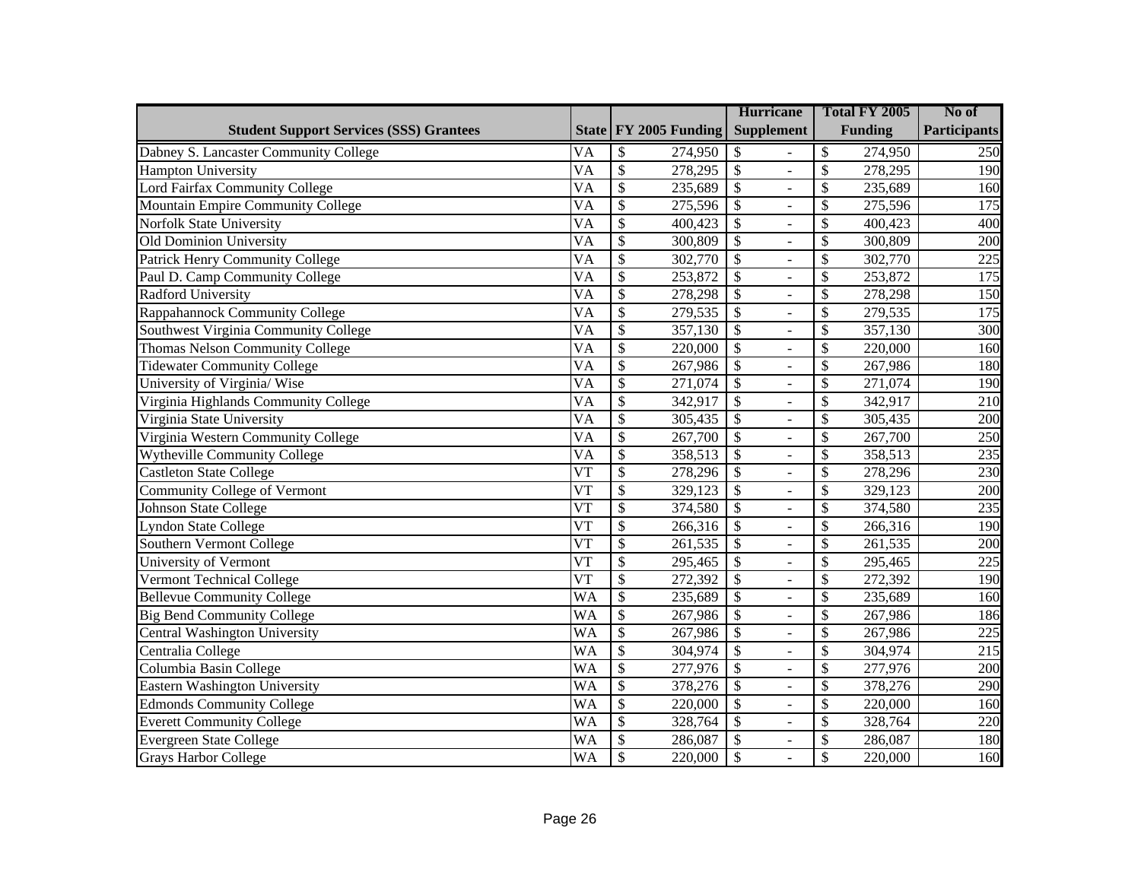|                                                |                        |                                     | <b>Hurricane</b>                           | Total FY 2005                       | No of               |
|------------------------------------------------|------------------------|-------------------------------------|--------------------------------------------|-------------------------------------|---------------------|
| <b>Student Support Services (SSS) Grantees</b> |                        | State FY 2005 Funding               | <b>Supplement</b>                          | <b>Funding</b>                      | <b>Participants</b> |
| Dabney S. Lancaster Community College          | <b>VA</b>              | \$<br>274,950                       | \$                                         | \$<br>274,950                       | 250                 |
| <b>Hampton University</b>                      | $\overline{VA}$        | $\overline{\mathcal{S}}$<br>278,295 | $\mathcal{S}$<br>$\overline{a}$            | \$<br>278,295                       | 190                 |
| Lord Fairfax Community College                 | <b>VA</b>              | \$<br>235,689                       | $\mathcal{S}$                              | \$<br>235,689                       | 160                 |
| Mountain Empire Community College              | $\overline{VA}$        | $\overline{\$}$<br>275,596          | $\mathcal{S}$<br>$\overline{a}$            | \$<br>275,596                       | 175                 |
| <b>Norfolk State University</b>                | <b>VA</b>              | \$<br>400,423                       | $\mathcal{S}$<br>÷,                        | \$<br>400,423                       | 400                 |
| Old Dominion University                        | $\overline{VA}$        | $\overline{\mathcal{S}}$<br>300,809 | $\overline{\$}$<br>$\overline{a}$          | \$<br>300,809                       | 200                 |
| <b>Patrick Henry Community College</b>         | $\overline{VA}$        | $\overline{\$}$<br>302,770          | $\overline{\mathcal{S}}$<br>$\overline{a}$ | \$<br>302,770                       | 225                 |
| Paul D. Camp Community College                 | $\overline{VA}$        | $\overline{\mathcal{S}}$<br>253,872 | $\overline{\$}$<br>$\overline{a}$          | \$<br>253,872                       | 175                 |
| <b>Radford University</b>                      | $\overline{VA}$        | $\overline{\$}$<br>278,298          | $\overline{\$}$<br>$\overline{a}$          | \$<br>278,298                       | 150                 |
| Rappahannock Community College                 | $\overline{VA}$        | $\overline{\mathcal{S}}$<br>279,535 | $\overline{\$}$<br>$\overline{a}$          | \$<br>279,535                       | $\frac{175}{2}$     |
| Southwest Virginia Community College           | $\overline{VA}$        | $\overline{\$}$<br>357,130          | $\overline{\$}$<br>$\overline{a}$          | $\overline{\mathcal{S}}$<br>357,130 | 300                 |
| <b>Thomas Nelson Community College</b>         | $\overline{VA}$        | $\overline{\$}$<br>220,000          | $\overline{\$}$<br>$\overline{a}$          | $\overline{\mathcal{S}}$<br>220,000 | 160                 |
| <b>Tidewater Community College</b>             | $\overline{VA}$        | $\overline{\$}$<br>267,986          | $\overline{\mathcal{S}}$<br>$\overline{a}$ | \$<br>267,986                       | 180                 |
| University of Virginia/ Wise                   | $\overline{VA}$        | $\overline{\$}$<br>271,074          | $\overline{\mathcal{S}}$<br>$\overline{a}$ | $\overline{\mathcal{S}}$<br>271,074 | 190                 |
| Virginia Highlands Community College           | $\overline{VA}$        | $\overline{\$}$<br>342,917          | $\overline{\mathcal{S}}$<br>$\overline{a}$ | \$<br>342,917                       | $\overline{210}$    |
| Virginia State University                      | $\overline{VA}$        | $\mathcal{S}$<br>305,435            | $\mathcal{S}$<br>$\overline{a}$            | \$<br>305,435                       | 200                 |
| Virginia Western Community College             | $\overline{VA}$        | $\overline{\$}$<br>267,700          | $\mathcal{S}$<br>$\overline{a}$            | \$<br>267,700                       | 250                 |
| Wytheville Community College                   | $\overline{VA}$        | $\overline{\$}$<br>358,513          | $\mathcal{S}$<br>$\overline{a}$            | \$<br>358,513                       | 235                 |
| <b>Castleton State College</b>                 | <b>VT</b>              | \$<br>278,296                       | $\mathcal{S}$<br>÷,                        | \$<br>278,296                       | 230                 |
| Community College of Vermont                   | <b>VT</b>              | $\overline{\$}$<br>329,123          | $\mathcal{S}$<br>$\overline{a}$            | \$<br>329,123                       | 200                 |
| Johnson State College                          | $\overline{\text{VT}}$ | $\overline{\$}$<br>374,580          | $\overline{\mathcal{S}}$<br>÷,             | \$<br>374,580                       | 235                 |
| <b>Lyndon State College</b>                    | $\overline{\text{VT}}$ | $\overline{\$}$<br>266,316          | $\overline{\mathcal{S}}$<br>$\overline{a}$ | \$<br>266,316                       | 190                 |
| Southern Vermont College                       | $\overline{\text{VT}}$ | $\overline{\$}$<br>261,535          | $\overline{\$}$<br>÷,                      | \$<br>261,535                       | 200                 |
| University of Vermont                          | $\overline{\text{VT}}$ | $\overline{\$}$<br>295,465          | $\overline{\$}$<br>$\overline{a}$          | \$<br>295,465                       | 225                 |
| <b>Vermont Technical College</b>               | $\overline{\text{VT}}$ | $\overline{\$}$<br>272,392          | $\overline{\$}$<br>$\overline{a}$          | \$<br>272,392                       | 190                 |
| <b>Bellevue Community College</b>              | <b>WA</b>              | $\overline{\$}$<br>235,689          | $\overline{\$}$<br>$\overline{a}$          | \$<br>235,689                       | 160                 |
| <b>Big Bend Community College</b>              | <b>WA</b>              | $\overline{\$}$<br>267,986          | $\overline{\$}$<br>$\overline{a}$          | \$<br>267,986                       | 186                 |
| Central Washington University                  | <b>WA</b>              | $\overline{\$}$<br>267,986          | $\overline{\$}$<br>$\overline{a}$          | \$<br>267,986                       | 225                 |
| Centralia College                              | <b>WA</b>              | $\overline{\$}$<br>304,974          | $\overline{\$}$<br>$\overline{a}$          | \$<br>304,974                       | $\overline{215}$    |
| Columbia Basin College                         | <b>WA</b>              | $\overline{\$}$<br>277,976          | $\overline{\$}$<br>$\overline{a}$          | \$<br>277,976                       | 200                 |
| Eastern Washington University                  | <b>WA</b>              | $\overline{\$}$<br>378,276          | $\overline{\$}$<br>$\overline{a}$          | \$<br>378,276                       | 290                 |
| <b>Edmonds Community College</b>               | <b>WA</b>              | $\overline{\$}$<br>220,000          | $\overline{\mathcal{S}}$<br>$\overline{a}$ | \$<br>220,000                       | 160                 |
| <b>Everett Community College</b>               | <b>WA</b>              | $\overline{\$}$<br>328,764          | $\overline{\mathcal{S}}$<br>$\overline{a}$ | \$<br>328,764                       | 220                 |
| Evergreen State College                        | <b>WA</b>              | $\overline{\$}$<br>286,087          | $\overline{\mathcal{S}}$<br>$\overline{a}$ | \$<br>286,087                       | 180                 |
| <b>Grays Harbor College</b>                    | <b>WA</b>              | $\overline{\$}$<br>220,000          | $\overline{\mathcal{S}}$                   | \$<br>220,000                       | 160                 |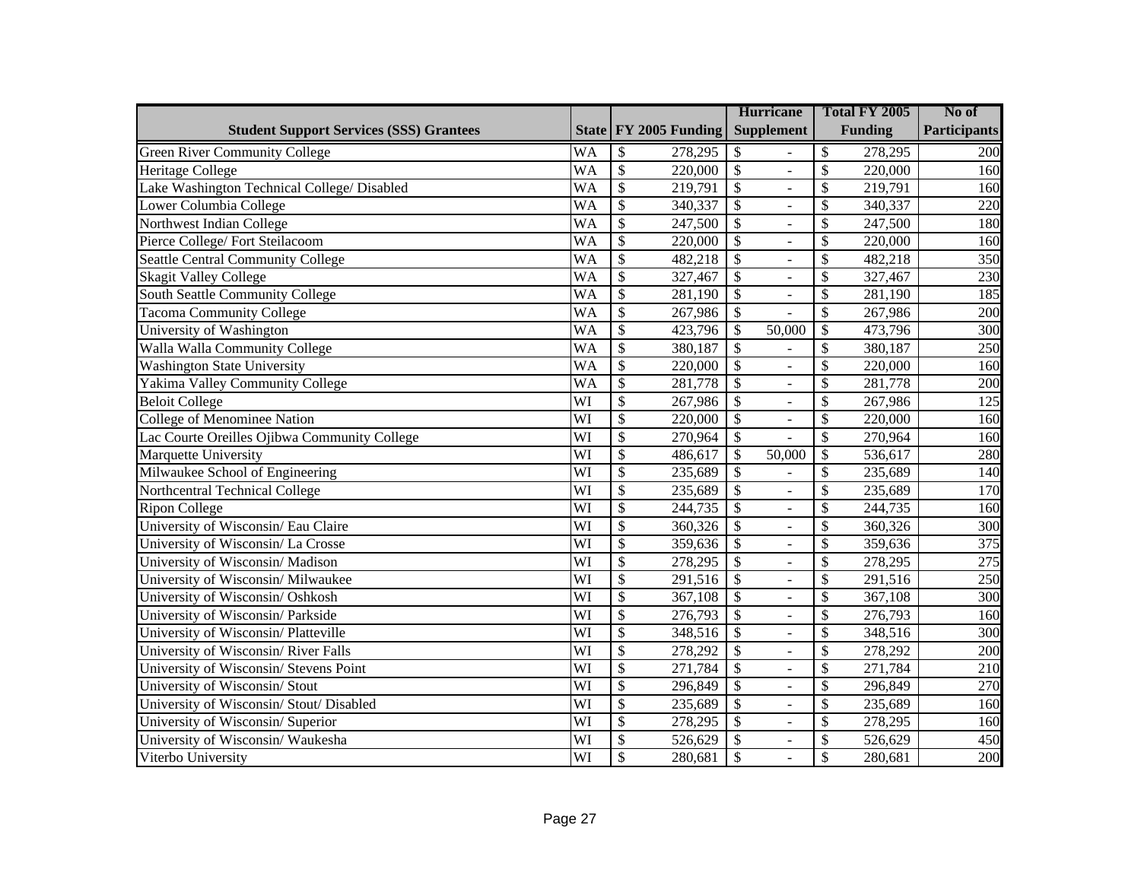|                                                |           |                 |                       | <b>Hurricane</b>         |                          | Total FY 2005            |                | No of               |
|------------------------------------------------|-----------|-----------------|-----------------------|--------------------------|--------------------------|--------------------------|----------------|---------------------|
| <b>Student Support Services (SSS) Grantees</b> |           |                 | State FY 2005 Funding |                          | <b>Supplement</b>        |                          | <b>Funding</b> | <b>Participants</b> |
| <b>Green River Community College</b>           | <b>WA</b> | \$              | 278,295               | \$                       |                          | \$                       | 278,295        | 200                 |
| Heritage College                               | <b>WA</b> | $\overline{\$}$ | 220,000               | $\mathcal{S}$            | $\overline{a}$           | \$                       | 220,000        | 160                 |
| Lake Washington Technical College/ Disabled    | <b>WA</b> | \$              | 219,791               | $\mathcal{S}$            |                          | \$                       | 219,791        | 160                 |
| Lower Columbia College                         | <b>WA</b> | $\overline{\$}$ | 340,337               | $\mathcal{S}$            | $\overline{a}$           | \$                       | 340,337        | 220                 |
| Northwest Indian College                       | <b>WA</b> | $\overline{\$}$ | 247,500               | $\mathcal{S}$            | ÷,                       | \$                       | 247,500        | 180                 |
| Pierce College/Fort Steilacoom                 | <b>WA</b> | $\overline{\$}$ | 220,000               | $\overline{\$}$          | $\overline{a}$           | \$                       | 220,000        | 160                 |
| <b>Seattle Central Community College</b>       | <b>WA</b> | $\overline{\$}$ | 482,218               | $\overline{\$}$          | $\overline{a}$           | \$                       | 482,218        | 350                 |
| <b>Skagit Valley College</b>                   | <b>WA</b> | $\overline{\$}$ | 327,467               | $\overline{\$}$          | $\overline{a}$           | \$                       | 327,467        | 230                 |
| <b>South Seattle Community College</b>         | <b>WA</b> | $\overline{\$}$ | 281,190               | $\overline{\$}$          | $\overline{a}$           | \$                       | 281,190        | 185                 |
| <b>Tacoma Community College</b>                | <b>WA</b> | $\overline{\$}$ | 267,986               | $\overline{\mathcal{S}}$ |                          | \$                       | 267,986        | 200                 |
| University of Washington                       | <b>WA</b> | $\overline{\$}$ | 423,796               | $\overline{\mathcal{S}}$ | 50,000                   | $\overline{\mathcal{S}}$ | 473,796        | 300                 |
| Walla Walla Community College                  | <b>WA</b> | $\overline{\$}$ | 380,187               | $\overline{\$}$          |                          | $\overline{\mathcal{S}}$ | 380,187        | 250                 |
| <b>Washington State University</b>             | <b>WA</b> | $\overline{\$}$ | 220,000               | $\overline{\mathcal{S}}$ | $\overline{a}$           | $\overline{\mathcal{S}}$ | 220,000        | 160                 |
| Yakima Valley Community College                | <b>WA</b> | $\overline{\$}$ | 281,778               | $\overline{\$}$          | $\overline{a}$           | \$                       | 281,778        | 200                 |
| <b>Beloit College</b>                          | WI        | $\overline{\$}$ | 267,986               | $\overline{\mathcal{S}}$ | $\overline{a}$           | \$                       | 267,986        | 125                 |
| College of Menominee Nation                    | WI        | $\overline{\$}$ | 220,000               | $\mathcal{S}$            | $\blacksquare$           | \$                       | 220,000        | 160                 |
| Lac Courte Oreilles Ojibwa Community College   | WI        | $\overline{\$}$ | 270,964               | $\mathcal{S}$            |                          | \$                       | 270,964        | 160                 |
| Marquette University                           | WI        | $\overline{\$}$ | 486,617               | \$                       | 50,000                   | \$                       | 536,617        | 280                 |
| Milwaukee School of Engineering                | WI        | \$              | 235,689               | $\mathcal{S}$            |                          | \$                       | 235,689        | 140                 |
| Northcentral Technical College                 | WI        | $\overline{\$}$ | 235,689               | $\mathcal{S}$            | $\blacksquare$           | \$                       | 235,689        | 170                 |
| <b>Ripon College</b>                           | WI        | $\overline{\$}$ | 244,735               | $\overline{\mathcal{S}}$ | ÷,                       | \$                       | 244,735        | 160                 |
| University of Wisconsin/Eau Claire             | WI        | $\overline{\$}$ | 360,326               | $\overline{\$}$          | $\equiv$                 | \$                       | 360,326        | 300                 |
| University of Wisconsin/La Crosse              | WI        | $\overline{\$}$ | 359,636               | $\overline{\$}$          | ÷,                       | \$                       | 359,636        | $\overline{375}$    |
| University of Wisconsin/ Madison               | WI        | $\overline{\$}$ | 278,295               | $\overline{\$}$          | $\overline{a}$           | \$                       | 278,295        | 275                 |
| University of Wisconsin/ Milwaukee             | WI        | $\overline{\$}$ | 291,516               | $\overline{\$}$          | $\overline{a}$           | \$                       | 291,516        | 250                 |
| University of Wisconsin/ Oshkosh               | WI        | $\overline{\$}$ | 367,108               | $\overline{\$}$          | $\overline{a}$           | \$                       | 367,108        | 300                 |
| University of Wisconsin/ Parkside              | WI        | $\overline{\$}$ | 276,793               | $\overline{\$}$          | $\overline{\phantom{0}}$ | \$                       | 276,793        | 160                 |
| University of Wisconsin/ Platteville           | WI        | $\overline{\$}$ | 348,516               | $\overline{\$}$          | $\overline{a}$           | \$                       | 348,516        | 300                 |
| University of Wisconsin/River Falls            | WI        | $\overline{\$}$ | 278,292               | $\overline{\$}$          | $\overline{a}$           | \$                       | 278,292        | 200                 |
| University of Wisconsin/ Stevens Point         | WI        | $\overline{\$}$ | 271,784               | $\overline{\$}$          | $\overline{a}$           | \$                       | 271,784        | 210                 |
| University of Wisconsin/ Stout                 | WI        | $\overline{\$}$ | 296,849               | $\overline{\$}$          | $\overline{a}$           | \$                       | 296,849        | 270                 |
| University of Wisconsin/Stout/Disabled         | WI        | $\overline{\$}$ | 235,689               | $\overline{\$}$          | $\overline{a}$           | \$                       | 235,689        | 160                 |
| University of Wisconsin/ Superior              | WI        | $\overline{\$}$ | 278,295               | $\overline{\mathcal{S}}$ | $\overline{a}$           | \$                       | 278,295        | 160                 |
| University of Wisconsin/ Waukesha              | WI        | $\overline{\$}$ | 526,629               | $\overline{\$}$          | $\overline{a}$           | \$                       | 526,629        | 450                 |
| Viterbo University                             | WI        | $\overline{\$}$ | 280,681               | $\overline{\mathcal{S}}$ |                          | \$                       | 280,681        | 200                 |